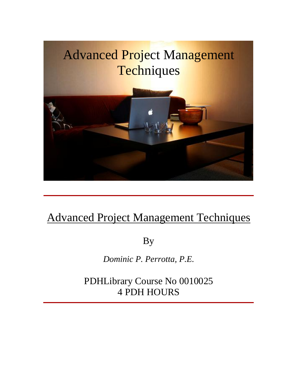

# Advanced Project Management Techniques

By

*Dominic P. Perrotta, P.E.*

PDHLibrary Course No 0010025 4 PDH HOURS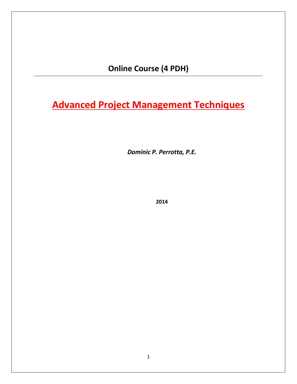**Course (4 PDH)**

**Project Management Techniques** *Dominic P. Perrotta, P.E.*

**Dominic P. Perrotta, P.E.** 

2014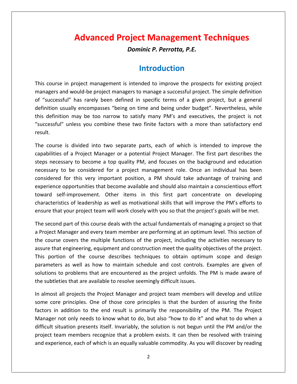# **Project Management Techniques Advanced Project Management Techniques**<br>*Dominic P. Perrotta, P.E.* **Advanced Project Management iechniques**<br>
Dominic P. Perrotta, P.E.<br> **Introduction**<br>
course in project management is intended to improve the prospects for existing project

**Dominic P. Perrotta, P.E.<br>
Introduction<br>
Litroduction**<br>
and would-be project managers to manage a successful project. The simple definition **is a course in project management is intended to improve the prospects for existing project**<br> **is rarely been defined in specific terms of a given project. Dut a general**<br> **is a given project** what a general manager is a **Introduction**<br>
in project management is intended to improve the prospects for existing project<br>
and would-be project managers to manage a successful project. The simple definition<br>
sful" has rarely been defined in specifi This course in project management is intended to improve the prospects for existing project<br>managers and would-be project managers to manage a successful project. The simple definition<br>of "successful" has rarely been defin n project management is intended to improve the prospects for existing project<br>d would-be project managers to manage a successful project. The simple definition<br>ul" has rarely been defined in specific terms of a given proj This course in project management is intended to improve the prospects for existing project managers and would-be project managers to manage a successful project. The simple definition of "succes:<br>definition เ<br>this definit<br>"successful<br>result. iuccessful" has rarely been defined in specific terms of a given project, but a general<br>ition usually encompasses "being on time and being under budget". Nevertheless, while<br>definition may be too narrow to satisfy many PM' definition <mark>u</mark> sually encompasses "being on time and being under budget". Nevertheless, while<br>on may be too narrow to satisfy many PM's and executives, the project is not<br>unless you combine these two finite factors with a more than satis this definition may be too narrow to satisfy many PM's and executives, the project is not efinition may be too narrow to satisfy many PM's and executives, the project is not<br>essful" unless you combine these two finite factors with a more than satisfactory end<br>ourse is divided into two separate parts, each of wh "successful" unless you combine these two finite factors with a more than satisfactory end result.

In the combine these two finite factors with a more than satisfactory end<br>
2 is divided into two separate parts, each of which is intended to improve the<br>
16 is divided into two separate parts, each of which is intended to is divided into two separate parts, each of which is intended to improve the<br>of a Project Manager or a potential Project Manager. The first part describes the<br>sary to become a top quality PM, and focuses on the background experience and the control of the control of the control of the control of the control of the control of the control of the control of the control of the control of the control of the control of the control of the control is divided into two separate parts, each of which is intended to improve the<br>of a Project Manager or a potential Project Manager. The first part describes the<br>sary to become a top quality PM, and focuses on the background  $\frac{1}{100}$   $\frac{1}{100}$ se is alwace like two separate parts, each of which is interface to improve the<br>essary to become a top quality PM, and focuses on the background and education<br>y to be considered for a project management role. Once an indiv capaomico of of the determining as the perturbation of the motion of the background and education<br>of considered for a project management role. Once an individual has been<br>this very important position, a PM should take advantage of trai steps : the steeps necessary to secome a top quality i.m, and recesses on the steets considered that second<br>necessary to be considered for a project management role. Once an individual has been<br>considered for this very important p idered for this very important position, a PM should take advantage of training and<br>erience opportunities that become available and should also maintain a conscientious effort<br>ard self-improvement. Other items in this firs experience opportunities that become available and should also maintain a conscientious effort perience opportunities that become available and should also maintain a conscientious effort<br>ward self-improvement. Other items in this first part concentrate on developing<br>naracteristics of leadership as well as motivatio tow ard self-improvement. Other items in this first part concentrate on developing<br>acteristics of leadership as well as motivational skills that will improve the PM's efforts to<br>ire that your project team will work closely wit characteristics of leadership as well as motivational skills that will improve the PM's efforts to

characteristics of leadership as well as motivational skills that will improve the PM's efforts to<br>ensure that your project team will work closely with you so that the project's goals will be met.<br>The second part of this c e that your project team will work closely with you so that the project's goals will be met.<br>econd part of this course deals with the actual fundamentals of managing a project so that<br>ject Manager and every team member are The second part of this course deals with the actual fundamentals of managing a project so that<br>a Project Manager and every team member are performing at an optimum level. This section of<br>the course covers the multiple fun Intersection part of this course deals what the detail randamentums of managing a project so that<br>a Project Manager and every team member are performing at an optimum level. This section of<br>the course covers the multiple f the course covers the multiple functions of the project, including the<br>assure that engineering, equipment and construction meet the quality of<br>This portion of the course describes techniques to obtain optimu<br>parameters as assure that engineering, equipment and construction meet the quality objectives of the project. sure that engineering, equipment and construction meet the quality objectives of the project.<br>
is portion of the course describes techniques to obtain optimum scope and design<br>
rameters as well as how to maintain schedule This portion of the course describes techniques to obtain optimum scope and design oortion of the course describes techniques to obtain optimum scope and design<br>eters as well as how to maintain schedule and cost controls. Examples are given of<br>ons to problems that are encountered as the project unfolds. parameters as well as how to maintain schedule and cost controls. Examples are given of ters as well as how to maintain schedule and cost controls. Examples are given of<br>s to problems that are encountered as the project unfolds. The PM is made aware of<br>leties that are available to resolve seemingly difficult solutions to problems that are encountered as the project unfolds. The PM is made aware of the subtleties that are available to resolve seemingly difficult issues.

Manager not only needs to know what to do, but also "how to do it" and what to do when a to problems that are encountered as the project unfolds. The PM is made aware of<br>ties that are available to resolve seemingly difficult issues.<br>all projects the Project Manager and project team members will develop and uti leties that are available to resolve seemingly difficult issues.<br>
It all projects the Project Manager and project team members will develop and utilize<br>
Irre principles. One of those core principles is that the burden of a In almost all projects the Project Manager and project team members will develop and utilize st all projects the Project Manager and project team members will develop and utilize<br>pre principles. One of those core principles is that the burden of assuring the finite<br>in addition to the end result is primarily the re and experience, each of which is an equally valuable commodity. As you will discover by reading<br>and experience, each of which is primarily the responsibility of the PM. The Project<br>Manager not only needs to know what to do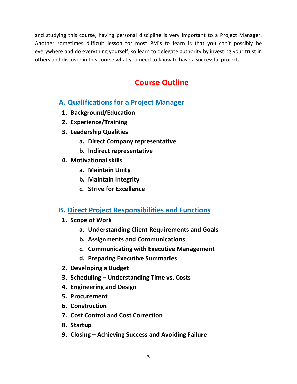and studving this course, having personal discipline is very important to a Project Manager. sometimes difficult lesson for most PM's to learn is that you can't possibly be<br>interestimes difficult lesson for most PM's to learn is that you can't possibly be and this course, having personal discipline is very important to a Project Manager.<br>The difficult lesson for most PM's to learn is that you can't possibly be<br>and do everything yourself, so learn to delegate authority by in and studying this course, having personal discipline is very important to a Project Manager.<br>Another sometimes difficult lesson for most PM's to learn is that you can't possibly be<br>everywhere and do everything yourself, so **Outline** Another sometimes difficult lesson for most PM's to learn is that you can't possibly be etimes difficult lesson for most PM's to learn is that<br>and do everything yourself, so learn to delegate authority k<br>cover in this course what you need to know to have a suce<br>**Course Outline**<br>**Course Outline** others and discover in this course what you need to know to have a successful project.

# over in this course what you need to ki<br>**Course<br>Rualifications for a Project M**<br>Background/Education **<u>Cour</u><br>
Unalifications for a Projection<br>
Experience/Training<br>
Experience/Training <u>Cou</u><br>
Qualifications for a Proje<br>
Background/Education<br>
Experience/Training<br>
Leadership Oualities Companying Companying Continues in the set of the companying company representative Direct Company representative Alifications for a Project Manag<br>
ckground/Education<br>
berience/Training<br>
dership Qualities<br>
a. Direct Company representative<br>
b. Indirect representative**

- **4. Analy Controller Controller Controller Scheiner Scheduler Scheduler Scheduler Scheduler Scheduler Scheduler Scheduler Scheduler Scheduler Scheduler Scheduler Scheduler Scheduler Scheduler Scheduler Scheduler Schedule**
- **a.**

others

- 2. Experience/Training<br>3. Leadership Qualities
- **Example 18 Analytical County Calcation**<br> **Maintiproper Company represe**<br> **Unity**<br> **Maintain Unity**<br> **Maintain Unity Ence, Frammg<br>
rship Qualities<br>
Direct Company represent:<br>
Indirect representative<br>
ational skills<br>
Maintain Unity<br>
Maintain Integrity a. Direct Company representational skills<br><b>c. Indirect representative**<br>**c.** Maintain Unity<br>**b.** Maintain Integrity<br>**c.** Strive for Excellence
	-
- -
	- **b.** Maintain Integrity
	- **c.** Strive for Excellence

# **b.** Indirect representative<br>
Motivational skills<br> **a.** Maintain Unity<br> **b.** Maintain Integrity<br> **c.** Strive for Excellence<br>
Direct Project Responsibilities and Functions **a.** Maintain Unity<br>**b.** Maintain Integrit<br>**c.** Strive for Excelle<br>**Direct Project Respor**<br>Scope of Work **Maintain Integrity<br>Strive for Excellence<br>Project Responsibilities and Functions<br>of Work<br>Understanding Client Requirements and Goals Strive for Excellence<br>
<b>Project Responsibilities and Function**<br> **Of Work**<br> **Communications**<br> **Assignments and Communications Example 25 Project Responsibilities and Funct<br>pe of Work<br>a. Understanding Client Requirements an<br>b. Assignments and Communications<br>c. Communicating with Executive Manag<br>d. Preparing Executive Summaries**

- **2.3.**
- **Project Responsibilities and Functions<br>of Work<br>Understanding Client Requirements and Goals<br>Assignments and Communications<br>Communicating with Executive Management** 
	-
	- a. Understanding Client Requirements and Go<br>b. Assignments and Communications<br>c. Communicating with Executive Managemer<br>d. Preparing Executive Summaries<br>Developing a Budget<br>Scheduling Understanding Time vs. Costs
- **Scope of Work<br>
a. Understanding Client<br>
b. Assignments and Cor<br>
c. Communicating with<br>
d. Preparing Executive !<br>
Developing a Budget**
- **E. Prosignments**<br> **C. Communication**<br> **Procurement**<br> **Procurement**<br> **Procurement 7.8.**
- **Engineeries and Communneeries and Communneeries and Communneeries and Communneeries are designed Scheduling Understanding Time<br>Engineering a Budget<br>Engineering and Design** d. Preparing Execu<br>Developing a Budget<br>Scheduling – Understa<br>Engineering and Design<br>Procurement<br>Construction **Controllerging and Scheduling - Understanding Time vs. Costs<br>
<b>Controllerging and Design<br>
Procurement<br>
Construction<br>
Cost Control and Cost Correction** Scheduling – Und<br>Engineering and<br>Procurement<br>Construction<br>Cost Control and<br>Startup **9.**
- 
- 
- 
- 7. Cost Control and Cost Correction
- 
- **Constructing Chatabolic Similary Change Engineering and Design<br>
<b>Procurement**<br> **Construction**<br>
Cost Control and Cost Correction<br>
Startup<br>
Closing Achieving Success and Avoiding Failure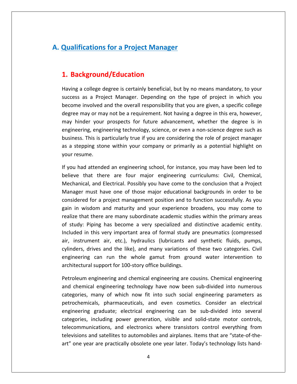# **Qualifications for <sup>a</sup> Project Manager Background/Education**<br>Background/Education<br>Background/Education  $\bigcap_{i=1}^n$ Fications for a Project Manager<br>ckground/Education<br>a college degree is certainly beneficial, but by no means mandatory, to your success

**1.**

**kground/Education**<br>
college degree is certainly beneficial, but by no means mandatory, to your<br>
as a Proiect Manager. Depending on the type of proiect in which you **kground/Education**<br>college degree is certainly beneficial, but by no means mandatory, to your<br>as a Project Manager. Depending on the type of project in which you<br>involved and the overall responsibility that you are given, **1. Background/Education**<br>Having a college degree is certainly beneficial, but by no means mandatory, to your<br>success as a Project Manager. Depending on the type of project in which you<br>become involved and the overall resp **ackground/Education**<br>g a college degree is certainly beneficial, but by no means mandatory, to your<br>ss as a Project Manager. Depending on the type of project in which you<br>me involved and the overall responsibility that yo Having a college degree is certainly beneficial, but by no means mandatory, to your ege degree is certainly beneficial, but by no means mandatory, to your<br>Project Manager. Depending on the type of project in which you<br>Ived and the overall responsibility that you are given, a specific college<br>pr may not be success as a Project Manager. Depending on the type of project in which you This is particularly reflected, but by no means manuately, to your same standard and the overall responsibility that you are given, a specific college ay or may not be a requirement. Not having a degree in this era, howeve become involved and the overall responsibility that you are given, a specific college a stepped and the overall responsibility that you are given, a specific college<br>gree may or may not be a requirement. Not having a degree in this era, however,<br>y hinder your prospects for future advancement, whether the de degree may or many hinder your<br>engineering, enginesis.<br>business. This is p<br>as a stepping sto<br>vour resume. may hinder your prospects for future advancement, whether the degree is in ay hinder your prospects for future advancement, whether the degree is in<br>igineering, engineering technology, science, or even a non-science degree such as<br>isiness. This is particularly true if you are considering the role engineering, engineering technology, science, or even a non-science degree such as engineering, engineering technology, science, or even a non-science degree such as<br>business. This is particularly true if you are considering the role of project manager<br>as a stepping stone within your company or primarily is is particularly true if you are considering the role of project manager<br>g stone within your company or primarily as a potential highlight on<br>.<br>tended an engineering school, for instance, you may have been led to<br>.<br>there as a stepping stone within your company or primarily as a potential highlight on vour resume.

bing stone within your company or primarily as a potential highlight on<br>me.<br>I attended an engineering school, for instance, you may have been led to<br>hat there are four major engineering curriculums: Civil, Chemical,<br>al, an e.<br>
Intended an engineering school, for instance, you may have been led to<br>
int there are four major engineering curriculums: Civil, Chemical,<br>
in and Electrical. Possibly you have come to the conclusion that a Project<br>
us If you had attended an engineering school, for instance, you may have been led to I had attended an engineering school, for instance, you may have been led to<br>ve that there are four major engineering curriculums: Civil, Chemical,<br>anical, and Electrical. Possibly you have come to the conclusion that a Pr realize that there are four major engineering curriculums: Civil, Chemical,<br>Mechanical, and Electrical. Possibly you have come to the conclusion that a Project<br>Manager must have one of those major educational backgrounds i Seneve that there are real major engineering carricalms: erm, enemies,<br>Mechanical, and Electrical. Possibly you have come to the conclusion that a Project<br>Manager must have one of those major educational backgrounds in ord Manager must have one of those major educational backgrounds in order to be in this very important area of formal study are pointed at the contrast of the distributed in the distributed of the distributed for a project management position and to function successfully. As you is<br>dom and maturity an manager mast nate one of diose major educational backgrounds in order to be<br>considered for a project management position and to function successfully. As you<br>gain in wisdom and maturity and your experience broadens, you ma drives a project management position and to ranction saccessiany. The you<br>sdom and maturity and your experience broadens, you may come to<br>t there are many subordinate academic studies within the primary areas<br>Piping has be gain in wisdom and maturity and your experience broadens, you may come to realize that there are many subordinate academic studies within the primary areas means and matality and year experience siboadens, yearing tends one and the primary areas<br>ing has become a very specialized and distinctive academic entity.<br>his very important area of formal study are pneumatics (compresse France that there are many sussidentie academic state<br>of study: Piping has become a very specialized and<br>Included in this very important area of formal study a<br>air, instrument air, etc.), hydraulics (lubricants an<br>cylinder this very important area of formal study are pneumatics (compressed<br>ment air, etc.), hydraulics (lubricants and synthetic fluids, pumps,<br>drives and the like), and many variations of these two categories. Civil<br>g can run th air, instrument air, etc.), hydraulics (lubricants and synthetic fluids, pumps, instrument air, etc.), hydraulics (lubricants and synthetic fluids, pumps,<br>ders, drives and the like), and many variations of these two categories. Civil<br>neering can run the whole gamut from ground water intervention to<br>te cylinders, drives and the like), and many variations of these two categories. Civil rives and the like), and many variations of these two categories. Civil<br>can run the whole gamut from ground water intervention to<br>l support for 100-story office buildings.<br>mgineering and chemical engineering are cousins. C engineering can run the whole gamut from ground water intervention to architectural support for 100-story office buildings.

categories, including power generation, visible and solid-state motor controls, run the whole gamut from ground water intervention to<br>port for 100-story office buildings.<br>ering and chemical engineering are cousins. Chemical engineering<br>gineering technology have now been sub-divided into numerous<br>of wh support for 100-story office buildings.<br>gineering and chemical engineering are cousins. Chemical engineering<br>engineering technology have now been sub-divided into numerous<br>hany of which now fit into such social engineering Petroleum engineering and chemical engineering are cousins. Chemical engineering Petroleum engineering and chemical engineering are cousins. Chemical engineering<br>and chemical engineering technology have now been sub-divided into numerous<br>categories, many of which now fit into such social engineering pa ring technology have now been sub-divided into numerous<br>which now fit into such social engineering parameters as<br>maceuticals, and even cosmetics. Consider an electrical<br>celectrical engineering can be sub-divided into sever and chemical engineering technology have now been sub-divided into numerous categories, many of which now fit into such social engineering parameters as and shemilest engineering technology have now seen sus annual line nameters as<br>categories, many of which now fit into such social engineering parameters as<br>petrochemicals, pharmaceuticals, and even cosmetics. Consider an e petrochemicals, pharmaceuticals, and even cosmetics. Consider an electrical engineering graduate; electrical engineering can be sub-divided into several categories, including power generation, visible and solid-state motor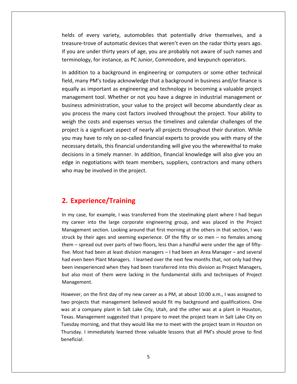of every variety, automobiles that potentially drive themselves, and <sup>a</sup> of automatic devices that devices that potentially drive themselves, and a<br>interview automatic devices that weren't even on the radar thirty years ago. Particulary of every variety, automobiles that potentially drive themselves, and a<br>A pasure-trove of automatic devices that weren't even on the radar thirty years ago.<br>A particulary of age, you are probably not aware of su Forther and the variety, automobiles that potentially drive themselves, and<br>interpretentially drive themselves, and<br>the rathirty years of age, you are probably not aware of such names and<br>for instance, as PC Junior, Commod Ids of every variety, automobiles that potentially drive themselves, and a<br>asure-trove of automatic devices that weren't even on the radar thirty years ago.<br>you are under thirty years of age, you are probably not aware of helds of every variety, automobiles that potentially drive themselves, and a<br>ure-trove of automatic devices that weren't even on the radar thirty years ago.<br>are under thirty years of age, you are probably not aware of such names treasure-trove of automatic devices that weren't even on the radar thirty years ago. e-trove of automatic devices that weren't even on the radar thirty years ago.<br>The under thirty years of age, you are probably not aware of such names and<br>logy, for instance, as PC Junior, Commodore, and keypunch operators. If you are under thirty years of age, you are probably not aware of such names and terminology, for instance, as PC Junior, Commodore, and keypunch operators.

ler thirty years of age, you are probably not aware of such names and<br>or instance, as PC Junior, Commodore, and keypunch operators.<br>a background in engineering or computers or some other technical<br>A's today acknowledge tha by, for instance, as PC Junior, Commodore, and keypunch operators.<br>
Son to a background in engineering or computers or some other technical<br>
hy PM's today acknowledge that a background in business and/or finance is<br>
simpor In addition to a background in engineering or computers or some other technical ddition to a background in engineering or computers or some other technical<br>, many PM's today acknowledge that a background in business and/or finance is<br>ally as important as engineering and technology in becoming a valuab field, many PM's today acknowledge that a background in business and/or finance is The costs and expenses and technology in becoming a valuable project as important as engineering and technology in becoming a valuable project ement tool. Whether or not you have a degree in industrial management or ss adm equally as important as engineering and technology in becoming a valuable project is a simportant as engineering and technology in becoming a valuable project<br>innent tool. Whether or not you have a degree in industrial management or<br>s administration, your value to the project will become abundantly clea management tool. Whether or not you have a degree in industrial management or may as important as engineering and technology in seconding a validable project agement tool. Whether or not you have a degree in industrial management or ness administration, your value to the project will become abundant business administration, your value to the project will become abundantly clear as dministration, your value to the project will become abundantly clear as<br>ss the many cost factors involved throughout the project. Your ability to<br>costs and expenses versus the timelines and calendar challenges of the<br>a si publications In a timely manner. In addition, financial knowledge will also give you an a timely manner. In addition, financial knowledge will also give you an a timely manner. In addition, financial knowledge will also give you an  $\sum_{i=1}^{n}$ The costs and expenses versus the timelines and calendar challenges of the<br>tive is a significant aspect of nearly all projects throughout their duration. While<br>hay have to rely on so-called financial experts to provide you weight the costs and expenses versus to<br>project is a significant aspect of nearly a<br>you may have to rely on so-called financ<br>necessary details, this financial understa<br>decisions in a timely manner. In additio<br>edge in negot you may have to rely on so-called financial experts to provide you with many of the necessary details, this financial understanding will give you the wherewithal to make may nave to rely on so-called financia<br>essary details, this financial understanc<br>isions in a timely manner. In addition,<br>e in negotiations with team members<br>o may be involved in the project.<br>**Experience/Training** who may be involved in the project.

#### $\overline{z}$ Z, C

terminology,

my be involved in the project.<br> **Experience/Training**<br>
my case, for example, I was transferred from the steelmaking plant where I had begun Experience/Training<br>inthing the steelmaking plant where I had begun<br>career into the large corporate engineering group, and was placed in the Project **Since/Training**<br>The straining around that steelmaking plant where I had begun<br>to the large corporate engineering group, and was placed in the Project<br>section, Looking around that first morning at the others in that sectio **perience/Training**<br>case, for example, I was transferred from the steelmaking plant where I had begun<br>reer into the large corporate engineering group, and was placed in the Project<br>ement section. Looking around that first **xperience/indums**<br>case, for example, I was transferred from the steelmaking plant where I had begun<br>areer into the large corporate engineering group, and was placed in the Project<br>gement section. Looking around that firs In my case, for example, I was transferred from the steelmaking plant where I had begun y case, for example, I was transferred from the steelmaking plant where I had begun<br>career into the large corporate engineering group, and was placed in the Project<br>agement section. Looking around that first morning at the my career into the large corporate engineering group, and was placed in the Project even been Plant Managers. I learned over the next few months that, not only had they<br>exerce that section. Looking around that first morning at the others in that section, I was<br>ck by their ages and seeming experience. Of Management section. Looking around that first morning at the others in that section, I was In the structure when the transferred when that first morning at the others in that section, I was struck by their ages and seeming experience. Of the fifty or so men – no females among them – spread out over parts of two also most of them were lacking in the fundamental skills and techniques of Project Managers,<br>also most of them were lacking in the fundamental were under the age of fifty-<br>Most had been at least division managers - I had b Strack by their five. Most had been at least division managers – I had been an Area Manager – and several<br>had even been Plant Managers. I learned over the next few months that, not only had they<br>been inexperienced when they had been trans had even been Plant Managers. I learned over the next few months that, not only had they even been Plant Managers. I learned over the next few months that, not only had they<br>i inexperienced when they had been transferred into this division as Project Managers,<br>also most of them were lacking in the fundamental been inexperienced when they had been transferred into this division as Project Managers, been inexperienced when they had been transferred into this division as Project Managers,<br>but also most of them were lacking in the fundamental skills and techniques of Project<br>Management.<br>However, on the first day of my n Management.

ment.<br>
i, on the first day of my new career as a PM, at about 10:00 a.m., I was assigned to<br>
ects that management believed would fit my background and qualifications. One<br>
company plant in Salt Lake City, Utah, and the oth I immediately learned three valuable lessons that all PM<sup>'</sup>s should prove to find<br>It immediately learned three valuable line of the original company plant in Salt Lake City, Utah, and the other was at a plant in Houston,<br>I However, on the first day of my new career as a PM, at about 10:00 a.m., I was assigned to two projects that management believed would fit my background and qualifications. One was at a company plant in Salt Lake City, Utah, and the other was at a plant in Houston, re beneficial: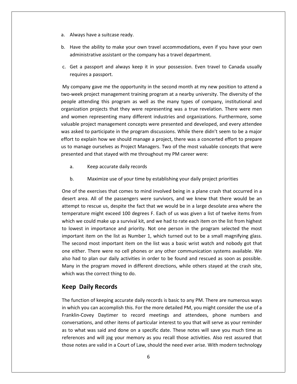a.<br>Always have a suitcase ready.

administrative

- Always have a suitcase ready.<br>Always have a suitcase ready.<br>Have the ability to make your own travel accommodations, even if you have your own asset a suitcase ready.<br>as a Always have a suitcase ready.<br>as a travel accommodations, even if y<br>administrative assistant or the company has a travel department. Always have a suitcase ready.<br>Have the ability to make your own travel accommodations, even if you have your own<br>administrative assistant or the company has a travel department.<br>Get a passport and always keep it in your po Fall Always have a suitcase reposed.<br>
Solve the ability to make<br>
administrative assistant<br>
C. Get a passport and alw<br>
requires a passport. Have the ability to make your own travel accommodations, even if you have your own<br>administrative assistant or the company has a travel department.<br>Get a passport and always keep it in your possession. Even travel to Canad administrative assistant or the company has a travel department.
- istrative assistant or the company has a travel department.<br>
passport and always keep it in your possession. Even travel to Canada usually<br>
es a passport.<br>
show gave me the opportunity in the second month at my new positio c. Get a passport and always keep it in your possession. Even travel to Canada usually

a passport and always keep it in your possession. Even travel to Canada usually<br>uires a passport.<br>npany gave me the opportunity in the second month at my new position to attend a<br>ek project management training program at a ssport and always keep it in your possession. Even travel to Canada usually<br>a passport.<br>gave me the opportunity in the second month at my new position to attend a<br>bject management training program at a nearby university. T requires a passport.<br>
company gave me the opportunity in the second month at my new position to attend a<br>
week project management training program at a nearby university. The diversity of the<br>
ple attending this program as My company gave me the opportunity in the second month at my new position to attend a pany gave me the opportunity in the second month at my new position to attend a<br>k project management training program at a nearby university. The diversity of the<br>ttending this program as well as the many types of company, two-week project management training program at a nearby university. The diversity of the Educion of the end opportunity in the second month at my hew position to attend a<br>week project management training program at a nearby university. The diversity of the<br>ple attending this program as well as the many types o effort to explain how we should manage a project, there was a concerted effort to prepare<br>effort to explain how we should manage a project management concepts were presenting was a true revelation. There were men<br>and women organization projects that they were representing was a true revelation. There were men<br>and women representing many different industries and organizations. Furthermore, some<br>valuable project management concepts were presen organizant<br>. In projects that they were representing was a trac reverant<br>in representing many different industries and organizations.<br>roject management concepts were presented and developed,<br>to participate in the program discussions. W valuable project management concepts were presented and developed, and every attendee roject management concepts were p<br>to participate in the program discus<br>xplain how we should manage a pro<br>age ourselves as Project Managers.<br>and that stayed with me throughout<br>Keep accurate daily records effort to explain how we should manage a project, there was a concerted effort to prepare wheter how we should manage a project, there was a concerted effort to prepage ourselves as Project Managers. Two of the most valuable concepts that we and that stayed with me throughout my PM career were:<br>Keep accurate da us w of the exercises that comes to mind involved being in a plane crash that occurred in a<br>of the exercises that comes to mind involved being in a plane crash that occurred in a presented and that stayed with me throughout my PM career were:

- a.
- $b<sub>r</sub>$

Equation that stayed with the chroughout hily TW career were.<br>
Keep accurate daily records<br>
Maximize use of your time by establishing your daily project priorities<br>
the exercises that comes to mind involved being in a plan Keep accurate daily records<br>
Maximize use of your time by establishing your daily project priorities<br>
the exercises that comes to mind involved being in a plane crash that occurred in a<br>
rea. All of the passengers were sur maximize use of your time by establishing your daily project priorities<br>
ercises that comes to mind involved being in a plane crash that occurred in a<br>
All of the passengers were survivors, and we knew that there would be Maximize use of your time by establishing your daily project priorities<br>
f the exercises that comes to mind involved being in a plane crash that occurred in a<br>
area. All of the passengers were survivors, and we knew that t One of the exercises that comes to mind involved being in a plane crash that occurred in a e of the exercises that comes to mind involved being in a plane crash that occurred in a<br>sert area. All of the passengers were survivors, and we knew that there would be an<br>empt to rescue us, despite the fact that we would  $\sum_{i=1}^{n}$ one of the exercises that comes to mind involved seing in a plane crash that occarried in a<br>desert area. All of the passengers were survivors, and we knew that there would be an<br>attempt to rescue us, despite the fact that second most important item on the list was a basic wrist water increases the poerature might exceed 100 degrees F. Each of us was given a list of twelve items from h we could make up a survival kit, and we had to rate each attempt to rescue us, despite the fact that we would be in a large desolate area where the temperature might exceed 100 degrees F. Each of us was given a list of twelve items from berature might exceed 100 degrees F. Each of us was given a list of twelve items from<br>th we could make up a survival kit, and we had to rate each item on the list from highest<br>west in importance and priority. Not one perso extract might exceed 100 degrees it. Each of ds was given a list of twere frems from<br>which we could make up a survival kit, and we had to rate each item on the list from highest<br>to lowest in importance and priority. Not on In the program moved in different directions, while others stayed at the crash site.<br>
In the program selected the most<br>
important item on the list as Number 1, which turned out to be a small magnifying glass.<br>
The second m was the important tem on the list as Number 2<br>The second most important item on thone either. There were no cell phones<br>also had to plan our daily activities in o<br>Many in the program moved in differe<br>which was the correct nt item on the list as Num<br>
ond most important item<br>
ner. There were no cell phe<br>
d to plan our daily activitie<br>
i the program moved in di<br>
vas the correct thing to do.<br> **Daily Records** also had to plan our daily activities in order to be found and rescued as soon as possible. had to plan our daily activities in order to be found and rescued as soon as possible.<br>
in the program moved in different directions, while others stayed at the crash site,<br>
th was the correct thing to do.<br> **Example 10:**<br> Many in the program moved in different directions, while others stayed at the crash site, any in the program moved in different directions, while others stayed at the crash site,<br>hich was the correct thing to do.<br>**Pep Daily Records**<br>e function of keeping accurate daily records is basic to any PM. There are nume which was the correct thing to do.

#### **Keep Daily Records**

Franklin-Covey Daytimer to record meetings and attendees, phone numbers and Paradon Character thing to do.<br> **Ecords**<br>
Ecords<br>
accomplish this. For the more detailed PM, you might consider the use of a<br>
Daytimer to record meetings and attendees, phone numbers and Records<br>
is keeping accurate daily records is basic to any PM. There are numerous ways<br>
in accomplish this. For the more detailed PM, you might consider the use of a<br>
Daytimer to record meetings and attendees, phone number the properties are the more detailed PM, you might consider the use of a which you can accomplish this. For the more detailed PM, you might consider the use of a nklin-Covey Daytimer to record meetings and attendees, phone  $r = r \cdot \frac{1}{2}$ In of keeping accurate daily records is basic to any PM. There are numerous ways<br>a can accomplish this. For the more detailed PM, you might consider the use of a<br>vey Daytimer to record meetings and attendees, phone numbers  $\sum_{i=1}^{n}$ notes are valid in a Court of Law, should the need ever arise. With modern technology basis is but the wave of a<br>in-Covey Daytimer to record meetings and attendees, phone numbers and<br>rsations, and other items of particular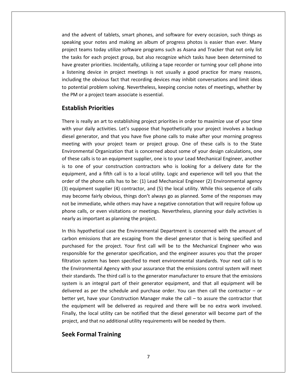the advent of tablets, smart phones, and software for every occasion, such things as your divent of tablets, smart phones, and software for every occasion, such things as<br>wour notes and making an album of progress photos is easier than ever. Many advent of tablets, smart phones, and software for every occasion, such things as<br>the your notes and making an album of progress photos is easier than ever. Many<br>teams today utilize software programs such as Asana and Track the advent of tablets, smart phones, and software for every occasion, such things as<br>aking your notes and making an album of progress photos is easier than ever. Many<br>ect teams today utilize software programs such as Asana the advent of tablets, smart phones, and software for every occasion, such things as<br>ing your notes and making an album of progress photos is easier than ever. Many<br>ct teams today utilize software programs such as Asana an and the advent of tablets, smart phones, and software for every occasion, such things as<br>speaking your notes and making an album of progress photos is easier than ever. Many<br>project teams today utilize software programs su  $\frac{1}{10}$ From the state of transless, smart phones, and software for every occasion, sach timigs as<br>your notes and making an album of progress photos is easier than ever. Many<br>ams today utilize software programs such as Asana and T م<br>ب piect teams today utilize software programs such as Asana and Tracker that rote). Many<br>piect teams today utilize software programs such as Asana and Tracker that not only list<br>tasks for each project group, but also recogni pio<br>.. project teams today danke sortware programs sach<br>the tasks for each project group, but also recogniz<br>have greater priorities. Incidentally, utilizing a tape<br>a listening device in project meetings is not usua<br>including the r each project group,<br>
r priorities. Incidenta<br>
device in project me<br>
e obvious fact that re<br>
problem solving. Nev<br>
project team associat<br> **Priorities** including the obvious fact that recording devices may inhibit conversations and limit ideas ng the obvious fact that recording devices may inhibit conversations and limit ideas<br>ential problem solving. Nevertheless, keeping concise notes of meetings, whether by<br>1 or a project team associate is essential.<br>**Is reall** to potential problem solving. Nevertheless, keeping concise notes of meetings, whether by tential problem solving. Nevertheless, keeping concise notes of meetings, whether by<br>
M or a project team associate is essential.<br> **blish Priorities**<br>
a is really an art to establishing project priorities in order to maxim the PM or a project team associate is essential.

#### **Establish Priorities**

1 or a project team associate is essential.<br> **Solish Priorities**<br>
is really an art to establishing project priorities in order to maximize use of your time<br>
our daily activities. Let's suppose that hypothetically your proj **h Priorities**<br>eally an art to establishing project priorities in order to maximize use of your time<br>daily activities. Let's suppose that hypothetically your project involves a backup<br>nerator, and that you have five phone **IOTITIES**<br>an art to establishing project priorities in order to maximize use of your time<br>activities. Let's suppose that hypothetically your project involves a backup<br>pr, and that you have five phone calls to make after y There is really an art to establishing project priorities in order to maximize use of your time ere is really an art to establishing project priorities in order to maximize use of your time<br>th your daily activities. Let's suppose that hypothetically your project involves a backup<br>sel generator, and that you have five with your daily activities. Let's suppose that hypothetically your project involves a backup the streamy and atte establishing project phondes in order to maximize ase of your time<br>th your daily activities. Let's suppose that hypothetically your project involves a backup<br>seel generator, and that you have five phon diesel generator, and that you have five phone calls to make after your morning progress ator, and that you have five phone calls to make after your morning progress<br>th your project team or project group. One of these calls is to the State<br>tal Organization that is concerned about some of your design calculatio descripture of the phone calls to the phone calls to these calls is to the State<br>Environmental Organization that is concerned about some of your design calculations, one<br>of these calls is to an equipment supplier, one is t  $\frac{1}{2}$ et all of project equilibrary of project group. Since of these calls is to the state<br>ironmental Organization that is concerned about some of your design calculations, one<br>hese calls is to an equipment supplier, one is to y mayo<br>Lista become fairly obvious, things don't always go as planned. Some of the responses may<br>be calls is to an equipment supplier, one is to your Lead Mechanical Engineer, another<br>one of your construction contractors who is looking of these calls is to an equipment supplier, one is to your Lead Mechanical Engineer, another<br>is to one of your construction contractors who is looking for a delivery date for the be immediate, while others may have a negative connotation that will require follow up<br>the immediate, while others may have a local utility. Logic and experience will tell you that the<br>er of the phone calls has to be: (1) equipment, and a fifth call is to a local utility. Logic and experience will tell you that the The calls and a fifth call is to a local utility. Logic and experience will tell you that the of the phone calls has to be: (1) Lead Mechanical Engineer (2) Environmental agency igment supplier (4) contractor, and (5) the equipment, and a men can is to a local dumey.<br>
order of the phone calls has to be: (1) Lead Me<br>
(3) equipment supplier (4) contractor, and (5) t<br>
may become fairly obvious, things don't always<br>
not be immediate, while othe (3) equipment supplier (4) contractor, and (5) the local utility. While this sequence of calls equipment supplier (4) contractor, and (5) the local utility. While this sequence of calls<br>iy become fairly obvious, things don't always go as planned. Some of the responses may<br>t be immediate, while others may have a nega may become fairly obvious, things don't always go as planned. Some of the responses may come fairly obvious, things don't always go as planned. Some of the responses may<br>mmediate, while others may have a negative connotation that will require follow up<br>calls, or even visitations or meetings. Nevertheless, pla not be immediate, while others may have a negative connotation that will require follow up ediate, while others may have a negative connotation that will require follow up<br>, or even visitations or meetings. Nevertheless, planning your daily activities is<br>pportant as planning the project.<br>othetical case the Envir phone calls, or even visitations or meetings. Nevertheless, planning your daily activities is nearly as important as planning the project.

Finally, the local utility can be notified that the diesel generator will become part of the or even visitations or meetings. Nevertheless, planning your daily activities is<br>portant as planning the project.<br>thetical case the Environmental Department is concerned with the amount of<br>sions that are escaping from the important as planning the project.<br>pothetical case the Environmental Department is concerned with the amount of<br>missions that are escaping from the diesel generator that is being specified and<br>d for the project. Your first In this hypothetical case the Environmental Department is concerned with the amount of his hypothetical case the Environmental Department is concerned with the amount of<br>oon emissions that are escaping from the diesel generator that is being specified and<br>chased for the project. Your first call will be to th carbon emissions that are escaping from the diesel generator that is being specified and Supponied the third call is to the diesel generator that is being specified and<br>ased for the project. Your first call will be to the Mechanical Engineer who was<br>msible for the generator specification, and the engineer assu purchased for the project. Your first call will be to the Mechanical Engineer who was entified and the project. Your first call will be to the Mechanical Engineer who was<br>ible for the generator specification, and the engineer assures you that the proper<br>i system has been specified to meet environmental stan perchased for the project. Tout first can will be to the internalmed Engineer, who was<br>responsible for the generator specification, and the engineer assures you that the proper<br>filtration system has been specified to meet filtration system has been specified to meet environmental standards. Your next call is to<br>the Environmental Agency with your assurance that the emissions control system will meet<br>their standards. The third call is to the ther<br>... the Environmental Agency with your assurance that the emissions control system will meet<br>their standards. The third call is to the generator manufacturer to ensure that the emissions<br>system is an integral part of their ge Indards. The third call is to the generator manufacturer to ensure that the emissions<br>is an integral part of their generator equipment, and that all equipment will be<br>d as per the schedule and purchase order. You can then their standards. The third call is to the generator manufacturer to ensure that the emissions system is an integral part of their generator equipment, and that all equipment will be and that is the threaded by the generator mandated red chasted that a<br>system is an integral part of their generator equipment, and that all equipn<br>delivered as per the schedule and purchase order. You can then call the con **Formal Part**<br>**Formal Allen Sched**<br>**Formal Formal Training**<br>**Formal Training**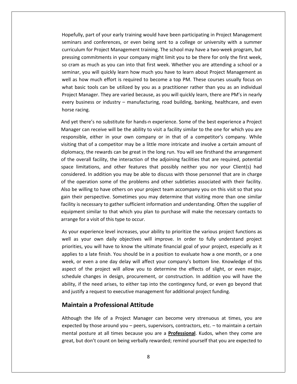part of your early training would have been participating in Project Management and conferences, or even being sent to a college or university with a summer<br>and conferences, or even being sent to a college or university with a summer For Aristan of your early training would have been participating in Project Management<br>The conferences, or even being sent to a college or university with a summer<br>for Project Management training. The school may have a two Hopefully, part of your early training would have been participating in Project Management<br>seminars and conferences, or even being sent to a college or university with a summer<br>curriculum for Project Management training. T pefully, part of your early training would have been participating in Project Management<br>ninars and conferences, or even being sent to a college or university with a summer<br>riculum for Project Management training. The scho Hopefully, part of your early training would have been participating in Project Management<br>seminars and conferences, or even being sent to a college or university with a summer<br>curriculum for Project Management training. T  $\mathbb{R}^n$ France of your early daming would have seen participating in Froject Management<br>nars and conferences, or even being sent to a college or university with a summer<br>culum for Project Management training. The school may have a www. basic tools can be utilized by you as a practitioner rather than you as an individual<br>basic tools can be utilized by you as a practitioner rather than you will quickly learn how much you have to learn about Project Managem curricu<br>. Manager. They are varied because. The school may have a two week program, bat<br>is commitments in your company might limit you to be there for only the first week,<br>i as much as you can into that first week. Whether you are a pressing commitments in your company might limit you to be there for only the first week, so cram as much as you can into that first week. Whether you are attending a school or a business are your company might annume you to be there for only the first week,<br>and as much as you can into that first week. Whether you are attending a school or a<br>ar, you will quickly learn how much you have to learn abo seminar, you will<br>well as how muc<br>what basic tools<br>Project Manager.<br>every business of<br>horse racing. as how much effort is required to become a top PM. These courses usually focus on<br>t basic tools can be utilized by you as a practitioner rather than you as an individual<br>ect Manager. They are varied because, as you will qu what basic tools can be utilized by you as a practitioner rather than you as an individual ic tools can be utilized by you as a practitioner rather than you as an individual<br>lanager. They are varied because, as you will quickly learn, there are PM's in nearly<br>siness or industry – manufacturing, road building, ba Project Manager. They are varied because, as you will quickly learn, there are PM's in nearly iger. They are varied because, as you will quickly learn, there are PM's in nearly<br>ss or industry – manufacturing, road building, banking, healthcare, and even<br>?'s no substitute for hands-n experience. Some of the best exp every business or industry – manufacturing, road building, banking, healthcare, and even horse racing.

uusiness or industry – manufacturing, road building, banking, healthcare, and even<br>acing.<br>there's no substitute for hands-n experience. Some of the best experience a Project<br>er can receive will be the ability to visit a fa g.<br>
re's no substitute for hands-n experience. Some of the best experience a Project<br>
in receive will be the ability to visit a facility similar to the one for which you are<br>
, either in your own company or in that of a co ofd yet there's no substitute for hands-n experience. Some of the best experience a Project<br>inager can receive will be the ability to visit a facility similar to the one for which you are<br>ponsible, either in your own company  $\frac{1}{2}$ Let there ship substitute for hands if experience. Some of the best experience a rroject<br>er can receive will be the ability to visit a facility similar to the one for which you are<br>sible, either in your own company or in t Manager can receive will be the ability to visit a facility similar to the one for which you are responsible, either in your own company or in that of a competitor's company. While In addition you may be a little more intricate and involve a certain amount of the rewards can be great in the long run. You will see firsthand the arrangement all facility, the interaction of the adjoining facilities that visiting that of a competitor may be a little more intricate and involve a certain amount of diplomacy, the rewards can be great in the long run. You will see firsthand the arrangement of the overall facility, the interact diplomacy, the rewards can be great in the long run. You will see firsthand the arrangement<br>of the overall facility, the interaction of the adjoining facilities that are required, potential<br>space limitations, and other fea gappointing, the rewards can be great in the long ran. Fou will see institution the analygement<br>of the overall facility, the interaction of the adjoining facilities that are required, potential<br>space limitations, and other or the limitations, and other features that possibly neither you nor your Client(s) had<br>ered. In addition you may be able to discuss with those personnel that are in charge<br>operation some of the problems and other subtleties asso considered. In addition you may be able to discuss with those personnel that are in charge In addition you may be able to discuss with those personnel that are in charge<br>ation some of the problems and other subtleties associated with their facility.<br>ing to have others on your project team accompany you on this v of the operation some of the problems and other subtleties associated with their facility. for the operation some of the problems and<br>Also be willing to have others on your proje<br>gain their perspective. Sometimes you ma<br>facility is necessary to gather sufficient info<br>equipment similar to that which you plan<br>arra b be willing to have others on your project team accompany you on this visit so that you<br>
in their perspective. Sometimes you may determine that visiting more than one similar<br>
lity is necessary to gather sufficient inform gain their perspective. Sometimes you may determine that visiting more than one similar heir perspective. Sometimes you may determine that visiting more than one similar<br>y is necessary to gather sufficient information and understanding. Often the supplier of<br>ment similar to that which you plan to purchase wil facility is necessary to gather sufficient information and understanding. Often the supplier of ecessary to gather sufficient information and understanding. Often the supplier of<br>
I similar to that which you plan to purchase will make the necessary contacts to<br>
r a visit of this type to occur.<br>
perience level increas equipment similar to that which you plan to purchase will make the necessary contacts to arrange for a visit of this type to occur.

ent similar to that which you plan to purchase will make the necessary contacts to<br>for a visit of this type to occur.<br>experience level increases, your ability to prioritize the various project functions as<br>your own daily o Experience level increases, your ability to prioritize the various project functions as<br>s your own daily objectives will improve. In order to fully understand project<br>es, you will have to know the ultimate financial goal o As your experience level increases, your ability to prioritize the various project functions as As your experience level increases, your ability to prioritize the various project functions as<br>well as your own daily objectives will improve. In order to fully understand project<br>priorities, you will have to know the ult France is the merecases, your dampt to prioritize the tanteds project ranctions as<br>our own daily objectives will improve. In order to fully understand project<br>you will have to know the ultimate financial goal of your proje well as your own daily objectives will improve. In order to fully understand project priorities, you will have to know the ultimate financial goal of your project, especially as it if the need arises, to either tap into the contingency fund, or even go beyond that<br>if the need arises, to either tap into the continuous of the project will allow you to determine the effects of slight, or even major,<br>le applies to a late finish. You should be in a position to evaluate how a one month, or a one priorities, year win have to know the altimate imantial geal or year project, esper-<br>applies to a late finish. You should be in a position to evaluate how a one month<br>week, or even a one day delay will affect your company' late finish. You should be in a position to<br>en a one day delay will affect your comple<br>project will allow you to determine<br>anges in design, procurement, or constr<br>ender arises, to either tap into the conti<br>request to execu schedule changes in design, procurement, or construction. In addition you will have the thanges in design, procurement, or construction. In addition you will have the<br>he need arises, to either tap into the contingency fund, or even go beyond that<br>a request to executive management for additional project fundin ability, if the need arises, to either tap into the contingency fund, or even go beyond that the need arises, to either tap into the contingency fund, or even go beyond that<br>
in a Professional Attitude<br>
in a Professional Attitude<br>
the life of a Project Manager can become very strenuous at times, you are<br>
by those and justify a request to executive management for additional project funding.

Although the life of a Project Manager can become very strenuous at times, you are ify a request to executive management for additional project funding.<br> **ain a Professional Attitude**<br>
In the life of a Project Manager can become very strenuous at times, you are<br>
d by those around you – peers, supervisors **Maintain a Professional Attitude**<br>Although the life of a Project Manager can become very strenuous at times, you are<br>expected by those around you – peers, supervisors, contractors, etc. – to maintain a certain<br>mental pos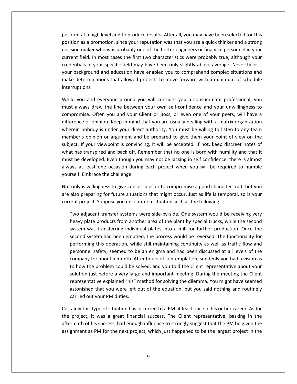at a high level and to produce results. After all, you may have been selected for this<br>at a high level and to produce results. After all, you may have been selected for this at a high level and to produce results. After all, you may have been selected for this<br>as a promotion, since your reputation was that you are a quick thinker and a strong at a high level and to produce results. After all, you may have been selected for this<br>as a promotion, since your reputation was that you are a quick thinker and a strong<br>maker who was probably one of the better engineers at a high level and to produce results. After all, you may have been selected for this<br>as a promotion, since your reputation was that you are a quick thinker and a strong<br>maker who was probably one of the better engineers perform at a high level and to produce results. After all, you may have been selected for this<br>position as a promotion, since your reputation was that you are a quick thinker and a strong<br>decision maker who was probably on rm at a high level and to produce results. After all, you may have been selected for this<br>on as a promotion, since your reputation was that you are a quick thinker and a strong<br>ion maker who was probably one of the better  $P^{\text{c}}$ In at a mighterer and to produce results. There any you may have been selected for this<br>on as a promotion, since your reputation was that you are a quick thinker and a strong<br>on maker who was probably one of the better eng position as a promotion, since your reputation was that you are a quick thinker and a strong<br>decision maker who was probably one of the better engineers or financial personnel in your current field. In most cases the first two characteristics were probably true, although your<br>credentials in your specific field may have been only slightly above average. Nevertheless,<br>your background and education have en credentials in your specific field may have been only slightly above average. Nevertheless, ntials in your specific field may have been only slightly above average. Nevertheless,<br>background and education have enabled you to comprehend complex situations and<br>determinations that allowed projects to move forward wit your backgro and and education have enabled you to comprehend complex situations and<br>inations that allowed projects to move forward with a minimum of schedule<br>d everyone around you will consider you a consummate professional, you<br>draw make dete interruptions.

rminations that allowed projects to move forward with a minimum of schedule<br>ns.<br>and everyone around you will consider you a consummate professional, you<br>ys draw the line between your own self-confidence and your unwillingn ions.<br>u and everyone around you will consider you a consummate professional, you<br>vays draw the line between your own self-confidence and your unwillingness to<br>nise. Often you and your Client or Boss, or even one of your pe While you and everyone around you will consider you a consummate professional, you and everyone around you will consider you a consummate professional, you<br>ys draw the line between your own self-confidence and your unwillingness to<br>e. Often you and your Client or Boss, or even one of your peers, will hav must always draw the line between your own self-confidence and your unwillingness to If you are everyone around you will estimate processionally you are developing and veryone around your own self-confidence and your unwillingness to nise. Often you and your Client or Boss, or even one of your peers, will rand and back off. Remember that no one is born with humility and that it<br>difference of opinion. Keep in mind that you are usually dealing with a matrix organization<br>wherein nobody is under your direct authority. You must  $\frac{1}{2}$ be developed. Even though you may not be lacking in self confidence, there is almost ence of opinion. Keep in mind that you are usually dealing with a matrix organization ein nobody is under your direct authority. You must difference of opinion. Keep in mind that you are usually dealing with a matrix organization<br>wherein nobody is under your direct authority. You must be willing to listen to any team at least one occasion during each project when you will be required to any team of sopinion or argument and be prepared to give them your point of view on the If your viewpoint is convincing, it will be accepted. If not, k member's opinion or argument and be prepared to give them your point of view on the merem hossay is ander your ance<br>member's opinion or argument and<br>subject. If your viewpoint is convinc<br>what has transpired and back off. Re<br>must be developed. Even though you<br>always at least one occasion during<br>vourself. E ect. If your viewpoint is convincing, it will be accepted. If not, keep discreet notes of<br>t has transpired and back off. Remember that no one is born with humility and that it<br>t be developed. Even though you may not be lac  $w$ h It has transpired and back off. Remember that no one is born with humility and that it<br>it be developed. Even though you may not be lacking in self confidence, there is almost<br>ays at least one occasion during each project w must b e developed. Even though you may not be lacking in self confidence, the least one occasion during each project when you will be required. The following:<br>The following: Embrace the challenge.<br>It is willingness to give conce yourself. Embrace the challenge.

Embrace the challenge.<br>
is willingness to give concessions or to compromise a good character trait, but you<br>
preparing for future situations that might occur. Just as life is temporal, so is your<br>
project. Suppose you enco plate products from another area of the plant by special trucks, while the second<br>products from another area of the plant by special trucks. While the second<br>plate products from another area of the plant by special trucks, only is willingness to give concessions or to compromise a good character trait, but you<br>eparing for future situations that might occur. Just as life is temporal, so is your<br>ject. Suppose you encounter a situation such as the foll are also preparing for future situations that might occur. Just as life is temporal, so is your current project. Suppose you encounter a situation such as the following:

eparing for future situations that might occur. Just as life is temporal, so is your<br>ject. Suppose you encounter a situation such as the following:<br>jacent transfer systems were side-by-side. One system would be receiving v Suppose you encounter a situation such as the following:<br>
the transfer systems were side-by-side. One system would be receiving very<br>
products from another area of the plant by special trucks, while the second<br>
transferrin Two adjacent transfer systems were side-by-side. One system would be receiving very ent transfer systems were side-by-side. One system would be receiving very<br>a products from another area of the plant by special trucks, while the second<br>s transferring individual plates into a mill for further production. heavy plate products from another area of the plant by special trucks, while the second for a monther area of the plant by special trucks, while the second<br>as transferring individual plates into a mill for further production. Once the<br>stem had been emptied, the process would be reversed. The functionality for the system was transferring individual plates into a mill for further production. Once the second system had been emptied, the process would be reversed. The functionality for performing this operation, while still maintai s<sub>y</sub>stem Fustion and been emptied, the process would be reversed. The functionality for<br>ng this operation, while still maintaining continuity as well as traffic flow and<br>el safety, seemed to be an enigma and had been discussed at a second system had been emptied, the process would be reversed. The functionality for performing this operation, while still maintaining continuity as well as traffic flow and Fraction, while still maintaining continuity as well as traffic flow and<br>ty, seemed to be an enigma and had been discussed at all levels of the<br>pout a month. After hours of contemplation, suddenly you had a vision as<br>blem personnel safety, seemed to be an enigma and had been discussed at all levels of the that you were left out of the equation, but you said nothing and routine interest a different rabout a month. After hours of contemplation, suddenly you had a vision as problem could be solved, and you told the Client repr company for about a month. After hours of contemplation, suddenly you had a vision as personner sarety, seemed to be an<br>company for about a month. After I<br>to how the problem could be solve<br>solution just before a very large an<br>representative explained "his" metl<br>astonished that you were left out<br>carried out w the problem could be solved, and you told the Client representative about your<br>on just before a very large and important meeting. During the meeting the Client<br>sentative explained "his" method for solving the dilemma. Yo olution just before a very large and important meeting. During the meeting the Client<br>epresentative explained "his" method for solving the dilemma. You might have seemed<br>stonished that you were left out of the equation, bu representative explained "his" method for solving the dilemma. You might have seemed entative explained "his" method for solving the dilemma. You might have seemed<br>hed that you were left out of the equation, but you said nothing and routinely<br>out your PM duties.<br>his type of situation has occurred to a PM a astonished that you were left out of the equation, but you said nothing and routinely

the project, it was a great financial success. The Client representative, basking in the ed that you were left out of the equation, but you said nothing and routinely<br>but your PM duties.<br>s type of situation has occurred to a PM at least once in his or her career. As for<br>it was a great financial success. The Cl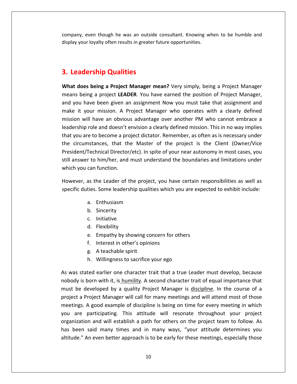even though he was an outside consultant. Knowing when to be humble and company, even though he was an outside consultant. Knowing when to be humble and **Leadership** 1993 and though the was an outside lay your loyalty often results in greater for the proof.<br> **Leadership Qualities** display your loyalty often results in greater future opportunities. **does** being a Project Manager mean? Very simply, being a Project Manager<br> **does being a Project Manager mean?** Very simply, being a Project Manager

# **3. Leadership Qualities**

**3.**

**3. Leadership Qualities<br>What does being a Project Manager mean?** Very simply, being a Project Manager,<br>means being a project LEADER. You have earned the position of Project Manager, **Eadership Qualities**<br> **Eadership Qualities**<br> **Exercy Set and Annager mean?** Very simply, being a Project Manager<br>
In a project Leader And a assignment Now you must take that assignment and<br> **Solution Annager, wou have bee adership Qualities**<br>**does being a Project Manager mean?** Very simply, being a Project Manager<br>being a project **LEADER**. You have earned the position of Project Manager,<br>u have been given an assignment Now you must take th **DETSTIP QUATTIES**<br>
Des being a Project Manager mean? Very simply, being a Project Manager<br>
eing a project LEADER. You have earned the position of Project Manager,<br>
have been given an assignment Now you must take that assi What does being a Project Manager mean? Very simply, being a Project Manager **being a Project Manager mean?** Very simply, being a Project Manager and a project LEADER. You have earned the position of Project Manager, ave been given an assignment Now you must take that assignment and pur mission. A means being a project LEADER. You have earned the position of Project Manager, The being a project **LEADER**. You have earned the position of Project Manager, you have been given an assignment Now you must take that assignment and is it your mission. A Project Manager who operates with a clearly defin and you have been given an assignment Now you must take that assignment and circumstances, that the Master of the project is the Client (Owner/Vice<br>circumstances, that the Master of the project Manager who operates with a clearly defined<br>ion will have an obvious advantage over another PM who canno make it your mission. A Project Manager who operates with a clearly defined on. A Project Manager who operates with a clearly defined<br>a obvious advantage over another PM who cannot embrace a<br>doesn't envision a clearly defined mission. This in no way implies<br>me a project dictator. Remember, as ofte mission will have an obvious advantage. When operates with a steamly defined mission will have an obvious advantage over another PM who cannot embrace a leadership role and doesn't envision a clearly defined mission. This leadership role and doesn't envision a clearly defined mission. This in no way implies mission will have an essued<br>leadership role and doesn't a<br>that you are to become a pro<br>the circumstances, that the<br>President/Technical Director<br>still answer to him/her, and<br>which you can function. re to become a project dictator. Remember, as often as is necessary under<br>nstances, that the Master of the project is the Client (Owner/Vice<br>Technical Director/etc). In spite of your near autonomy in most cases, you<br>r to h the cir $\epsilon$ President/Technical Director/etc). In spite of your near autonomy in most cases, you still answer to him/her, and must understand the boundaries and limitations under him/her, and must under<br>function.<br>he Leader of the project,<br>Some leadership qualities. which you can function.

function.<br>he Leader of the<br>Sincerity.<br>Sincerity. he Leader of the<br>Initiative leadership<br>Inthusiasm<br>Sincerity<br>Initiative as he Leader of the<br>. Some leadership<br>Enthusiasm<br>Sincerity<br>Initiative<br>Flexibilitv specific duties. Some leadership qualities which you are expected to exhibit include: . Some leadership qualities which you are exper<br>Enthusiasm<br>Sincerity<br>Initiative<br>Flexibility<br>Empathy by showing concern for others

- a. Enthusiasm
- b. Sincerity
- c. Initiative
- 
- Enthusiasm<br>Sincerity<br>Initiative<br>Flexibility<br>Empathy by showing concern for c<br>Interest in other's opinions Sincerity<br>Sincerity<br>Initiative<br>Flexibility<br>Empathy by showing co<br>Interest in other's opini<br>A teachable spirit Shicerry<br>Flexibility<br>Flexibility<br>Empathy by showing concern for others<br>Interest in other's opinions<br>A teachable spirit<br>Willingness to sacrifice your ego
- 
- 
- 

you are participating. This attitude will resonate throughout your project d. Flexibility<br>
e. Empathy by showing concern for others<br>
f. Interest in other's opinions<br>
g. A teachable spirit<br>
h. Willingness to sacrifice your ego<br>
was stated earlier one character trait that a true Leader must develop e. Empathy by showing concern for others<br>
f. Interest in other's opinions<br>
g. A teachable spirit<br>
h. Willingness to sacrifice your ego<br>
stated earlier one character trait that a true Leader must develop, because<br>
is born w f. Interest in other's opinions<br>
g. A teachable spirit<br>
h. Willingness to sacrifice your ego<br>
s stated earlier one character trait that a true Leader must develop, because<br>
ly is born with it, is humility. A second charact g. A teachable spirit<br>
h. Willingness to sacrifice your ego<br>
stated earlier one character trait that a true Leader must develop, because<br>
is born with it, is humility. A second character trait of equal importance that<br>
a d h. Willingness to sacrifice your ego<br>ted earlier one character trait that a true Leader must develop, because<br>born with it, is humility. A second character trait of equal importance that<br>leveloped by a quality Project Mana As was stated earlier one character trait that a true Leader must develop, because In a stated earlier one character trait that a true Leader must develop, because<br>dy is born with it, is humility. A second character trait of equal importance that<br>be developed by a quality Project Manager is <u>discipline</u>. nobody is born with it, is humility. A second character trait of equal importance that First with it, is humility. A second character trait of equal importance that<br>eloped by a quality Project Manager is <u>discipline</u>. In the course of a<br>ject Manager will call for many meetings and will attend most of those<br>g must be developed by a quality Project Manager is discipline. In the course of a be developed by a quality Project Manager is <u>discipline</u>. In the course of a<br>ect a Project Manager will call for many meetings and will attend most of those<br>tings. A good example of discipline is being on time for every m project a Project Manager will call for many meetings and will attend most of those meetings. A good example of discipline is being on time for every meeting in which<br>you are participating. This attitude will resonate throughout your project<br>organization and will establish a path for others on the project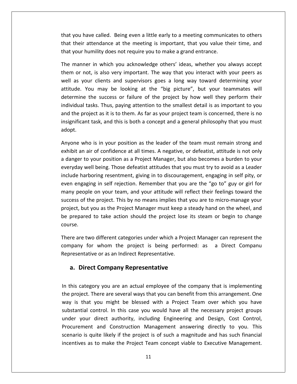you have called. Being even <sup>a</sup> little early to <sup>a</sup> meeting communicates to others ou have called. Being even a little early to a meeting communicates to others<br>their attendance at the meeting is important, that you value their time, and that you have called. Being even a little early to a meeting communic<br>that their attendance at the meeting is important, that you value the<br>that your humility does not require you to make a grand entrance. you have called. Being even a little early to a meeting communicates to others<br>their attendance at the meeting is important, that you value their time, and<br>your humility does not require you to make a grand entrance.<br>manne ou have called. Being even a little early to a meeting communicates to others<br>heir attendance at the meeting is important, that you value their time, and<br>our humility does not require you to make a grand entrance.<br>nanner i that you have called. Being even a little early to a meeting communicates to others<br>their attendance at the meeting is important, that you value their time, and<br>your humility does not require you to make a grand entrance.<br>manne that their attendance at the meeting is important, that you value their time, and that your humility does not require you to make a grand entrance.

attendance at the meeting is important, that you value their time, and<br>humility does not require you to make a grand entrance.<br>ler in which you acknowledge others' ideas, whether you always accept<br>loot, is also very import umility does not require you to make a grand entrance.<br>
r in which you acknowledge others' ideas, whether you always accept<br>
t, is also very important. The way that you interact with your peers as<br>
ur clients and superviso The manner in which you acknowledge others' ideas, whether you always accept er in which you acknowledge others' ideas, whether you always accept<br>ot, is also very important. The way that you interact with your peers as<br>our clients and supervisors goes a long way toward determining your<br>You may be l them or not, is also very important. The way that you interact with your peers as the project as it is to them. As far as your project team is concerned, there is no<br>the project as it is to them. As far as your project as it is to them. As far as your team is concerned, their<br>them. Thus, paying attentio well as your clients and supervisors goes a long way toward determining your the state of the project and supervisors are also along way toward determining your<br>a may be looking at the "big picture", but your teammates will<br>the success or failure of the project by how well they perform their<br>sks. T  $\frac{1}{1}$ determine<br>individual t<br>and the pro<br>insignifican<br>adopt. ne the success or failure of the project by how well they perform their<br>al tasks. Thus, paying attention to the smallest detail is as important to you<br>project as it is to them. As far as your project team is concerned, the individ al tasks. Thus, paying attention to the smallest detail is as important to you<br>
i project as it is to them. As far as your project team is concerned, there is no<br>
icant task, and this is both a concept and a general philos and the project as it is to them. As far as your project team is concerned, there is no nd the project as it is to them. As far as your project team is concerned, there is no<br>significant task, and this is both a concept and a general philosophy that you must<br>dopt.<br>nyone who is in your position as the leader o insignificant task, and this is both a concept and a general philosophy that you must adopt.

Int task, and this is both a concept and a general philosophy that you must<br>who is in your position as the leader of the team must remain strong and<br>air of confidence at all times. A negative, or defeatist, attitude is not who is in your position as the leader of the team must remain strong and<br>an air of confidence at all times. A negative, or defeatist, attitude is not only<br>r to your position as a Project Manager, but also becomes a burden Anyone who is in your position as the leader of the team must remain strong and hengaging in self rejection. Remember that you are the igo to your position as a Project Manager, but also becomes a burden to your day well being. Those defeatist attitudes that you must try to avoid as a Leader is harbor exhibit an air of confidence at all times. A negative, or defeatist, attitude is not only people on your position as the leader of the team mast remain strong and<br>t an air of confidence at all times. A negative, or defeatist, attitude is not only<br>ger to your position as a Project Manager, but also becomes a bur  $\frac{1}{1}$ of the project Manager, but also becomes a burden to your<br>y well being. Those defeatist attitudes that you must try to avoid as a Leader<br>harboring resentment, giving in to discouragement, engaging in self pity, or<br>gaging i a aange but y well being. Those defeatist attitudes that you must try to avoid as a Leader<br>harboring resentment, giving in to discouragement, engaging in self pity, or<br>gaging in self rejection. Remember that you are the "go to" gu  $\ddot{\phantom{0}}$  . premiseing. Those detection dititivates that you must try to droid as a bedde.<br>
ude harboring resentment, giving in to discouragement, engaging in self pity, or<br>
n engaging in self rejection. Remember that you are the "go even engaging in self rejection. Remember that you are the "go to" guy or girl for many peopl<br>success of t<br>project, but<br>be prepared<br>course. people on your team, and your attitude will reflect their feelings toward the<br>s of the project. This by no means implies that you are to micro-manage your<br>t, but you as the Project Manager must keep a steady hand on the wh success o the project. This by no means implies that you are to micro-manage your<br>it you as the Project Manager must keep a steady hand on the wheel, and<br>ed to take action should the project lose its steam or begin to change<br>wo diff project, but you as the Project Manager must keep a steady hand on the wheel, and iect, but you as the Project Manager must keep a<br>prepared to take action should the project lose<br>rse.<br>re are two different categories under which a Pro<br>pany for whom the project is being perfor<br>resentative or as an Indirec

be the same of the project lose it<br>
re two different categories under which a Projec<br>
re two different categories under which a Projec<br>
py for whom the project is being performe<br>
entative or as an Indirect Representative.<br> There are two different categories under which a Project Manager can represent the the arc two unterent categories under which a Froject Manager can represent the<br>mpany for whom the project is being performed: as a Direct Companu<br>presentative or as an Indirect Representative<br>a. Direct Company Representat  $\overline{\phantom{a}}$ Representative or as an Indirect Representative.

## a. Direct Company Representative

under your direct authority, including Engineering and Design, Cost Control, pany for whom the project is being performed. as a biffeed compand<br>resentative or as an Indirect Representative<br>is category you are an actual employee of the company that is implementing<br>project. There are several ways tha **Direct Company Representative**<br>is category you are an actual employee of the company that is implementing<br>roject. There are several ways that you can benefit from this arrangement. One<br>is that you might be blessed with a **ct Company Representative**<br>gory you are an actual employee of the company that is implementing<br>There are several ways that you can benefit from this arrangement. One<br>i you might be blessed with a Project Team over which y In this category you are an actual employee of the company that is implementing<br>the project. There are several ways that you can benefit from this arrangement. One<br>way is that you might be blessed with a Project Team over y you are an actual employee of the company that is implementing<br>ere are several ways that you can benefit from this arrangement. One<br>ou might be blessed with a Project Team over which you have<br>atrol. In this case you woul In this category you are an actual employee of the company that is implementing<br>the project. There are several ways that you can benefit from this arrangement. One is and the project of the company that is implementing<br>that you might be blessed with a Project Team over which you have<br>al control. In this case you would have all the necessary project groups<br>bur direct authority, includ way is that you might be blessed with a Project Team over which you have substantial control. In this case you would have all the necessary project groups<br>under your direct authority, including Engineering and Design, Cost Control,<br>Procurement and Construction Management answering directly to y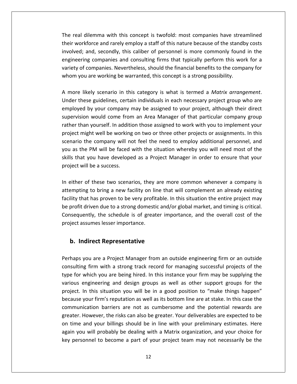real dilemma with this concept is twofold: most companies have streamlined workforce and rarely employ a staff of this nature because of the standby costs<br>workforce and rarely employ a staff of this nature because of the standby costs dilemma with this concept is twofold: most companies have streamlined<br>and, secondly, this caliber of personnel is more commonly found in the<br>the secondly, this caliber of personnel is more commonly found in the mma with this concept is twofold: most companies have streamlined<br>rce and rarely employ a staff of this nature because of the standby costs<br>d, secondly, this caliber of personnel is more commonly found in the<br>companies and Il dilemma with this concept is twofold: most companies have streamlined<br>orkforce and rarely employ a staff of this nature because of the standby costs<br>d; and, secondly, this caliber of personnel is more commonly found in The real dilemma with this concept is twofold: most companies have streat<br>their workforce and rarely employ a staff of this nature because of the standl<br>involved; and, secondly, this caliber of personnel is more commonly f involved; and, secondly, this caliber of personnel is more commonly found in the engineering companies and consulting firms that typically perform this work for a variety of companies. Nevertheless, should the financial be these guidelines, certain individuals in each necessary project group who are<br>these guidelines. Characterines, should the financial benefits to the company for<br>you are working be warranted, this concept is a strong possibi engineering companies and consulting firms that typically perform this work for a variety of companies. Nevertheless, should the financial benefits to the company for vancey or e whom

by companies and consumity may that typically perform this work for a<br>companies. Nevertheless, should the financial benefits to the company for<br>are working be warranted, this concept is a strong possibility.<br>Lely scenario mpames. Nevertheress, should the minimidal sentents to the compant, i.e.<br>The working be warranted, this concept is a strong possibility.<br>Iy scenario in this category is what is termed a *Matrix arrangement*.<br>guidelines, ce than you are working se warranted, this concept is a strong possibility.<br>
In a Matrix arrangement.<br>
In assigned to your project, although their direct<br>
In a Wourdan yourself. In addition those assigned to work with you to A more likely scenario in this category is what is termed a Matrix arrangement. likely scenario in this category is what is termed a *Matrix arrangement*.<br>hese guidelines, certain individuals in each necessary project group who are<br>ed by your company may be assigned to your project, although their dir s more<br>.. . . .. the company may be assigned to your project group who are<br>the by your company may be assigned to your project, although their direct<br>on would come from an Area Manager of that particular company group<br>an yourself. In addit youas the PM will be faced with the situation whereby you will need most of the situation would come from an Area Manager of that particular company group er than yourself. In addition those assigned to work with you to imple employed by your company may be assigned to your project, although their direct<br>supervision would come from an Area Manager of that particular company group That you dempthate that particular company group<br>vision would come from an Area Manager of that particular company group<br>r than yourself. In addition those assigned to work with you to implement your<br>ct might well be worki rather than yourself. In addit<br>project might well be working<br>scenario the company will n<br>you as the PM will be faced<br>skills that you have develope<br>project will be a success. Scenario the company will not feel the need to employ additional personnel, and<br>you as the PM will be faced with the situation whereby you will need most of the<br>skills that you have developed as a Project Manager in order  $\frac{1}{2}$ For the face of the mead to employ dualities. Personnel, and<br>PM will be faced with the situation whereby you will need most of the<br>ou have developed as a Project Manager in order to ensure that your<br>be a success.<br>these two you as the PM will be faced with the situation whereby you will need most of the skills that you have developed as a Project Manager in order to ensure that your project will be a success.

that you have developed as a Project Manager in order to ensure that your<br>will be a success.<br>The very profit manager in order to ensure that your<br>will be a success.<br>The profit may be very profit and will complement an alre project will be a success.<br>
In either of these two scenarios, they are more common whenever a company is<br>
attempting to bring a new facility on line that will complement an already existing<br>
facility that has proven to be Examples are set two scenarios, they are more common whenever a company is<br>pring a new facility on line that will complement an already existing<br>proven to be very profitable. In this situation the entire project may<br>i due In either of these two scenarios, they<br>attempting to bring a new facility on li<br>facility that has proven to be very profit<br>be profit driven due to a strong domesti<br>Consequently, the schedule is of great<br>project assumes les Importing to bring a new facility on line that<br> **Indirect** into the very profitable.<br>
Indirect be schedule is of greater im<br> **Indirect Representative** Consequently, the schedule is of greater importance, and the overall cost of the ently, the schedule is of greater importance, and the overall cost of the<br>ssumes lesser importance.<br>**Indirect Representative**<br>vou are a Proiect Manager from an outside engineering firm or an outside project assumes lesser importance.

#### b. Indirect Representative project.

engineering

greater. However, the risks can also be greater. Your deliverables are expected to be irect Representative<br>irect Representative<br>u are a Project Manager from an outside engineering firm or an outside<br>firm with a strong track record for managing successful projects of the **Indirect Representative**<br>aps you are a Project Manager from an outside engineering firm or an outside<br>ulting firm with a strong track record for managing successful projects of the<br>for which you are being hired. In this i **ndirect Representative**<br>you are a Project Manager from an outside engineering firm or an outside<br>ng firm with a strong track record for managing successful projects of the<br>which you are being hired. In this instance your In this situation and outside engineering firm or an outside<br>
In this situation you are being hired. In this instance your firm may be supplying the<br>
University of the various engineering and design groups as well as other you are a Project Manager from an outside engineering firm or an outside<br>ig firm with a strong track record for managing successful projects of the<br>which you are being hired. In this instance your firm may be supplying the  $\frac{1}{2}$ comunication with a strong track record for managing successful projects of the<br>bou are being hired. In this instance your firm may be supplying the<br>ring and design groups as well as other support groups for the<br>iituation you will be i type for which you are being hired. In this instance your firm may be supplying the Which you are being hired. In this instance your firm may be supplying the engineering and design groups as well as other support groups for the In this situation you will be in a good position to "make things happen" your various engineering and design groups as well as other support groups for the the tot when you are being mreat in this instance your firm may be supprying the<br>ject. In this situation you will be in a good position to "make things happen"<br>ause your firm's reputation as well as its bottom line are at project. In this situation you will be in a good position to "make things happen" you will be in a good position to "make things happen"<br>se your firm's reputation as well as its bottom line are at stake. In this case the<br>unication barriers are not as cumbersome and the potential rewards are<br>r. However, because your firm's reputation as well as its bottom line are at stake. In this case the personal to become a part of your project team may not necessarily be the munication barriers are not as cumbersome and the potential rewards are ter. However, the risks can also be greater. Your deliverables are expected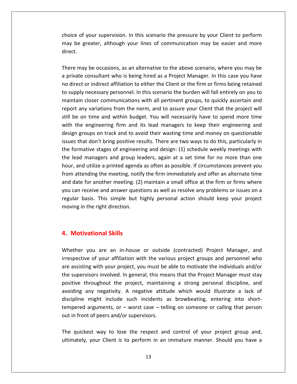of your supervision. In this scenario the pressure by your Client to perform be of your supervision. In this scenario the pressure by your Client to perform<br>be greater, although your lines of communication may be easier and more choice of y<br>may be gree<br>direct. of your supervision. In this scenario the pressure by your Client to perform<br>e greater, although your lines of communication may be easier and more<br>may be occasions, as an alternative to the above scenario, where you may b **a** private of your supervision. In this scenario the pressure by your Client to perform<br>ay be greater, although your lines of communication may be easier and more<br>rect.<br>nere may be occasions, as an alternative to the above sc may be greater, although your lines of communication may be easier and more direct. un code

gives or your supervision. In this section the pressure by your ellent to perform<br>y be greater, although your lines of communication may be easier and more<br>ect.<br>ree may be occasions, as an alternative to the above scenario supply the git attempt of the above scenario, where you may be<br>ect.<br>There may be occasions, as an alternative to the above scenario, where you may be<br>private consultant who is being hired as a Project Manager. In this case y be occasions, as an alternative to the above scenario, where you may be consultant who is being hired as a Project Manager. In this case you have or indirect affiliation to either the Client or the firm or firms being re There may be occasions, as an alternative to the above scenario, where you may be may be occasions, as an alternative to the above scenario, where you may be<br>te consultant who is being hired as a Project Manager. In this case you have<br>ct or indirect affiliation to either the Client or the firm or firms a private consultant who is being hired as a Project Manager. In this case you have be may be beeasions, as an ancennative to the above securities, where you may be<br>vate consultant who is being hired as a Project Manager. In this case you have<br>irect or indirect affiliation to either the Client or the firm no direct or indirect affiliation to either the Client or the firm or firms being retained the engineering firm and its lead managers to keep their engineering and<br>the engineering firm and the burden will fall entirely on you to<br>tain closer communications with all pertinent groups, to quickly ascertain and<br>t any to supply necessary personnel. In this scenario the burden will fall entirely on you to groups or manced annuation to ether the enemetred the mini-or minis-seing retained<br>ily necessary personnel. In this scenario the burden will fall entirely on you to<br>in closer communications with all pertinent groups, to qu is sup<br>.. that don't bring positive results. There are two ways to quickly ascertain and<br>any variations from the norm, and to assure your Client that the project will<br>on time and within budget. You will necessarily have to spend mor the<br>T from the stages of engineering and design: (1) schedule weekly meetings with the the protocol of the engineering firm and its lead managers to keep their engineering and gn groups on track and to avoid their wasting time a report any variations from the norm, and to assure your Client that the project will<br>still be on time and within budget. You will necessarily have to spend more time Lead, the managers and within budget. You will necessarily have to spend more time<br>the engineering firm and its lead managers to keep their engineering and<br>gn groups on track and to avoid their wasting time and money on qu with the engineering firm and its lead managers to keep their engineering and For the engineering firm and its lead managers to keep their engineering and<br>a groups on track and to avoid their wasting time and money on questionable<br>that don't bring positive results. There are two ways to do this, par design groups on track and to avoid their wasting time and money on questionable atter engineering thin and its tead managers to keep their engineering and<br>at the mergeric meeting in a process of the state do this and money on questionable<br>be that don't bring positive results. There are two ways to do issues that don't bring positive results. There are two ways to do this, particularly in est that don't bring positive results. There are two ways to do this, particularly in<br>formative stages of engineering and design: (1) schedule weekly meetings with<br>lead managers and group leaders, again at a set time for n the formative stages of engineering and design: (1) schedule weekly meetings with Example and antive stages of engineering and design: (1) schedule weekly meetings with<br>lead managers and group leaders, again at a set time for no more than one<br>r, and utilize a printed agenda as often as possible. If circ the lead managers and group leaders, again at a set time for no more than one managers and group leaders, again at a set time for no more than one<br>d utilize a printed agenda as often as possible. If circumstances prevent you<br>ending the meeting, notify the firm immediately and offer an alternate tim moving in the read managers and group responsioner.<br>
from attending the meeting, notif<br>
and date for another meeting. (2)<br>
you can receive and answer quest<br>
regular basis. This simple but k<br>
moving in the right direction. and date for another meeting. (2) maintain a small office at the firm or firms where date for another meeting. (2)<br>can receive and answer quest<br>ular basis. This simple but h<br>ving in the right direction.<br>**Motivational Skills** moving in the right direction. you are an in-house or outside (contracted) Project Manager, and

#### 4. Motivational Skills positive

out in front of peers and/or supervisors. **Example 18 Solury Science Sectional Skills**<br>Final Skills<br>The various project project and personnel who<br>of your affiliation with the various project groups and personnel who **Motivational Skills**<br>ather you are an in-house or outside (contracted) Project Manager, and<br>spective of your affiliation with the various project groups and personnel who<br>assisting with your project, you must be able to m **Motivational Skills**<br>ether you are an in-house or outside (contracted) Project Manager, and<br>spective of your affiliation with the various project groups and personnel who<br>assisting with your project, you must be able to m you are an in-house or outside (contracted) Project Manager, and<br>ive of your affiliation with the various project groups and personnel who<br>ing with your project, you must be able to motivate the individuals and/or<br>visors i Whether you are an in-house or outside (contracted) Project Manager, and you are an in-house or outside (contracted) Project Manager, and<br>ve of your affiliation with the various project groups and personnel who<br>ng with your project, you must be able to motivate the individuals and/or<br>visors inv irrespective of your affiliation with the various project groups and personnel who mighter is the contracted of the variancy include the individuals and/or<br>irrespective of your affiliation with the various project groups and personnel who<br>are assisting with your project, you must be able to motivate the arguments, or mode in the same that the project groups and personner who are or your annuation with the values project groups and personner must stay involved. In general, this means that the Project Manager must stay invo one dissisting with your project, you mast be<br>the supervisors involved. In general, this me<br>positive throughout the project, maintain<br>avoiding any negativity. A negative attitu<br>discipline might include such incidents a<br>tem positive throughout the project, manitalising a strong personal discipline, and<br>avoiding any negativity. A negative attitude which would illustrate a lack of<br>discipline might include such incidents as browbeating, entering y ingurity. The ligarity and interest when would interest a factor of<br>might include such incidents as browbeating, entering into short-<br>reguments, or – worst case – telling on someone or calling that person<br>of peers and/or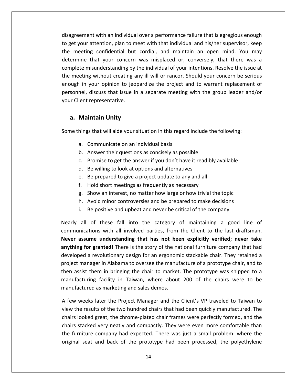with an individual over <sup>a</sup> performance failure that is egregious enough agreement with an individual over a performance failure that is egregious enough<br>get vour attention, plan to meet with that individual and his/her supervisor, keep reement with an individual over a performance failure that is egregious enough<br>it your attention, plan to meet with that individual and his/her supervisor, keep<br>meeting confidential but cordial, and maintain an open mind. Int with an individual over a performance failure that is egregious enough<br>attention, plan to meet with that individual and his/her supervisor, keep<br>g confidential but cordial, and maintain an open mind. You may<br>that your ment with an individual over a performance failure that is egregious enough<br>in attention, plan to meet with that individual and his/her supervisor, keep<br>ing confidential but cordial, and maintain an open mind. You may<br>that disagreement with an individual over a performance failure that is egregious enough greement with an individual over a performance failure that is egregious enough<br>et your attention, plan to meet with that individual and his/her supervisor, keep<br>meeting confidential but cordial, and maintain an open mind. to get your attention, plan to meet with that individual and his/her supervisor, keep inent when an individual over a performance randre that is egregious enought<br>our attention, plan to meet with that individual and his/her supervisor, keep<br>eting confidential but cordial, and maintain an open mind. You may<br> the meeting confidential but cordial, and maintain an open mind. You may discussed but cordial, and maintain an open mind. You may<br>that your concern was misplaced or, conversely, that there was a<br>isunderstanding by the individual of your intentions. Resolve the issue at<br>g without creating any i determine that your concern<br>complete misunderstanding by<br>the meeting without creating a<br>enough in your opinion to jeo<br>personnel, discuss that issue in<br>your Client representative. Ite misunderstanding by the<br>
Leting without creating any<br>
in your opinion to jeopar<br>
nel, discuss that issue in a<br>
lent representative.<br> **Maintain Unity** enough in your opinion to jeopardize the project and to warrant replacement of personnel, discuss that issue in a separate meeting with the group leader and/or your Client representative. The representative.<br> **Example 19 Sentandinal Sential Sentia**<br>
Sentandial basis<br>
Semmunicate on an individual basis

#### a. Maintain Unity

determine

**intain Unity<br>Intrain Unity Andia**<br>Superty and this regard include the form<br>Answer their questions as concisely as possible **intain Unity**<br>Is that will aide your situation in this regard include the following:<br>Communicate on an individual basis<br>Answer their questions as concisely as possible<br>Promise to get the answer if you don't have it readib In this regard include<br>
Subsemination in this regard include<br>
Communicate on an individual basis<br>
Answer their questions as concisely as possible<br>
Promise to get the answer if you don't have it readi<br>
Be willing to look at hi

- a. Communicate on an individual basis
- b. Answer their questions as concisely as possible
- Is that will aide your situation in this regard include the fo<br>Communicate on an individual basis<br>Answer their questions as concisely as possible<br>Promise to get the answer if you don't have it readibly av<br>Be willing to loo Communicate on an individual basis<br>Answer their questions as concisely as possible<br>Promise to get the answer if you don't have it readibly a<br>Be willing to look at options and alternatives<br>Be prepared to give a project upda Sommaneate on an inaly data basis<br>Answer their questions as concisely as possible<br>Promise to get the answer if you don't have it readibly available<br>Be willing to look at options and alternatives<br>Be prepared to give a proje h.Promise to get the answer if you don't have it readibly available<br>Be willing to look at options and alternatives<br>Be prepared to give a project update to any and all<br>Hold short meetings as frequently as necessary<br>Show an in
- d. Be willing to look at options and alternatives
- 
- f. Hold short meetings as frequently as necessary
- Be willing to look at options and alternatives<br>Be prepared to give a project update to any and all<br>Hold short meetings as frequently as necessary<br>Show an interest, no matter how large or how trivial the topic<br>Avoid minor c
- h. Avoid minor controversies and be prepared to make decisions
- Example: Be prepared to give a project update to any and all<br>
Allof short meetings as frequently as necessary<br>
Allof show an interest, no matter how large or how trivial the topic<br>
Avoid minor controversies and be prepared i.

f. Hold short meetings as frequently as necessary<br>g. Show an interest, no matter how large or how trivial the topic<br>h. Avoid minor controversies and be prepared to make decisions<br>i. Be positive and upbeat and never be crit **a**. Show an interest, no matter how large or how trivial the topic<br> **h.** Avoid minor controversies and be prepared to make decisions<br> **i.** Be positive and upbeat and never be critical of the company<br> **all** of these fall i Avoid minor controversies and be prepared to make decisions<br>Be positive and upbeat and never be critical of the company<br>Il of these fall into the category of maintaining a good line of<br>cations with all involved parties, fr Be positive and upbeat and never be critical of the company<br>of these fall into the category of maintaining a good line of<br>itions with all involved parties, from the Client to the last draftsman.<br>**ume understanding that has** Nearly all of these fall into the category of maintaining a good line of all of these fall into the category of maintaining a good line of nications with all involved parties, from the Client to the last draftsman.<br> **assume understanding that has not been explicitly verified; never take g** fo communications with all involved parties, from the Client to the last draftsman. assist them in bringing that has not been explicitly verified; never take ing for granted! There is the story of the national furniture company that had oped a revolutionary design for an ergonomic stackable chair. They re Never assume understanding that has not been explicitly verified; never take In the minimizary partics, non- the cheme to the rase dialesmining<br> **understanding that has not been explicitly verified; never take**<br> **anted!** There is the story of the national furniture company that had<br>
rin Alabama to anything for granted! There is the story of the national furniture company that had anything for granted! There is the story of the nadeveloped a revolutionary design for an ergonom<br>project manager in Alabama to oversee the manu-<br>then assist them in bringing the chair to market<br>manufacturing facility in T veloped a revolutionary design for an ergonomic stackable chair. They retained a<br>pject manager in Alabama to oversee the manufacture of a prototype chair, and to<br>en assist them in bringing the chair to market. The prototyp project manager in Alabama to oversee the manufacture of a prototype chair, and to theresults of the manufacture of a prototype chair, and to<br>assist them in bringing the chair to market. The prototype was shipped to a<br>facturing facility in Taiwan, where about 200 of the chairs were to be<br>factured as mark then a ssist them in bringing the chair to market. The prototype was shipped to a<br>acturing facility in Taiwan, where about 200 of the chairs were to be<br>actured as marketing and sales demos.<br>weeks later the Project Manager and the manufacturing facility in Taiwan, where about 200 of the chairs were to be manufactured as marketing and sales demos.

chairs looked great, the chrome-plated chair frames were perfectly formed, and the acturing facility in Taiwan, where about 200 of the chairs were to be<br>actured as marketing and sales demos.<br>weeks later the Project Manager and the Client's VP traveled to Taiwan to<br>ne results of the two hundred chairs tha ufactured as marketing and sales demos.<br>
w weeks later the Project Manager and the Client's VP traveled to Taiwan to<br>
the results of the two hundred chairs that had been quickly manufactured. The<br>
rs looked great, the chro A few weeks later the Project Manager and the Client's VP traveled to Taiwan to view the results of the two hundred chairs that had been quickly manufactured. The chairs looked great, the chrome-plated chair frames were perfectly formed, and the chairs stacked very neatly and compactly. They were even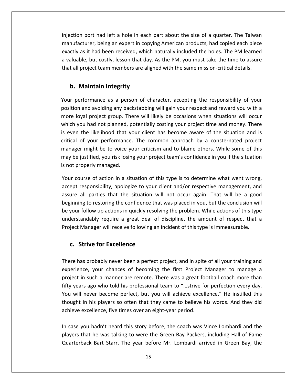port had left <sup>a</sup> hole in each part about the size of <sup>a</sup> quarter. The Taiwan and left a hole in each part about the size of a quarter. The Taiwan<br>being an expert in copying American products, had copied each piece m port had left a hole in each part about the size of a quarter. The Taiwan<br>cturer, being an expert in copying American products, had copied each piece<br>as it had been received. which naturally included the holes. The PM le iection port had left a hole in each part about the size of a quarter. The Taiwan<br>anufacturer, being an expert in copying American products, had copied each piece<br>valuable, but costly, lesson that day. As the PM, you must injection port had left a hole in each part about the size of a quarter. The Taiwan<br>manufacturer, being an expert in copying American products, had copied each piece Im port had left a hole in each<br> **Integral interpretive to the integral contract term**<br>
integrity, lesson that day.<br> **Integrity**<br> **Maintain Integrity** exactly as it had been received, which naturally included the holes. The PM learned performance as a person of character, accepting the responsibility of your<br>performance as a person of character, accepting the responsibility of your<br>performance as a person of character, accepting the responsibility of yo a valuable, but costly, lesson that day. As the PM, you must take the time to assure that all project team members are aligned with the same mission-critical details.

a

and avoiding any backstabbing will gain you respect and reward vou with a<br>and avoiding any backstabbing will gain your respect and reward you with a<br>diad avoiding any backstabbing will gain your respect and reward you with In project team inembers are angried with the same mission eritical details.<br> **Maintain Integrity**<br>
Derformance as a person of character, accepting the responsibility of your<br>
Doval proiect group. There will likely be occa **Maintain Integrity**<br>
verformance as a person of character, accepting the responsibility of your<br>
in and avoiding any backstabbing will gain your respect and reward you with a<br>
oyal project group. There will likely be occa **b. Maintain Integrity**<br>ur performance as a person of character, accepting the responsibility of your<br>sition and avoiding any backstabbing will gain your respect and reward you with a<br>pre loyal project group. There will li Your performance as a person of character, accepting the responsibility of your erformance as a person of character, accepting the responsibility of your<br>and avoiding any backstabbing will gain your respect and reward you with a<br>yal project group. There will likely be occasions when situations will oc  $\sum_{n=1}^{\infty}$ might be to voice your criticism and to blame others. While some of this be to voice your project time and money. There it is all project group. There will likely be occasions when situations will occur a had not planned, posi be loyal project group. There will likely be occasions when situations will occur<br>h you had not planned, potentially costing your project time and money. There<br>en the likelihood that your client has become aware of the sit more loyar project group. The<br>which you had not planned, p<br>is even the likelihood that y<br>critical of your performance<br>manager might be to voice y<br>may be justified, you risk losir<br>is not properly managed. is even the likelihood that your client has become aware of the situation and is<br>critical of your performance. The common approach by a consternated project<br>manager might be to voice your criticism and to blame others. Whi of your performance. The common approach by a consternated project<br>
r might be to voice your criticism and to blame others. While some of this<br>
justified, you risk losing your project team's confidence in you if the situat manager might be to voice your criticism and to blame others. While some of this r might be to voice your criticism and to blame others. While some of this<br>justified, you risk losing your project team's confidence in you if the situation<br>operly managed.<br>urse of action in a situation of this type is to may be justified, you risk losing your project team's confidence in you if the situation is not properly managed.

tified, you risk losing your project team's confidence in you if the situation<br>erly managed.<br>se of action in a situation of this type is to determine what went wrong,<br>ponsibility, apologize to your client and/or respective ot properly managed.<br>
ur course of action in a situation of this type is to determine what went wrong,<br>
ept responsibility, apologize to your client and/or respective management, and<br>
ure all parties that the situation wil Your course of action in a situation of this type is to determine what went wrong, ction in a situation of this type is to determine what went wrong,<br>bility, apologize to your client and/or respective management, and<br>es that the situation will not occur again. That will be a good<br>coring the confidence th accept responsibility, apologize to your client and/or respective management, and Manager of action in a situation of this type is to actemnic what went wrong<br>ept responsibility, apologize to your client and/or respective management, and<br>ure all parties that the situation will not occur again. That will all parties that the situation will parties that the situation will parties that the situation will receive following an Manager will receive following an **Strive for Excellence** understandably require a great deal of discipline, the amount of respect that a standably require a great deal of discipline, the amount of respect that a<br>it Manager will receive following an incident of this type is immeasurable.<br>**Strive for Excellence**<br>has probably never been a perfect project, and Project Manager will receive following an incident of this type is immeasurable. project

## c. Strive for Excellence

ger will receive following an incident of this type is immeasurable.<br> **e for Excellence**<br>
bably never been a perfect project, and in spite of all your training and<br>
vour chances of becoming the first Project Manager to man Strive for Excellence<br>as probably never been a perfect project, and in spite of all your training and<br>nce, your chances of becoming the first Project Manager to manage a<br>in such a manner are remote. There was a great footb **c. Strive for Excellence**<br>There has probably never been a perfect project, and in spite of all your training and<br>experience, your chances of becoming the first Project Manager to manage a<br>project in such a manner are remo e has probably never been a perfect project, and in spite of all your training and<br>rience, your chances of becoming the first Project Manager to manage a<br>ect in such a manner are remote. There was a great football coach mo  $\mathbf{t}$  thought is probably never been a perfect project, and in spite of all your training and<br>ce, your chances of becoming the first Project Manager to manage a<br>n such a manner are remote. There was a great football coach more than<br>is a  $\frac{1}{2}$ experience, your chances of becoming the first Project Manager to manage a project in such a manner are remote. There was a great football coach more than fifty years ago who told his professional team to "...strive for pe fifty years ago who told his professional team to "...strive for perfection every day. gives in such a manner are remote. There was a great rootsain eaten more than<br>y years ago who told his professional team to "...strive for perfection every day.<br>u will never become perfect, but you will achieve excellence. You will never become perfect, but you will achieve excellence." He instilled this The was talking to were the Green Bay Packers, including Hall of Fame<br>that he was talking to were the Green Bay Packers, including Hall of Fame<br>that he was talking to were the Green Bay Packers, including Hall of Fame thought in his players so often that they came to believe his words. And they did

In case you hadn't heard this story before, the coach was Vince Lombardi and the players that he was talking to were the Green Bay Packers, including Hall of Fame Quarterback Bart Starr. The year before Mr. Lombardi arrive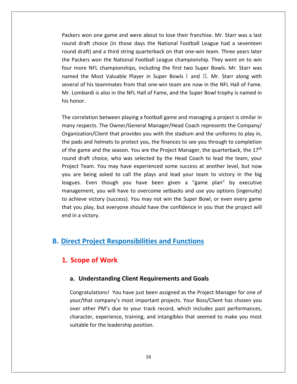won one game and were about to lose their franchise. Mr. Starr was <sup>a</sup> last of the same and were about to lose their franchise. Mr. Starr was a last draft choice (in those days the National Football League had a seventeen s won one game and were about to lose their franchise. Mr. Starr was a last<br>draft choice (in those days the National Football League had a seventeen<br>draft) and a third string quarterback on that one-win team. Three years l Fackers won one game and were about to lose their franchise. Mr. Starr was a last<br>And draft choice (in those days the National Football League had a seventeen<br>And draft) and a third string quarterback on that one-win team. ers won one game and were about to lose their franchise. Mr. Starr was a last<br>d draft choice (in those days the National Football League had a seventeen<br>d draft) and a third string quarterback on that one-win team. Three y Packers won one game and were about to lose their francound draft choice (in those days the National Football round draft) and a third string quarterback on that one-w the Packers won the National Football League champions round draft choice (in those days the National Football League had a seventeen Found draft choice (in those days the National Football League had a seventeen<br>round draft) and a third string quarterback on that one-win team. Three years later<br>the Packers won the National Football League championship. Lombardi is also in the NFL Hall of Fame, and the Super Bowls. Three years later<br>Packers won the National Football League championship. They went on to win<br>more NFL championships, including the first two Super Bowls. Mr. S round draft) and a third string quarterback on that one-win team. Three years later<br>the Packers won the National Football League championship. They went on to win four more NFL championships, including the first two Super Bowls. Mr. Starr was<br>named the Most Valuable Player in Super Bowls I and II. Mr. Starr along with ed the Most Valuable Player in Super Bowls I and II. Mr. Starr along with<br>ral of his teammates from that one-win team are now in the NFL Hall of Fame.<br>Lombardi is also in the NFL Hall of Fame, and the Super Bowl trophy is several of his teammates from that one-win team are now in the NFL Hall of Fame. respects. The Owner/General Manager/Head Coach represents the Company/<br>In of his teammates from that one-win team are now in the NFL Hall of Fame.<br>Innor.<br>Interlation between playing a football game and managing a project i Mr. Lombardi is also in the NFL Hall of Fame, and the Super Bowl trophy is named in his honor.

r franchise. Mr. Starr was a last<br>otball League had a seventeen<br>one-win team. Three years later<br>pionship. They went on to win<br>wo Super Bowls. Mr. Starr was<br>I and II. Mr. Starr along with<br>re now in the NFL Hall of Fame.<br>Sup Several of this teaminates from that one will team are now in the WE half of Fame.<br>Mr. Lombardi is also in the NFL Hall of Fame, and the Super Bowl trophy is named in<br>his honor.<br>The correlation between playing a football g parameters and helmets to protect you, the finances to see you through to correlation between playing a football game and managing a project is similar in<br>the protect of the owner/General Manager/Head Coach represents the the correlation between playing a football game and managing a project is similar in<br>iny respects. The Owner/General Manager/Head Coach represents the Company/<br>ganization/Client that provides you with the stadium and the u thThe correlation between playing a football game and managing a project is similar in<br>many respects. The Owner/General Manager/Head Coach represents the Company/<br>Organization/Client that provides you with the stadium and th many respects. The Owner/General Manager/Head Coach represents the Company/ Exactor: Setween playing a redessain gainte and managing a project is similar in<br>spects. The Owner/General Manager/Head Coach represents the Company/<br>ation/Client that provides you with the stadium and the uniforms to play Organization/Client that provides you with the stadium and the uniforms to play in, mization/Client that provides you with the stadium and the uniforms to play in,<br>pads and helmets to protect you, the finances to see you through to completion<br>e game and the season. You are the Project Manager, the quarte the pads and helmets to protect you, the finances to see you through to completion Even that provides you with the station and the annorms to play in,<br>and helmets to protect you, the finances to see you through to completion<br>ne and the season. You are the Project Manager, the quarterback, the 17<sup>th</sup><br>ft of the game and the season. You are the Project Manager, the quarterback, the  $17<sup>th</sup>$ In the season. You are the Project Manager, the quarterback, the 17<sup>th</sup> noice, who was selected by the Head Coach to lead the team, your You may have experienced some success at another level, but now asked to call the pla round draft choice, who was selected by the Head Coach to lead the team, your and draft choice, who was selected by the Head Coach to lead the team, your<br>bject Team. You may have experienced some success at another level, but now<br>a are being asked to call the plays and lead your team to victory in t Project Team. You may have experienced some success at another level, but now extram. You may have experienced some success at another level, but now<br>are being asked to call the plays and lead your team to victory in the big<br>ues. Even though you have been given a "game plan" by executive<br>agement, yo you are being asked to call the plays and lead your team to victory in the big you are being asked<br>leagues. Even thou<br>management, you w<br>to achieve victory (s<br>that you play, but evend in a victory. **leagues.** Even though you have been given a "game plan" management, you will have to overcome setbacks and use you optit to achieve victory (success). You may not win the Super Bowl, or even that you play, but everyone sh to achieve victory (success). You may not win the Super Bowl, or even every game Inchieve victory (success). You mot you play, but everyone should in a victory.<br>In a victory.<br>**Scope of Work**<br>Scope of Work

# **Understanding Construmentions Systems in Functions**<br> **Understanding Client Requirements and Goals**<br> **Conderstanding Client Requirements and Goals** Congratulations!

## your/thatocc

the

## a. Understanding Client Requirements and Goals

character, experience, training, and intangibles that seemed to make you most THETTAN STREAD THE STREAD ON THE STREAD STREAD STREAD THE STREAD STREAD THE VIDEOS THE PROTON POST ONE OF STREAD THE STREAD OF STREAD THE STREAD OF STREAD THE STREAD STREAD THE STREAD STREAD THE STREAD STREAD STREAD STREAD **of Work<br>rstanding Client Requirements and Goals**<br>ations! You have just been assigned as the Project Manager for one of<br>company's most important projects. Your Boss/Client has chosen you **a. Understanding Client Requirements and Goals<br>Congratulations! You have just been assigned as the Project Manager for one of<br>your/that company's most important projects. Your Boss/Client has chosen you<br>over other PM's du Standing Client Requirements and Goals**<br>tions! You have just been assigned as the Project Manager for one of<br>company's most important projects. Your Boss/Client has chosen you<br>PM's due to your track record, which includes Congratulations! You have just been assigned as the Project Manager for one of your/that company's most important projects. Your Boss/Client has chosen you over other PM's due to your track record, which includes past perf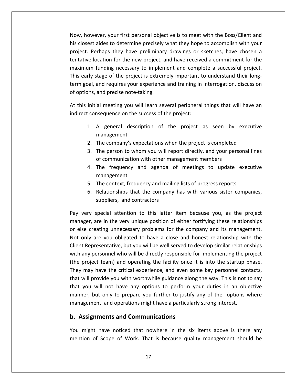however, your first personal objective is to meet with the Boss/Client and metal conservation and the Boss/Client and the wever, your first personal objective is to meet with the Boss/Client and closest aides to determine precisely what they hope to accomplish with your Wever, your first personal objective is to meet with the Boss/Client and<br>St aides to determine precisely what they hope to accomplish with your<br>Perhaps they have preliminary drawings or sketches, have chosen a location first personal objective is to meet with the Boss/Client and<br>
Laides to determine precisely what they hope to accomplish with your<br>
Let the new preliminary drawings or sketches, have chosen a<br>
location for the new Now, however, your first personal objective is to meet with the Boss/Client and<br>his closest aides to determine precisely what they hope to accomplish with your<br>project. Perhaps they have preliminary drawings or sketches, h Now, however, your first personal objective is to meet with the Boss/Client and<br>his closest aides to determine precisely what they hope to accomplish with your<br>project. Perhaps they have preliminary drawings or sketches, h mowever, your mat personal objective is to meet which the boss, onent and<br>osest aides to determine precisely what they hope to accomplish with your<br>ct. Perhaps they have preliminary drawings or sketches, have chosen a<br>tive his closest aides to determine precisely what they hope to accomplish with your<br>project. Perhaps they have preliminary drawings or sketches, have chosen a ms desest dides to determine precisely<br>project. Perhaps they have preliminar<br>tentative location for the new project, a<br>maximum funding necessary to implen<br>This early stage of the project is extren<br>term goal, and requires y tative location for the new project, and have received a commitment for the<br>ximum funding necessary to implement and complete a successful project.<br>s early stage of the project is extremely important to understand their lo maximum funding necessary to implement and complete a successful project. m funding necessary to implement and compl<br>ly stage of the project is extremely important t<br>al, and requires your experience and training in<br>ns, and precise note-taking.<br>nitial meeting you will learn several peripheral<br>con  $\frac{1}{2}$ and requires your experience and training in interrogation, discussion<br>and precise note-taking.<br>ial meeting you will learn several peripheral things that will have an<br>nsequence on the success of the project:<br>A general desc of options, and precise note-taking.

tentative

At this initial meeting you will learn several peripheral things that will have an indirect consequence on the success of the project:

- The companyion in the companyion in the companyion in the success of the project:<br>The company description of the project is completed<br>The company's expectations when the project is completed ial meeting you will learn several peripheral things that will have an<br>
is an interpretence on the success of the project:<br>
A general description of the project as seen by executive<br>
management<br>
The company's expectations equence on the success of the project:<br>general description of the project as seen by<br>anagement<br>e company's expectations when the project is completed<br>e person to whom you will report directly, and your pers<br>communication w 4.managemental mental.
- 2. The company's expectations when the project is completed
- A general description of the project as seen by executive<br>management<br>The company's expectations when the project is completed<br>The person to whom you will report directly, and your personal lines<br>of communication with other management<br>
2. The company's expectations when the project is completed<br>
3. The person to whom you will report directly, and your personal lines<br>
of communication with other management members<br>
4. The frequency and agenda 3. The person to whom you will report directly, and your personal lines The person to whom you will report directly, and your personal lines<br>of communication with other management members<br>The frequency and agenda of meetings to update executive<br>management<br>The context, frequency and mailing lis
- 
- 
- 5. The context, frequency and mailing lists of progress reports<br>6. Relationships that the company has with various sister companies,<br>suppliers, and contractors 4. The frequency and agenda of meetings to update executive<br>management<br>5. The context, frequency and mailing lists of progress reports<br>6. Relationships that the company has with various sister companies,<br>suppliers, and con management<br>The context, frequency and mailing lists of progress reports<br>Relationships that the company has with various sister companies,<br>suppliers, and contractors<br>special attention to this latter item because you, as the

5. The context, frequency and mailing lists of progress reports<br>6. Relationships that the company has with various sister companies,<br>suppliers, and contractors<br>Pay very special attention to this latter item because you, as 6. Relationships that the company has with various sister companies,<br>suppliers, and contractors<br>very special attention to this latter item because you, as the project<br>ager, are in the very unique position of either fortify suppliers, and contractors<br>ery special attention to this latter item because you, as the project<br>ger, are in the very unique position of either fortifying these relationships<br>e creating unnecessary problems for the company  $\mathbb{R}$ very special attention to this latter item because you, as the project<br>ager, are in the very unique position of either fortifying these relationships<br>se creating unnecessary problems for the company and its management.<br>onl manager, are in the very unique position of either fortifying these relationships profit the very special ditermion to this latter hem seculate you, as the project manager, are in the very unique position of either fortifying these relationships or else creating unnecessary problems for the company and manager, are in the very anglee position of entire forthlying these relationships<br>or else creating unnecessary problems for the company and its management.<br>Not only are you obligated to have a close and honest relationship or distinguing annecessary production to the company and no management only are you obligated to have a close and honest relationship with the t Representative, but you will be well served to develop similar relationships The term of the vertext will be well served to develop similar relationships<br>with any personnel who will be directly responsible for implementing the project<br>(the project team) and operating the facility once it is into th with any personnel who will be directly responsible for implementing the project between the project of the project personnel who will be directly responsible for implementing the project<br>ect team) and operating the facility once it is into the startup phase.<br>This is not to say have the critical experi They may have the critical experience, and even some key personnel correlative provide you with worthwhile guidance along the way. This is not that will provide you with worthwhile guidance along the way. This is not that Project team) and operating the facility once if y may have the critical experience, and even so twill provide you with worthwhile guidance along tyou will not have any options to perform y<br>there, but only to prepare you f that you will not have any options to perform your duties in an objective you will not have any options to perform your duties in an objective<br>ner, but only to prepare you further to justify any of the options where<br>agement and operations might have a particularly strong interest.<br>**ssignments an** manner, but only to prepare you further to justify any of the options where but only to prepare you further to justify any of the options where<br>
ent and operations might have a particularly strong interest.<br> **Inments and Communications**<br>
it have noticed that nowhere in the six items above is there

## b. Assignments and Communications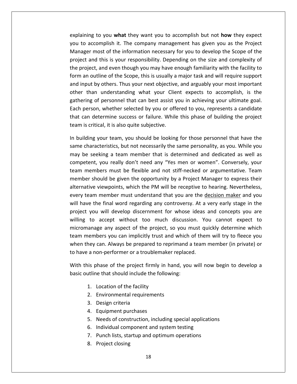to you **what** they want you to accomplish but not **how** they expect to accomplish it. The company management has given you as the Project watercomplish it. The company management has given you as the Project most of the information of the information necessary for you as the Project<br>information is the information necessary for you to develop the Scope of the<br>information necessary for you to develop the Scope of the me to you what they want you to accomplish but not how they expect<br>accomplish it. The company management has given you as the Project<br>or most of the information necessary for you to develop the Scope of the<br>and this is you laining to you **what** they want you to accomplish but not **how** they expect<br>to accomplish it. The company management has given you as the Project<br>nager most of the information necessary for you to develop the Scope of the<br> explaining to you what they want you to accomplish but not how they expect ining to you **what** they want you to accomplish but not **how** they expect<br>o accomplish it. The company management has given you as the Project<br>ger most of the information necessary for you to develop the Scope of the<br>ct an you to accomplish it. The company management has given you as the Project in a complish it. The company management has given you as the Project<br>to accomplish it. The company management has given you as the Project<br>ager most of the information necessary for you to develop the Scope of the<br>ect and Manager most of the information necessary for you to develop the Scope of the the state of the information necessary for you to develop the Scope of the<br>timest and this is your responsibility. Depending on the size and complexity of<br>bject, and even though you may have enough familiarity with the fac project and this is your responsibility. Depending on the size and complexity of project and this is your responsibility. Depending on the size and complexity of<br>the project, and even though you may have enough familiarity with the facility to<br>form an outline of the Scope, this is usually a major task project, and even though you may have enough familiarity with the facility to<br>an outline of the Scope, this is usually a major task and will require support<br>nput by others. Thus your next objective, and arguably your most the project, and even though you may have enough familiarity with the facility to<br>form an outline of the Scope, this is usually a major task and will require support registed, and even thought you may have enough rammarity whit the racinty to an outline of the Scope, this is usually a major task and will require support nput by others. Thus your next objective, and arguably your most i Form an oatline of the seepe, this is asaan, a<br>and input by others. Thus your next objective<br>other than understanding what your Clie<br>gathering of personnel that can best assist y<br>Each person, whether selected by you or off other than understanding what your Client expects to accomplish, is the ner than understanding what your Client expects to accomplish, is the<br>thering of personnel that can best assist you in achieving your ultimate goal.<br>ch person, whether selected by you or offered to you, represents a candid gathering of personnel that can best assist you in achieving your ultimate goal. ring of personnel that can best assist you in achieving your ultimate goal.<br>Derson, whether selected by you or offered to you, represents a candidate<br>an determine success or failure. While this phase of building the projec Each person, whether selected by you or offered to you, represents a candidate person, whether selected by you or offered to you, represents a candidate<br>can determine success or failure. While this phase of building the project<br>is critical, it is also quite subjective.<br>ilding your team, you should be that can determine success or failure. While this phase of building the project team is critical, it is also quite subjective.

ermine success or failure. While this phase of building the project<br>cal, it is also quite subjective.<br>our team, you should be looking for those personnel that have the<br>teristics, but not necessarily the same personality, a is critical, it is also quite subjective.<br>
Iding your team, you should be looking for those personnel that have the<br>
characteristics, but not necessarily the same personality, as you. While you<br>
ie seeking a team member th In building your team, you should be looking for those personnel that have the ig your team, you should be looking for those personnel that have the racteristics, but not necessarily the same personality, as you. While you seeking a team member that is determined and dedicated as well as nt, you real same characteristics, but not necessarily the same personality, as you. While you with sanaling year team, years is also as teaming for those personner that have the same characteristics, but not necessarily the same personality, as you. While you may be seeking a team member that is determined and dedi thandecensities, but not necessain, the same personant, as you. While you<br>e seeking a team member that is determined and dedicated as well as<br>teent, you really don't need any "Yes men or women". Conversely, your<br>members mu  $\ddot{\ }$ be seeming a team incrinser that is accommized and deducted as went as<br>petent, you really don't need any "Yes men or women". Conversely, your<br>in members must be flexible and not stiff-necked or argumentative. Team<br>nber sho team members must be flexible and not stiff-necked or argumentative. Team embers must be flexible and not stiff-necked or argumentative. Team<br>
Should be given the opportunity by a Project Manager to express their<br>
ive viewpoints, which the PM will be receptive to hearing. Nevertheless,<br>
am membe member should be given the opportunity by a Project Manager to express their The should be given the opportunity by a Project Manager to express their<br>ive viewpoints, which the PM will be receptive to hearing. Nevertheless,<br>am member must understand that you are the <u>decision maker</u> and you<br>e the f alternative viewpoints, which the PM will be receptive to hearing. Nevertheless, a be given the opportantly by a rroject manager to express then<br>wpoints, which the PM will be receptive to hearing. Nevertheless,<br>ember must understand that you are the <u>decision maker</u> and you<br>inal word regarding any cont every team member must understand that you are the decision maker and you team member must understand that you are the <u>decision maker</u> and you<br>ave the final word regarding any controversy. At a very early stage in the<br>t you will develop discernment for whose ideas and concepts you are<br>g to acce will have the final word regarding any controversy. At a very early stage in the team member mast anderstand that you are the <u>accision maker</u> and you<br>ave the final word regarding any controversy. At a very early stage in the<br>t you will develop discernment for whose ideas and concepts you are<br>is to acc with have the final word regarding any controversy. The deproject you will develop discernment for whose ideas<br>willing to accept without too much discussion. Yo<br>micromanage any aspect of the project, so you must queen memb g to accept without too much discussion. You cannot expect to<br>manage any aspect of the project, so you must quickly determine which<br>members you can implicitly trust and which of them will try to fleece you<br>they can. Always micromanage any aspect of the project, so you must quickly determine which team members you can implicitly trust and which of them will try to fleece you hey can. Always be prepared to re<br>a non-performer or a troublemak<br>his phase of the project firmly in<br>utline that should include the follo to have a non-performer or a troublemaker replaced.

on-performer or a troublemaker rep<br>
bhase of the project firmly in hand,<br>
ie that should include the following:<br>
Location of the facility<br>
Environmental requirements Thase of the project fire<br>that should include the<br>that should include the<br>Environmental requirer<br>Design criteria With this phase of the project firmly in hand, you will now begin to develop a hase of the project firmly in<br>ie that should include the foll<br>Location of the facility<br>Environmental requirements<br>Design criteria<br>Equipment purchases basic outline that should include the following: ie that should include the following:<br>Location of the facility<br>Environmental requirements<br>Design criteria<br>Equipment purchases<br>Needs of construction, including special applications

- 1. Location of the facility
- 2. Environmental requirements
- 2. Environmental<br>3. Design criteria<br>4. Equipment pui<br>5. Needs of const<br>6. Individual com<br>7. Punch lists, sta<br>8. Proiect closing

project in the second second second second second second second second second second second second second second second second second second second second second second second second second second second second second seco

- 
- 18Location of the facility<br>
Environmental requirements<br>
Design criteria<br>
Equipment purchases<br>
Needs of construction, including special applicatic<br>
Individual component and system testing Environmental requirements<br>
Design criteria<br>
Equipment purchases<br>
Needs of construction, including special application:<br>
Individual component and system testing<br>
Punch lists, startup and optimum operations
- 
- 
-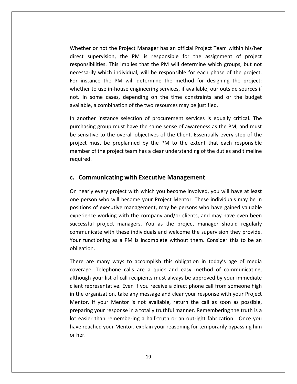or not the Project Manager has an official Project Team within his/her er or not the Project Manager has an official Project Team within his/her<br>Supervision, the PM is responsible for the assignment of project The Project Manager has an official Project Team within his/her<br>This implies that the PM will determine which groups, but not<br>This implies that the PM will determine which groups, but not Whether or not the Project Manager has an official Project Team within his/her<br>direct supervision, the PM is responsible for the assignment of project<br>responsibilities. This implies that the PM will determine which groups, ther or not the Project Manager has an official Project Team within his/her<br>t supervision, the PM is responsible for the assignment of project<br>onsibilities. This implies that the PM will determine which groups, but not<br>ssa Whether or not the Project Manager has an official Project Team within his/her or not the Project Manager has an official Project Team within his/her<br>upervision, the PM is responsible for the assignment of project<br>pilities. This implies that the PM will determine which groups, but not<br>ly which indivi direct supervision, the PM is responsible for the assignment of project In supervision, the PM is responsible for the assignment of project<br>Insibilities. This implies that the PM will determine which groups, but not<br>In sarily which individual, will be responsible for each phase of the project. responsibilities. This implies that the PM will determine which greecessarily which individual, will be responsible for each phase of the restance the PM will determine the method for designing whether to use in-house engi necessarily which individual, will be responsible for each phase of the project. cessarily which individual, will be responsible for each phase of the project.<br>
Instance the PM will determine the method for designing the project:<br>
ether to use in-house engineering services, if available, our outside so For instance the PM will determine the method for designing the project: e the PM will determine the method for designing the project:<br>use in-house engineering services, if available, our outside sources if<br>me cases, depending on the time constraints and or the budget<br>combination of the two res whether to use in-house engineering services, if available, our outside sources if ether to use in-house engineering services, if available, our outside sources if<br>
In some cases, depending on the time constraints and or the budget<br>
ilable, a combination of the two resources may be justified.<br>
another in not. In some cases, depending on the time constraints and or the budget available, a combination of the two resources may be justified.

some cases, depending on the time constraints and or the budget<br>
e, a combination of the two resources may be justified.<br>
The parameter instance selection of procurement services is equally critical. The<br>
img group must ha a combination of the two resources may be justified.<br>
er instance selection of procurement services is equally critical. The<br>
ng group must have the same sense of awareness as the PM, and must<br>
ive to the overall objective In another instance selection of procurement services is equally critical. The purchasing group must have the same sense of awareness as the PM, and must chasing group must have the same sense of awareness as the sensitive to the overall objectives of the Client. Essentially exect must be preplanned by the PM to the extent that expher of the project team has a clear underst project must be preplanned by the PM to the extent that each responsible nder of the project team has a clear understanding of the duties and timeline<br>uired.<br>**Communicating with Executive Management**<br>nearly every project with which you become involved, you will have at least member of the project team has a clear understanding of the duties and timeline required.

#### c. Communicating with Executive Management

direction of the control of the control of the control of the control of the control of the control of the control of the control of the control of the control of the control of the control of the control of the control of

per of the project team has a clear understanding of the duties and timeline<br>ired.<br>**Communicating with Executive Management**<br>early every project with which you become involved, you will have at least<br>person who will become **nunicating with Executive Management**<br>every project with which you become involved, you will have at least<br>on who will become your Project Mentor. These individuals may be in<br>of executive management, may be persons who ha **unicating with Executive Management**<br>very project with which you become involved, you will have at least<br>who will become your Project Mentor. These individuals may be in<br>executive management, may be persons who have gaine **unicating with Executive Management**<br>
every project with which you become involved, you will have at least<br>
who will become your Project Mentor. These individuals may be in<br>
f executive management, may be persons who have On nearly every project with which you become involved, you will have at least On nearly every project with which you become involved, you will have at least<br>one person who will become your Project Mentor. These individuals may be in<br>positions of executive management, may be persons who have gained v functioning as a PM is incomplete without them. Consider this to be an functioning as a PM is incomplete without them. Consider this to be an functioning as a PM is incomplete without them. Consider this to be an one persor<br>... experience wor<br>successful proj<br>communicate v<br>Your functionir<br>obligation. ence working with the company and/or clients, and may have even been<br>sful project managers. You as the project manager should regularly<br>unicate with these individuals and welcome the supervision they provide.<br>unctioning as successful project managers. You as the project manager should regularly successful project managers. You as the project manager should regularly<br>communicate with these individuals and welcome the supervision they provide.<br>Your functioning as a PM is incomplete without them. Consider this to be cate with these individuals and welcome the supervision they provide.<br>
incomplete without them. Consider this to be an<br>
1.<br>
2 many ways to accomplish this obligation in today's age of media<br>
Telephone calls are a quick and Your functioning as a PM is incomplete without them. Consider this to be an obligation.

lot easier than remembering a half-truth or an outright fabrication. Once you iunctioning as a PM is incomplete without them. Consider this to be an<br>tion.<br>are many ways to accomplish this obligation in today's age of media<br>age. Telephone calls are a quick and easy method of communicating,<br>gh your li ligation.<br>
ere are many ways to accomplish this obligation in today's age of media<br>
verage. Telephone calls are a quick and easy method of communicating,<br>
hough your list of call recipients must always be approved by your There are many ways to accomplish this obligation in today's age of media<br>coverage. Telephone calls are a quick and easy method of communicating,<br>although your list of call recipients must always be approved by your immedi Telephone calls are a quick and easy method of communicating,<br>your list of call recipients must always be approved by your immediate<br>esentative. Even if you receive a direct phone call from someone high<br>anization, take any coverage. Telephone calls are a quick and easy method of communicating, coverage in the call recipients must b<br>although your list of call recipients must always be approved by your immediate erage: Telephone cans are a quick and easy method or commanicating,<br>nough your list of call recipients must always be approved by your immediate<br>int representative. Even if you receive a direct phone call from someone high client representative. Even if you receive a direct phone call from someone high representative. Even if you receive a direct phone call from someone high<br>
e organization, take any message and clear your response with your Project<br>
or. If your Mentor is not available, return the call as soon as possibl in the organization, take any message and clear your response with your Project Mentor. If your Mentor is not available, return the call as soon as possible, preparing your response in a totally truthful manner. Remembering the truth is a lot easier than remembering a half-truth or an outright fabrica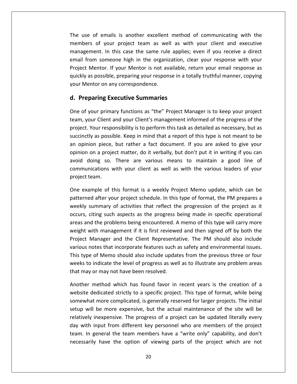use of emails is another excellent method of communicating with the of emails is another excellent method of communicating with the<br>of your project team as well as with your client and executive In this is another excellent method of communicating with the<br>
In this case the same rule applies; even if you receive a direct From some of emails is another excellent method of communicating with the<br>ers of your project team as well as with your client and executive<br>rement. In this case the same rule applies; even if you receive a direct<br>from som of emails is another excellent method of communicating with the<br>rs of your project team as well as with your client and executive<br>ment. In this case the same rule applies; even if you receive a direct<br>com someone high in t The use of emails is another excellent method of communicating with the e of emails is another excellent method of communicating with the<br>rs of your project team as well as with your client and executive<br>ement. In this case the same rule applies; even if you receive a direct<br>rom someone high i members of your project team as well as with your client and executive mentors of your project team as we<br>management. In this case the same rule<br>email from someone high in the organi:<br>Project Mentor. If your Mentor is not av<br>quickly as possible, preparing your respon<br>your Mentor on any corres mbers of your project team as well as w<br>nagement. In this case the same rule applie<br>ail from someone high in the organization,<br>ject Mentor. If your Mentor is not available,<br>ckly as possible, preparing your response in a t<br> Project Mentor. If your Mentor is not available, return your email response as ect Mentor. If your Mentor is not available, return your email response as<br>siy as possible, preparing your response in a totally truthful manner, copying<br>Mentor on any correspondence.<br>**Preparing Executive Summaries**<br>of you quickly as possible, preparing your response in a totally truthful manner, copying extranancy as possible, preparing your response in a totally truthful manner, copying<br>Mentor on any correspondence.<br>**Executive Summaries**<br>Figour primary functions as "the" Project Manager is to keep your project<br>your Clien your Mentor on any correspondence.

#### d. Preparing Executive Summaries

email

ntor on any correspondence.<br> **Chaing Executive Summaries**<br>
Your primary functions as "the" Project Manager is to keep your project<br>
Your Client and your Client's management informed of the progress of the<br>
Your responsibil **The Executive Summaries**<br>and primary functions as "the" Project Manager is to keep your project<br>of Client and your Client's management informed of the progress of the<br>pur responsibility is to perform this task as detailed Preparing Executive Summaries<br>
a of your primary functions as "the" Project Manager is to keep your project<br>
m, your Client and your Client's management informed of the progress of the<br>
ject. Your responsibility is to perf  $\overline{\phantom{a}}$ our primary functions as "the" Project Manager is to keep your project<br>bur Client and your Client's management informed of the progress of the<br>Your responsibility is to perform this task as detailed as necessary, but as<br>ly and solve of your primary ranceless as the tricycle manager is to keep your project<br>team, your Client and your Client's management informed of the progress of the<br>project. Your responsibility is to perform this task as det project. Your responsibility is to perform this task as detailed as necessary, but as whistliky is to perform this task as detailed as necessary, but as<br>ible. Keep in mind that a report of this type is not meant to be<br>, but rather a fact document. If you are asked to give your<br>ect matter, do it verbally, bu succinctly as possi<br>an opinion piece,<br>opinion on a proje<br>avoid doing so.<br>communications<br>proiect team. pinion piece, but rather a fact document. If you are asked to give your<br>on on a project matter, do it verbally, but don't put it in writing if you can<br>I doing so. There are various means to maintain a good line of<br>nunicati opinion on a project matter, do it verbally, but don't put it in writing if you can a project matter, do it verbally, but don't put it in writing if you can<br>ng so. There are various means to maintain a good line of<br>ations with your client as well as with the various leaders of your<br>m.<br>ple of this format i avoid doing so. There are various means to maintain a good line of doing so. There are various means to maintain a good line of<br>nications with your client as well as with the various leaders of your<br>team.<br>ample of this format is a weekly Project Memo update, which can be<br>ed after your pro communications with your client as well as with the various leaders of your project team.

nications with your client as well as with the various leaders of your<br>team.<br>ample of this format is a weekly Project Memo update, which can be<br>ed after your project schedule. In this type of format, the PM prepares a<br>summ is the project schedule. In this type of format, which can be the propert schedule. In this type of format, the PM prepares a<br>incounter propert schedule. In this type of format, the PM prepares a<br>is, citing such aspects as One example of this format is a weekly Project Memo update, which can be ample of this format is a weekly Project Memo update, which can be<br>ed after your project schedule. In this type of format, the PM prepares a<br>summary of activities that reflect the progression of the project as it<br>citing su patterned after your project schedule. In this type of format, the PM prepares a Manager and the Client Representative. The PM should also include<br>Manager and the profession of the project as it<br>citing such aspects as the progress being made in specific operational<br>d the problems being encountered. A m weekly summary of activities that reflect the progression of the project as it patterned arter your project schedule: in this type of format, the FIM prepares a<br>weekly summary of activities that reflect the progression of the project as it<br>occurs, citing such aspects as the progress being made in spe the progression of the project as it<br>as, citing such aspects as the progress being made in specific operational<br>s and the problems being encountered. A memo of this type will carry more<br>ht with management if it is first re occurs, citing such aspects as the progress being made in specific operational areas and the problems being encountered. A memo of this type will carry more In the problems being encountered. A memo of this type will carry more<br>with management if it is first reviewed and then signed off by both the<br>Manager and the Client Representative. The PM should also include<br>is notes that weight with management if it is first reviewe<br>Project Manager and the Client Representa<br>various notes that incorporate features such<br>This type of Memo should also include updat<br>weeks to indicate the level of progress as we Manager and the Client Representative. The PM should also include<br>otes that incorporate features such as safety and environmental issues.<br>of Memo should also include updates from the previous three or four<br>indicate the lev various notes that incorporate features such as safety and environmental issues. notes that incorporate features such as safety and environmental issues.<br>
Let of Memo should also include updates from the previous three or four<br>
Dindicate the level of progress as well as to illustrate any problem areas<br> This type of Memo should also include updates from the previous three or four f Memo should also include updates from the previous three or four<br>ndicate the level of progress as well as to illustrate any problem areas<br>r may not have been resolved.<br>ethod which has found favor in recent years is the c weeks to indicate the level of progress as well as to illustrate any problem areas that may or may not have been resolved.

relatively inexpensive. The progress of a project can be updated literally every to indicate the level of progress as well as to illustrate any problem areas<br>ay or may not have been resolved.<br>er method which has found favor in recent years is the creation of a<br>e dedicated strictly to a specific project income in eccent years is the creation of a<br>interhod which has found favor in recent years is the creation of a<br>edicated strictly to a specific project. This type of format, while being<br>t more complicated, is generally res Another method which has found favor in recent years is the creation of a ther method which has found favor in recent years is the creation of a<br>site dedicated strictly to a specific project. This type of format, while being<br>ewhat more complicated, is generally reserved for larger projects. The website dedicated strictly to a specific project. This type of format, while being In member when has local tarter in recent years is the creation of a<br>
le dedicated strictly to a specific project. This type of format, while being<br>
will be more expensive, but the actual maintenance of the site will be<br>
l somewhat more complicated, is generally reserved for larger projects. The initial have the original project. This type of format, while semigrove complicated, is generally reserved for larger projects. The initial<br>e more expensive, but the actual maintenance of the site will be<br>expensive. The progress o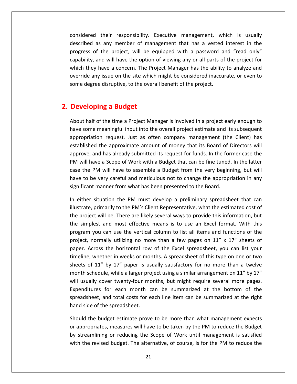their responsibility. Executive management, which is usually as any member of management management, which is usually<br>as any member of management that has a vested interest in the considered their responsibility. Executive management, which is usually<br>described as any member of management that has a vested interest in the<br>progress of the project, will be equipped with a password and "read only" their responsibility. Executive management, which is usually<br>as any member of management that has a vested interest in the<br>f the project, will be equipped with a password and "read only"<br>and will have the option of viewing ered their responsibility. Executive management, which is usually<br>bed as any member of management that has a vested interest in the<br>ss of the project, will be equipped with a password and "read only"<br>lity, and will have th considered their responsibility. Executive management, which is usually any member of management that has a vested interest in the of the project, will be equipped with a password and "read only"<br>
is usually of the project, will be equipped with a password and "read only"<br>
is and will have the described as any member of management that has a vested interest in the described as any member of management that has a vested<br>progress of the project, will be equipped with a password a<br>capability, and will have the option of viewing any or all parts of<br>which they have a concern. The Project described as any member of mand<br>progress of the project, will be ec<br>capability, and will have the option of<br>which they have a concern. The Pro<br>poverride any issue on the site which<br>some degree disruptive, to the overa<br>**Dev** override any issue on the site which might be considered inaccurate, or even to le any issue on the site which might be considered inaccurate, or even to<br>legree disruptive, to the overall benefit of the project.<br>**loping a Budget**<br>half of the time a Proiect Manager is involved in a proiect early enough some degree disruptive, to the overall benefit of the project.

## 2. Developing a Budget

degree disruptive, to the overall benefit of the project.<br> **eloping a Budget**<br> **t** half of the time a Project Manager is involved in a project early enough to<br>
some meaningful input into the overall project estimate and it **request as Audget**<br>The time a Project Manager is involved in a project early enough to<br>Aningful input into the overall project estimate and its subsequent<br>Trequest. Just as often company management (the Client) has **ng a Budget**<br>
f the time a Project Manager is involved in a project early enough to<br>
meaningful input into the overall project estimate and its subsequent<br>
in request. Just as often company management (the Client) has<br>
th **portherage in the submitted its request**<br>and the time a Project Manager is involved in a project early enough to<br>e meaningful input into the overall project estimate and its subsequent<br>tion request. Just as often company About half of the time a Project Manager is involved in a project early enough to ut half of the time a Project Manager is involved in a project early enough to<br>e some meaningful input into the overall project estimate and its subsequent<br>ropriation request. Just as often company management (the Client) have some meaningful input into the overall project estimate and its subsequent Final of the time a Freject manager is inverted in a project early enough to<br>some meaningful input into the overall project estimate and its subsequent<br>ppriation request. Just as often company management (the Client) has<br>l appropriation request. Just as often company management (the Client) has priation request. Just as often company management (the Client) has<br>lished the approximate amount of money that its Board of Directors will<br>we, and has already submitted its request for funds. In the former case the<br>ill ha established the approximate amount of money that its Board of Directors will If the approximate amount of money that its Board of I<br>and has already submitted its request for funds. In the for<br>we a Scope of Work with a Budget that can be fine tuned.<br>M will have to assemble a Budget from the very beg approve, and has already submitted its request for funds. In the former case the prove, and has already submitted its request for funds. In the former case the<br>I will have a Scope of Work with a Budget that can be fine tuned. In the latter<br>e the PM will have to assemble a Budget from the very beginning PM will h are a Scope of Work with a Budget that can be fine tuned. In the latter<br>PM will have to assemble a Budget from the very beginning, but will<br>e very careful and meticulous not to change the appropriation in any<br>imanner from case the PM will have to assemble a Budget from the very beginning, but will PM will have to assemble a Budget from the very beginning, but will<br>a to be very careful and meticulous not to change the appropriation in any<br>ificant manner from what has been presented to the Board.<br>ither situation the P have to be very careful and meticulous not to change the appropriation in any significant manner from what has been presented to the Board.

is to be very careful and meticulous not to change the appropriation in any<br>ficant manner from what has been presented to the Board.<br>ither situation the PM must develop a preliminary spreadsheet that can<br>rate, primarily to t manner from what has been presented to the Board.<br>
situation the PM must develop a preliminary spreadsheet that can<br>
primarily to the PM's Client Representative, what the estimated cost of<br>
ct will be. There are likely s In either situation the PM must develop a preliminary spreadsheet that can is ituation the PM must develop a preliminary spreadsheet that can<br>, primarily to the PM's Client Representative, what the estimated cost of<br>ect will be. There are likely several ways to provide this information, but<br>olles illustrate, primarily to the PM's Client Representative, what the estimated cost of e, primarily to the PM's Client Representative, what the estimated cost of ject will be. There are likely several ways to provide this information, but uplest and most effective means is to use an Excel format. With this i  $\frac{1}{1}$ of will be. There are likely several ways to provide this information, but<br>lest and most effective means is to use an Excel format. With this<br>you can use the vertical column to list all items and functions of the<br>normally the simplest and most effective means is to use an Excel format. With this plest and most effective means is to use an Excel format. With this<br>m you can use the vertical column to list all items and functions of the<br>, normally utilizing no more than a few pages on 11" x 17" sheets of<br>Across the h program you can use the vertical column to list all items and functions of the<br>project, normally utilizing no more than a few pages on  $11'' \times 17''$  sheets of<br>paper. Across the horizontal row of the Excel spreadsheet, you c program you can use the vertical column to list an items and ranctions of the<br>project, normally utilizing no more than a few pages on 11" x 17" sheets of<br>paper. Across the horizontal row of the Excel spreadsheet, you can l for each month can be summarized at the bottom of the summarized at the bottom of the summarized at the bottom of the summarized at the bottom of the each month can be summarized at the bottom of the paper. Across the horizontal row of the Excel spreadsheet, you can list your timeline, whether in weeks or months. A spreadsheet of this type on one or two The intertwent of the Excel spreadsheet, you can not your<br>ther in weeks or months. A spreadsheet of this type on one or two<br>iver 17" paper is usually satisfactory for no more than a twelve<br>ule, while a larger project using sheets of 11" by 17" paper is us<br>month schedule, while a larger pro<br>will usually cover twenty-four me<br>Expenditures for each month c<br>spreadsheet, and total costs for e<br>hand side of the spreadsheet. schedule, while a larger project using a similar arrangement on 11" by 17"<br>hally cover twenty-four months, but might require several more pages.<br>itures for each month can be summarized at the bottom of the<br>heet, and total will usually cover twenty-four months, but might require several more pages. I usually cover twenty-four months, but might require several more pages.<br>
Denditures for each month can be summarized at the bottom of the<br>
readsheet, and total costs for each line item can be summarized at the right<br>
and Expenditures for each month can be summarized at the bottom of the spreadsheet, and total costs for each line item can be summarized at the right

Should the budget estimate prove to be more than what management expects enditures for each month can be summarized at the bottom of the<br>eadsheet, and total costs for each line item can be summarized at the right<br>id side of the spreadsheet.<br>wuld the budget estimate prove to be more than what ma In the revised of the spreadsheet.<br>
Id the budget estimate prove to be more than what management expects<br>
Id the budget estimate prove to be more than what management expects<br>
propriates, measures will have to be taken by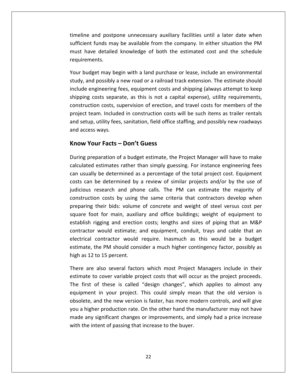and postpone unnecessary auxiliary facilities until <sup>a</sup> later date when Fund postpone unnecessary auxiliary facilities until a later date when<br>funds may be available from the company. In either situation the PM have and postpone unnecessary auxiliary facilities until a later date when<br>ent funds may be available from the company. In either situation the PM<br>have detailed knowledge of both the estimated cost and the schedule timeline and post<br>sufficient funds manust have detaile<br>requirements. ine and postpone unnecessary auxiliary facilities until a later date when<br>ient funds may be available from the company. In either situation the PM<br>have detailed knowledge of both the estimated cost and the schedule<br>rements timelii ie and postpone unnecessary auxiliary facilities until a later date when<br>ent funds may be available from the company. In either situation the PM<br>have detailed knowledge of both the estimated cost and the schedule<br>ements.<br>u sufficient funds may be available from the company. In either situation the PM It funds may be available from the company. In either situation the PM<br>ave detailed knowledge of both the estimated cost and the schedule<br>ments.<br>dget may begin with a land purchase or lease, include an environmental<br>nd pos must have detailed knowledge of both the estimated cost and the schedule

must have detailed knowledge of both the estimated cost and the schedule<br>requirements.<br>Your budget may begin with a land purchase or lease, include an environmental<br>study, and possibly a new road or a railroad track extens i.<br>
may begin with a land purchase or lease, include an environmental<br>
ssibly a new road or a railroad track extension. The estimate should<br>
eering fees, equipment costs and shipping (always attempt to keep<br>
s separate, as Your budget may begin with a land purchase or lease, include an environmental dget may begin with a land purchase or lease, include an environmental<br>nd possibly a new road or a railroad track extension. The estimate should<br>engineering fees, equipment costs and shipping (always attempt to keep<br>g cost study, and possibly a new road or a railroad track extension. The estimate should y, and possibly a new road or a railroad track extension. The estimate should<br>ide engineering fees, equipment costs and shipping (always attempt to keep<br>ping costs separate, as this is not a capital expense), utility requi include engineering fashipping costs separa<br>construction costs, su<br>project team. Include<br>and setup, utility fees<br>and access wavs. engineering tees, equipment costs and<br>g costs separate, as this is not a capertion costs, supervision of erection, a<br>team. Included in construction costs<br>up, utility fees, sanitation, field office<br>ress ways.<br>**Your Facts –** project team. Included in construction costs will be such items as trailer rentals team. Included in construction costs will be such items as trailer rentals<br>up, utility fees, sanitation, field office staffing, and possibly new roadways<br>ress ways.<br>**Your Facts – Don't Guess**<br>preparation of a budget estima and setup, utility fees, sanitation, field office staffing, and possibly new roadways utility fees, sanitation, field office staffing, and possibly new roadways<br>ways.<br>**ur Facts – Don't Guess**<br>paration of a budget estimate, the Project Manager will have to make<br>estimates rather than simply guessing. For inst and access ways.

## Know Your Facts - Don't Guess

requirements.

access ways.<br> **uv Your Facts – Don't Guess**<br>
Ing preparation of a budget estimate, the Project Manager will have to make<br>
ulated estimates rather than simply guessing. For instance engineering fees<br>
usually be determined a **The Valum Facts – Don't Guess<br>
Sum Facts – Don't Guess<br>
Sum Project Manager will have to make<br>
Sually be determined as a percentage of the total project cost. Equipment<br>
Can be determined by a review of similar projects a ur Facts – Don't Guess**<br>
eparation of a budget estimate, the Project Manager will have to make<br>
estimates rather than simply guessing. For instance engineering fees<br>
y be determined as a percentage of the total project co During preparation of a budget estimate, the Project Manager will have to make ration of a budget estimate, the Project Manager will have to make<br>imates rather than simply guessing. For instance engineering fees<br>e determined as a percentage of the total project cost. Equipment<br>determined by a review preparation of a sadget estimate, the rrighted manager will have to make<br>calculated estimates rather than simply guessing. For instance engineering fees<br>can usually be determined as a percentage of the total project cost. can usually be determined as a percentage of the total project cost. Equipment for main simply gassing. The instance engineering restably be determined as a percentage of the total project cost. Equipment in be determined by a review of similar projects and/or by the use of s research and phone calls costs can be determined by a review of similar projects and/or by the use of rection costs by a review of similar projects and/or by the use of<br>research and phone calls. The PM can estimate the majority of<br>on costs by using the same criteria that contractors develop when<br>their bids: volume of concr judicious research and phone calls. The PM can estimate the majority of e determined by a review or similar projects anayor by the date of<br>estearch and phone calls. The PM can estimate the majority of<br>n costs by using the same criteria that contractors develop when<br>heir bids: volume of concret construction costs by using the same criteria that contractors develop when cocatent and phone canst the TW can estimate the majority of<br>on costs by using the same criteria that contractors develop when<br>their bids: volume of concrete and weight of steel versus cost per<br>ot for main, auxiliary and o preparing their bids: volume of concrete and weight of steel versus cost per on costs by asing the same checha that contractors acted p when<br>their bids: volume of concrete and weight of steel versus cost per<br>ot for main, auxiliary and office buildings; weight of equipment to<br>rigging and erection co square foot for main, auxiliary and office buildings; weight of equipment to square foot for main, auxiliestablish rigging and erection<br>contractor would estimate;<br>electrical contractor would<br>estimate, the PM should con<br>high as 12 to 15 percent. sh rigging and erection costs; lengths and sizes of piping that an M&P<br>ctor would estimate; and equipment, conduit, trays and cable that an<br>cal contractor would require. Inasmuch as this would be a budget<br>te, the PM should contract contractor would estimate; and equipment, conduit, trays and cable that an<br>electrical contractor would require. Inasmuch as this would be a budget<br>estimate, the PM should consider a much higher contingency factor, possibly rical contractor would require. Inasmuch as this would be a budget<br>nate, the PM should consider a much higher contingency factor, possibly as<br>as 12 to 15 percent.<br>as 12 to 15 percent.<br>as are also several factors which most estimate, the PM should consider a much higher contingency factor, possibly as high as 12 to 15 percent.

made any significant changes or improvements, and simply had a price increase e PM should consider a much higher contingency factor, possibly as<br>
15 percent.<br>
Iso several factors which most Project Managers include in their<br>
cover variable project costs that will occur as the project proceeds.<br>
I th to 15 percent.<br>
also several factors which most Project Managers include in their<br>
to cover variable project costs that will occur as the project proceeds.<br>
of these is called "design changes", which applies to almost any<br> There are also several factors which most Project Managers include in their re are also several factors which most Project Managers include in their<br>mate to cover variable project costs that will occur as the project proceeds.<br>first of these is called "design changes", which applies to almost any<br>  $\frac{m}{n}$ are also several ractors which most rroject managers metate in them<br>te to cover variable project costs that will occur as the project proceeds.<br>rst of these is called "design changes", which applies to almost any<br>ment in y یاں<br>— The first of these is called "design changes", which applies to almost any equipment in your project. This could simply mean that the old version is obsolete, and the new version is faster, has more modern controls, and wi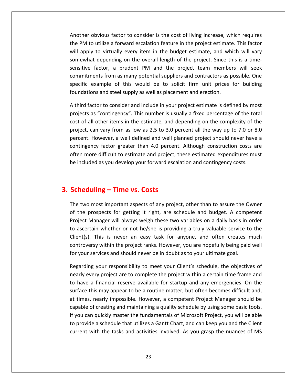obvious factor to consider is the cost of living increase, which requires PM to utilize a forward escalation feature in the project estimate. This factor<br>PM to utilize a forward escalation feature in the project estimate. This factor apply the repose of the cost of living increase, which requires<br>The political factor to consider is the cost of living increase, which requires<br>This factor apply to virtually every item in the budget estimate, and which wi Another obvious factor to consider is the cost of living increase, which requires<br>the PM to utilize a forward escalation feature in the project estimate. This factor<br>will apply to virtually every item in the budget estimat bvious factor to consider is the cost of living increase, which requires<br>utilize a forward escalation feature in the project estimate. This factor<br>to virtually every item in the budget estimate, and which will vary<br>idepend Another obvious factor to consider is the cost of living increase, which requires us factor to consider is the cost of living increase, which requires<br>ze a forward escalation feature in the project estimate. This factor<br>virtually every item in the budget estimate, and which will vary<br>pending on the over the PM to utilize a forward escalation feature in the project estimate. This factor be utilize a forward escalation feature in the project estimate. This factor<br>y to virtually every item in the budget estimate, and which will vary<br>at depending on the overall length of the project. Since this is a time-<br>fa will apply to virtually every item in the budget estimate, and wh<br>somewhat depending on the overall length of the project. Since the<br>sensitive factor, a prudent PM and the project team membe<br>commitments from as many potent mewhat depending on the overall length of the project. Since this is a time-<br>nsitive factor, a prudent PM and the project team members will seek<br>mmitments from as many potential suppliers and contractors as possible. One<br>e sensitive factor, a prudent PM and the project team members will seek factor, a prudent PM and the project team members will seek<br>nents from as many potential suppliers and contractors as possible. One<br>example of this would be to solicit firm unit prices for building<br>ons and steel supply as commitments from as many potential suppliers and contractors as possible. One mitments from as many potential suppliers and contractors as possible. One<br>fic example of this would be to solicit firm unit prices for building<br>dations and steel supply as well as placement and erection.<br>rd factor to cons specific example of this would be to solicit firm unit prices for building foundations and steel supply as well as placement and erection.

example of this would be to solicit firm unit prices for building<br>ons and steel supply as well as placement and erection.<br>actor to consider and include in your project estimate is defined by most<br>as "contingency". This num ons and steel supply as well as placement and erection.<br>
actor to consider and include in your project estimate is defined by most<br>
as "contingency". This number is usually a fixed percentage of the total<br>
Il other items i A third factor to consider and include in your project estimate is defined by most factor and include in your project estimate is defined by most<br>contingency". This number is usually a fixed percentage of the total<br>her items in the estimate, and depending on the complexity of the<br>vary from as low as 2.5 projects as "contingency". This number is usually a fixed percentage of the total<br>cost of all other items in the estimate, and depending on the complexity of the<br>project, can vary from as low as 2.5 to 3.0 percent all the becost of all other items in the estimate, and depending on the complexity of the project, can vary from as low as 2.5 to 3.0 percent all the way up to 7.0 or 8.0 percent. However, a well defined and well planned project sho project, can vary from as low as 2.5 to 3.0 pe<br>percent. However, a well defined and well pla<br>contingency factor greater than 4.0 percent.<br>often more difficult to estimate and project, th<br>be included as you develop your for be included as you develop your forward escalation and contingency costs. Included as you develop your forward escalation and contingency costs.<br> **Solution Trantide Setter Setter in the Owner Contingent as project** other than to assure the Owner

# 3. Scheduling - Time vs. Costs

somewhat

the prospects of any project, other than to assure the Owner<br>the prospects for getting it right, are schedule and budget. A competent **Iuling – Time vs. Costs**<br>Manager will always weight these two variables assure the Owner of the Sumer prospects for getting it right, are schedule and budget. A competent Manager will always weigh these two variables on a **heduling – Time vs. Costs**<br>and the two most important aspects of any project, other than to assure the Owner<br>the prospects for getting it right, are schedule and budget. A competent<br>ject Manager will always weigh these tw IINE – IIME VS. **COSTS**<br>nost important aspects of any project, other than to assure the Owner<br>ospects for getting it right, are schedule and budget. A competent<br>anager will always weigh these two variables on a daily basis The two most important aspects of any project, other than to assure the Owner st important aspects of any project, other than to assure the Owner<br>pects for getting it right, are schedule and budget. A competent<br>ager will always weigh these two variables on a daily basis in order<br>whether or not he/sh of the prospects for getting it right, are schedule and budget. A competent The the most important aspects of any project, other than to assare the origin of the prospects for getting it right, are schedule and budget. A comp<br>Project Manager will always weigh these two variables on a daily basis i mager will always weigh these two variables on a daily basis in order<br>n whether or not he/she is providing a truly valuable service to the<br>This is never an easy task for anyone, and often creates much<br>y within the project to ascertain whether or not he/she is providing a truly valuable service to the exertain whether or not he/she is providing a truly valuable service to the<br>s). This is never an easy task for anyone, and often creates much<br>versy within the project ranks. However, you are hopefully being paid well<br>ir se <u>Cli</u> ent(s). This is never an easy task for anyone, and often creates much<br>troversy within the project ranks. However, you are hopefully being paid well<br>your services and should never be in doubt as to your ultimate goal.<br>gardi controversy within the project ranks. However, you are hopefully being paid well

If you can quickly master the fundamentals of Microsoft Project, you will be able controversy within the project ranks. However, you are hopefully being paid well<br>for your services and should never be in doubt as to your ultimate goal.<br>Regarding your responsibility to meet your Client's schedule, the ob your services and should never be in doubt as to your ultimate goal.<br>garding your responsibility to meet your Client's schedule, the objectives of<br>arly every project are to complete the project within a certain time frame Regarding your responsibility to meet your Client's schedule, the objectives of In your responsibility to meet your Client's schedule, the objectives of<br>very project are to complete the project within a certain time frame and<br>a financial reserve available for startup and any emergencies. On the<br>this m  $\ddot{\phantom{0}}$ garang your responsionly to meet your enterts sentedate, the objectives of<br>larify every project are to complete the project within a certain time frame and<br>have a financial reserve available for startup and any emergencies to have a financial reserve available for startup and any emergencies. On the provide a schedule that utilizes a Gantt Chart, and can keep you and the Client<br>provide a financial reserve available for startup and any emergencies. On the<br>face this may appear to be a routine matter, but often becomes d co have a miancial reserve aranassie for startap and any emergencies. On the surface this may appear to be a routine matter, but often becomes difficult and, at times, nearly impossible. However, a competent Project Manage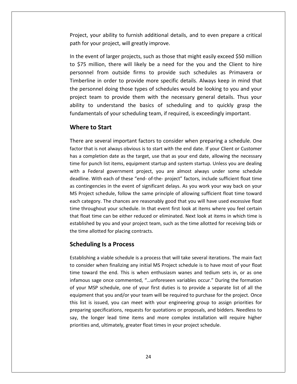your ability to furnish additional details, and to even prepare <sup>a</sup> critical For the same consequence of the set of the set of the set of the set of the set of the set of the set of the set of the set of the set of the set of the set of the set of the set of the set of the set of the set of the set oject, your ability to furnish additional details, and to even prepare a critical<br>th for your project, will greatly improve.<br>the event of larger projects, such as those that might easily exceed \$50 million by interpolant of the same operators and the event of larger project, will greatly improve.<br>The event of larger projects, such as those that might easily exceed \$50 million.<br>\$75 million, there will likely be a need for the Project, your ability to furnish additional details, and to even prepare a critical path for your project, will greatly improve.

In a bility to furnish additional details, and to even prepare a critical<br>In project, will greatly improve.<br>In the farger projects, such as those that might easily exceed \$50 million<br>Ion, there will likely be a need for th In ability to furnish additional details, and to even prepare a critical<br>In project, will greatly improve.<br>The provide more to provide such schedules as Primavera or<br>In order to provide more specific details. Always keep i I for your project, will greatly improve.<br>
The event of larger projects, such as those that might easily exceed \$50 million<br>
175 million, there will likely be a need for the you and the Client to hire<br>
175 million, there w In the event of larger projects, such as those that might easily exceed \$50 million rent of larger projects, such as those that might easily exceed \$50 million<br>million, there will likely be a need for the you and the Client to hire<br>el from outside firms to provide such schedules as Primavera or<br>ne in orde to \$75 million, there will likely be a need for the you and the Client to hire The branger projects, such as those that might easily exceed 556 minion<br>million, there will likely be a need for the you and the Client to hire<br>nel from outside firms to provide such schedules as Primavera or<br>ine in order personnel from outside firms to provide such schedules as Primavera or of your same that when y see a necession and the state of the your schedules and the state of the personnel from outside firms to provide such schedules as Primavera or Timberline in order to provide more specific details. **the start of the started started in order to ponnel doing those**<br>**the start of the start of the start of provide<br><b>to** understand the start<br>**to Start** project team to provide them with the necessary general details. Thus your t team to provide them with the necessary general details. Thus your<br>to understand the basics of scheduling and to quickly grasp the<br>mentals of your scheduling team, if required, is exceedingly important.<br>**e to Start**<br>are ability to understand the basics of scheduling and to quickly grasp the fundamentals of your scheduling team, if required, is exceedingly important.

#### time**vvii**

In

to understand the basics of scheduling and to quickly grasp the<br>mentals of your scheduling team, if required, is exceedingly important.<br>**re to Start**<br>are several important factors to consider when preparing a schedule. One damentals of your scheduling team, if required, is exceedingly important.<br> **lere to Start**<br>
re are several important factors to consider when preparing a schedule. One<br>
or that is not always obvious is to start with the en e **to Start**<br>
For are several important factors to consider when preparing a schedule. One<br>
For that is not always obvious is to start with the end date. If your Client or Customer<br>
completion date as the target, use that Para Ferry Consider when preparing a schedule. One<br>
that is not always obvious is to start with the end date. If your Client or Customer<br>
completion date as the target, use that as your end date, allowing the necessary<br>
or There are several important factors to consider when preparing a schedule. One<br>factor that is not always obvious is to start with the end date. If your Client or Customer<br>has a completion date as the target, use that as yo  $\ddot{\phantom{a}}$ cre are several important ractions to consider when preparing a schedule: one<br>tor that is not always obvious is to start with the end date. If your Client or Customer<br>s a completion date as the target, use that as your end iuc<br>' a completion date as the target, use that as your end date. If you client of easterner<br>a completion date as the target, use that as your end date, allowing the necessary<br>properties it items, equipment startup and system st has a completion date as the target, use that as your end date, allowing the necessary<br>time for punch list items, equipment startup and system startup. Unless you are dealing completion date as the target, ase that as your end date, allowing the hecessary<br>for punch list items, equipment startup and system startup. Unless you are dealing<br>a Federal government project, you are almost always under with a Federal government project, you are almost always under some schedule the panel is thems, equipment startup and system startup. Oness you are dealing<br>a Federal government project, you are almost always under some schedule<br>line. With each of these "end- of-the- project" factors, include suffi that float time can be either reduced or eliminated. Next look at items in which time<br>that float time as contingencies in the event of significant delays. As you work your way back on your<br>MS Project schedule, follow the s  $\frac{1}{2}$ by the same of these tend of the project flactors, metaac samelerit hoat time<br>ncies in the event of significant delays. As you work your way back on your<br>schedule, follow the same principle of allowing sufficient float tim the time allotted for planning and the same princent MS Project schedule, follow the same prince ach category. The chances are reasonably time throughout your schedule. In that ev that float time can be either reduced or e redule, follow the same<br>The chances are reasor<br>ut your schedule. In tha<br>can be either reduced of<br>you and your project teed for placing contracts.<br>**Is a Process** that float time can be either reduced or eliminated. Next look at items in which time is ne can be either reduced or eliminated. Next look at items in which time is<br>by you and your project team, such as the time allotted for receiving bids or<br>tted for placing contracts.<br>**g Is a Process**<br>a viable schedule is a es considered by you and your project team, such as the time allotted for receiving bids or<br>
in allotted for placing contracts.<br> **heduling Is a Process**<br>
ablishing a viable schedule is a process that will take several iterati the time allotted for placing contracts.

## **Scheduling Is a Process**

 $2r$ me allotted for placing contracts.<br> **Eduling Is a Process**<br>
lishing a viable schedule is a process that will take several iterations. The main fact<br>
stater when finalizing any initial MS Project schedule is to have most of **ing Is a Process**<br>sage a viable schedule is a process that will take several iterations. The main fact<br>or when finalizing any initial MS Project schedule is to have most of your float<br>ard the end. This is when enthusiasm **neauling is a Process**<br>ablishing a viable schedule is a process that will take several iterations. The main fact<br>consider when finalizing any initial MS Project schedule is to have most of your float<br>ne toward the end. Th Establishing a viable schedule is a process that will take several iterations. The main fact that you are interesting any initial MS Project schedule is to have most of your float<br>when finalizing any initial MS Project schedule is to have most of your float<br>d the end. This is when enthusiasm wanes and tedium sets to consider when finalizing any initial MS Project schedule is to have most of your float Institute of the metallicial any initial MS Project schedule is to have most of your float<br>toward the end. This is when enthusiasm wanes and tedium sets in, or as one<br>mous sage once commented, "...unforeseen variables occu time toward the end. This is when enthusiasm wanes and tedium sets in, or as one Figure 1 Thanking any minimities Froject schedule is to have most of your hout<br>triangle end. This is when enthusiasm wanes and tedium sets in, or as one<br>sage once commented, "...unforeseen variables occur." During the form infamous sage once commented, "...unforeseen variables occur." During the formation<br>of your MSP schedule, one of your first duties is to provide a separate list of all the<br>equipment that you and/or your team will be requir of your MSP schedule, one of your first duties is to provide a separate list of all the and, but that you and/or your first duties is to provide a separat that you and/or your team will be required to purchase for issued, you can meet with your engineering group to a specifications, requests for quotations or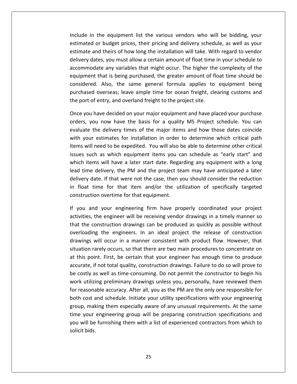in the equipment list the various vendors who will be bidding, your or budget prices, their pricing and delivery schedule, as well as your<br>in budget prices, their pricing and delivery schedule, as well as your and the equipment list the various vendors who will be bidding, your<br>and theirs of how long the installation will take. With regard to vendor in the equipment list the various vendors who will be bidding, your<br>d or budget prices, their pricing and delivery schedule, as well as your<br>and theirs of how long the installation will take. With regard to vendor<br>dates, y equipment list the various vendors who will be bidding, your<br>udget prices, their pricing and delivery schedule, as well as your<br>heirs of how long the installation will take. With regard to vendor<br>you must allow a certain a Include in the equipment list the various vendors who will be bidding, your the equipment list the various vendors who will be bidding, your<br>or budget prices, their pricing and delivery schedule, as well as your<br>d theirs of how long the installation will take. With regard to vendor<br>es, you must al estimated or budget prices, their pricing and delivery schedule, as well as your budget prices, their pricing and delivery schedule, as well as your<br>theirs of how long the installation will take. With regard to vendor<br>s, you must allow a certain amount of float time in your schedule to<br>e any variables estimate and theirs of how long the installation will take. With regard to vendor or sauget prices, then pricing and denver, sentedate, as well as you.<br>In theirs of how long the installation will take. With regard to vendor<br>tes, you must allow a certain amount of float time in your schedule to<br>ate any v delivery dates, you must allow a certain amount of float time in your schedule to accommodate any variables that might occur. The higher the complexity of the modate any variables that might occur. The higher the complexity of the<br>ment that is being purchased, the greater amount of float time should be<br>dered. Also, the same general formula applies to equipment being<br>ased oversea equipment that is being purchased, the greater amount of float time should be ent that is being purchased, the greater amount of float time should be<br>red. Also, the same general formula applies to equipment being<br>ed overseas; leave ample time for ocean freight, clearing customs and<br>of entry, and ove considered. Also, the same general formula applies to equipment being d. Also, the same general formula applies to equipment being<br>d overseas; leave ample time for ocean freight, clearing customs and<br>of entry, and overland freight to the project site.<br>have decided on your major equipment and purchased overseas; leave ample time for ocean freight, clearing customs and the port of entry, and overland freight to the project site.

delivery

ased overseas; leave ample time for ocean freight, clearing customs and<br>ort of entry, and overland freight to the project site.<br>you have decided on your major equipment and have placed your purchase<br>s, you now have the bas Int of entry, and overland freight to the project site.<br>
you have decided on your major equipment and have placed your purchase<br>
i, you now have the basis for a quality MS Project schedule. You can<br>
ite the delivery times Once you have decided on your major equipment and have placed your purchase ou have decided on your major equipment and have placed your purchase<br>you now have the basis for a quality MS Project schedule. You can<br>te the delivery times of the major items and how those dates coincide<br>pur estimates fo orders, you now have the basis for a quality MS Project schedule. You can is nave declaced on your major equipment and nave placed your parentase<br>is you now have the basis for a quality MS Project schedule. You can<br>te the delivery times of the major items and how those dates coincide<br>our estimat evaluate the delivery times of the major items and how those dates coincide the delivery times of the major items and how those dates coincide<br>your estimates for installation in order to determine which critical path<br>is will need to be expedited. You will also be able to determine other critical<br>s with your estimates for installation in order to determine which critical path In the delivery times of the major hems and now those dates contended are the case of the major hems and now those dates contended and the perment is posed in the case, then you can schedule as "early start" and the reduct items will need to be expedited. You will also be able to determine other critical float time for that item and/or the utilization of specifically targeted<br>float time for that items will have a later start date. Regarding any equipment with a long<br>d time delivery, the PM and the project team may have ant issues such as which equipment items you can schedule as "early start" and as which equipment items you c<br>will have a later start date. Rega<br>livery, the PM and the project te<br>If that were not the case, then y<br>e for that item and/or the ut<br>overtime for that equipment. which items will have a later start date. Regarding any equipment with a long ich items will have a later start date. Regarding any equipment with a long<br>d time delivery, the PM and the project team may have anticipated a later<br>ivery date. If that were not the case, then you should consider the redu lead time delivery, the PM and the project team may have anticipated a later<br>ate. If that were not the case, then you should consider the reduction<br>ime for that item and/or the utilization of specifically targeted<br>on overtime for th delivery date. If that were not the case, then you should consider the reduction ery date. If that were not the case, then you should consider the reduction<br>oat time for that item and/or the utilization of specifically targeted<br>truction overtime for that equipment.<br>uu and your engineering firm have pro in float time for that item and/or the utilization of specifically targeted construction overtime for that equipment.

time your engineering group will be preparing construction specifications and e for that item and/or the utilization of specifically targeted<br>overtime for that equipment.<br>your engineering firm have properly coordinated your project<br>engineer will be receiving vendor drawings in a timely manner so<br>str on overtime for that equipment.<br>
Ind your engineering firm have properly coordinated your project<br>
the engineer will be receiving vendor drawings in a timely manner so<br>
construction drawings can be produced as quickly as p situationrarely coordinated your project<br>the engineer will be receiving vendor drawings in a timely manner so<br>construction drawings can be produced as quickly as possible without<br>ng the engineers. In an ideal project the release of activities, the engineer will be receiving vendor drawings in a timely manner so The time property coordinated your project intities, the engineer will be receiving vendor drawings in a timely manner so<br>at the construction drawings can be produced as quickly as possible without<br>erloading the engineers. that the construction drawings can be produced as quickly as possible without including the engineer will be receiving vender drawings in a timely manner so<br>construction drawings can be produced as quickly as possible without<br>ng the engineers. In an ideal project the release of construction<br>will occ overloading the engineers. In an ideal project the release of construction erhoading the engineers. In an ideal project the release of construction<br>wings will occur in a manner consistent with product flow. However, that<br>aation rarely occurs, so that there are two main procedures to concentrate o drawings will occur in a manner consistent with product flow. However, that mgs will occur in a manner consistent with product flow. However, that<br>ion rarely occurs, so that there are two main procedures to concentrate on<br>s point. First, be certain that your engineer has enough time to produce<br>ate situation rarely occurs, so that there are two main procedures to concentrate on reasonable accuracy. After all, you as the PM are the only one responsible for reasonable accuracy. After all, you as the PM are the only one responsible for reasonable accuracy. After all, you as the PM are the only one r at this point. First, be certain that your engineer has enough time to produce s point. First, be certain that your engineer has enough time to produce<br>ate, if not total quality, construction drawings. Failure to do so will prove to<br>stly as well as time-consuming. Do not permit the constructor to beg accurate, if not total quality, construction drawings. Failure to do so will prove to making them especially aware of any unusual requirements. At the same than especially as well as time-consuming. Do not permit the constructor to begin his tilizing preliminary drawings unless you, personally, have reviewe be costly as well as time-consuming. Do not permit the constructor to begin his stly as well as time-consuming. Do not permit the constructor to begin his<br>stilizing preliminary drawings unless you, personally, have reviewed them<br>asonable accuracy. After all, you as the PM are the only one responsible  $\ddot{\ }$ Example in the furnishing of the further the constractor to segments at the intuiting preliminary drawings unless you, personally, have reviewed them easonable accuracy. After all, you as the PM are the only one responsibl solicité<br>c for reasonable accuracy. After all, you as the PM are the only one responsible for both cost and schedule. Initiate your utility specifications with your engineering group, making them especially aware of any unusual requi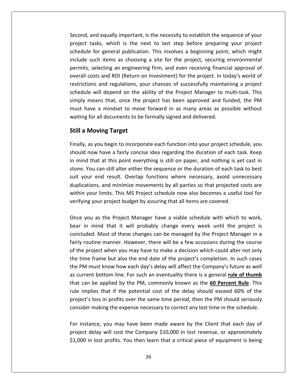and equally important, is the necessity to establish the sequence of your and equally important, is the necessity to establish the sequence of your<br>tasks. which is the next to last step before preparing your project For general publication. The necessity to establish the sequence of your saks, which is the next to last step before preparing your project for general publication. This involves a beginning point, which might and equally important, is the necessity to establish the sequence of your<br>tasks, which is the next to last step before preparing your project<br>e for general publication. This involves a beginning point, which might<br>such ite and equally important, is the necessity to establish the sequence of your asks, which is the next to last step before preparing your project for general publication. This involves a beginning point, which might uch items a Second, and equally important, is the necessity to establish the sequence of your and equally important, is the necessity to establish the sequence of your tasks, which is the next to last step before preparing your project le for general publication. This involves a beginning point, which might such it project tasks, which is the next to last step before preparing your project regually important, is the necessity to establish the sequence or your<br>is, which is the next to last step before preparing your project<br>regeneral publication. This involves a beginning point, which might<br>items as choosing schedule for general publication. This involves a beginning point, which might Solo, which is the heat to last step selone preparing your project<br>for general publication. This involves a beginning point, which might<br>uch items as choosing a site for the project, securing environmental<br>selecting an eng include such items as choosing a site for the project, securing environmental e for general pusheaden. This invoices a segmining point, which might<br>such items as choosing a site for the project, securing environmental<br>i, selecting an engineering firm, and even receiving financial approval of<br>costs a permits, selecting an engineering firm, and even receiving financial approval of ts, selecting an engineering firm, and even receiving financial approval of<br>I costs and ROI (Return on Investment) for the project. In today's world of<br>tions and regulations, your chances of successfully maintaining a proj overall costs and ROI (Return on Investment) for the project. In today's world of restrictions and regulations, your chances of successfully maintaining a project schedule will depend on the ability of the Project Manager to multi-task. This all costs and ROI (Return of<br>ictions and regulations, yo<br>dule will depend on the a<br>ly means that, once the p<br>have a mindset to move<br>ng for all documents to be<br>**a Moving Target** simply means that, once the project has been approved and funded, the PM means that, once the project has been approved and funded, the PM<br>ave a mindset to move forward in as many areas as possible without<br>for all documents to be formally signed and delivered.<br>**Moving Target**<br>as you begin to in must have a mindset to move forward in as many areas as possible without ave a mindset to move forward in as many areas as possible without<br>for all documents to be formally signed and delivered.<br>**Moving Target**<br>as you begin to incorporate each function into your project schedule, you<br>now have a waiting for all documents to be formally signed and delivered.

#### **Still a Moving Target**

include the control of the control of the control of the control of the control of the control of the control of the control of the control of the control of the control of the control of the control of the control of the

iting for all documents to be formally signed and delivered.<br> **ill a Moving Target**<br>
Ill **a Moving Target**<br>
ally, as you begin to incorporate each function into your project schedule, you<br>
build now have a fairly concise i **Moving Target**<br>as you begin to incorporate each function into your project schedule, you<br>now have a fairly concise idea regarding the duration of each task. Keep<br>d that at this point everything is still on paper, and noth **a Moving Target**<br>ly, as you begin to incorporate each function into your project schedule, you<br>ld now have a fairly concise idea regarding the duration of each task. Keep<br>ind that at this point everything is still on pape Finally, as you begin to incorporate each function into your project schedule, you is begin to incorporate each function into your project schedule, you<br>ave a fairly concise idea regarding the duration of each task. Keep<br>at this point everything is still on paper, and nothing is yet cast in<br>in still alte should now have a fairly concise idea regarding the duration of each task. Keep as you segm to mecriporate each ranction mite your project schedule, you<br>now have a fairly concise idea regarding the duration of each task. Keep<br>if that at this point everything is still on paper, and nothing is yet cast in mind that at this point everything is still on paper, and nothing is yet cast in in mind that at this point everything is still on paper, and nothing is yestone. You can still alter either the sequence or the duration of each tas suit your end result. Overlap functions where necessary, avoid unreduplic Stance Foa ean still diet entire the sequence of the darlation of edent dance sest<br>suit your end result. Overlap functions where necessary, avoid unnecessary<br>duplications, and minimize movements by all parties so that proj Figures and minimize movements by all parties so that projected costs are<br>i your limits. This MS Project schedule now also becomes a useful tool for<br>ing your project budget by assuring that all items are covered.<br>you as th duplications, and minimize movements by all parties so that projected costs are within your limits. This MS Project schedule now also becomes a useful tool for  $\frac{1}{2}$ of

I imits. This MS Project schedule now also becomes a useful tool for<br>ur project budget by assuring that all items are covered.<br>s the Project Manager have a viable schedule with which to work,<br>nd that it will probably chang rout in manner. However, there will be a few occasions of the course.<br>
you as the Project Manager have a viable schedule with which to work,<br>
in mind that it will probably change every week until the project is<br>
uded. Most the project staget by assamig that an items are societies.<br>
The project when you as the Project Manager have a viable schedule with which to work,<br>
The project is<br>
included. Most of these changes can be managed by the Proj  $\overline{a}$ the Project Manager have a viable schedule with which to work,<br>
in mind that it will probably change every week until the project is<br>
cluded. Most of these changes can be managed by the Project Manager in a<br>
y routine mann ....<br>. Provided. Most of these changes have a viasie sensuate with which to work,<br>
r in mind that it will probably change every week until the project is<br>
cluded. Most of these changes can be managed by the Project Manager in a<br> bear in mind that it will probably change every week until the project is concluded. Most of these changes can be managed by the Project Manager in a an in timula and it will prostally enting every week and the project is<br>neluded. Most of these changes can be managed by the Project Manager in a<br>rly routine manner. However, there will be a few occasions during the course fairly routine manner. However, there will be a few occasions during the course routine manner. However, there will be a few occasions during the course<br>e project when you may have to make a decision which could alter not only<br>ime frame but also the end date of the project's completion. In such cases<br> of the project when you may have to make a decision which could alter not only in the project when you may have to make a decision which could alter not only<br>ime frame but also the end date of the project's completion. In such cases<br>"M must know how each day's delay will affect the Company's future a  $\frac{1}{2}$ projections pro frame but also the end date of the project's completion. In such cases<br>lust know how each day's delay will affect the Company's future as well<br>t bottom line. For such an eventuality there is a general <u>rule of thumb</u><br>be ap the PM must know how each day's delay will affect the Company's future as well<br>as current bottom line. For such an eventuality there is a general <u>rule of thumb</u><br>that can be applied by the PM, commonly known as the **60 Per** can be applied by the PM, commonly known as the **60 Percent Rule**. This<br>implies that if the potential cost of the delay should exceed 60% of the<br>ect's loss in profits over the same time period, then the PM should seriously that can be applied by the PM, commonly known as the **60 Percent Rule**. This rule implies that if the potential cost of the delay should exceed 60% of the blies that if the potential cost of the delay should exceed 60% of the<br>s loss in profits over the same time period, then the PM should seriously<br>r making the expense necessary to correct any lost time in the schedule.<br>ance project's loss in profits over the same time period, then the PM should seriously

consider making the expense necessary to correct any lost time in the schedule.<br>For instance, you may have been made aware by the Client that each day of<br>project delay will cost the Company \$10,000 in lost revenue, or appr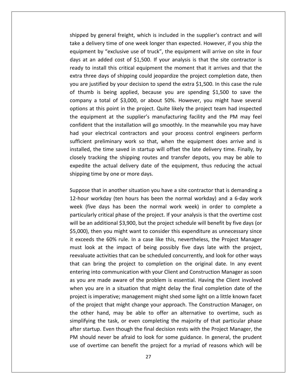by general freight, which is included in the supplier's contract and will a delivery time of one week longer than expected. However, if you ship the delivery time of one week longer than expected. However, if you ship the general freight, which is included in the supplier's contract and will<br>by time of one week longer than expected. However, if you ship the<br>by "exclusive use of truck", the equipment will arrive on site in four ed by general freight, which is included in the supplier's contract and will<br>a delivery time of one week longer than expected. However, if you ship the<br>ment by "exclusive use of truck", the equipment will arrive on site in d by general freight, which is included in the supplier's contract and will<br>delivery time of one week longer than expected. However, if you ship the<br>nent by "exclusive use of truck", the equipment will arrive on site in fo shipped by general freight, which is included in the supplier's contract and will the day general freight, which is included in the supplier's contract and will<br>idelivery time of one week longer than expected. However, if you ship the<br>ment by "exclusive use of truck", the equipment will arrive on site i take a delivery time of one week longer than expected. However, if you ship the a delivery time of one week longer than expected. However, if you ship the<br>pment by "exclusive use of truck", the equipment will arrive on site in four<br>at an added cost of \$1,500. If your analysis is that the site contrac equipment by "exclusive use of truck", the equipment will arrive on site in four thumb is being applied, because you are spending \$1,500 to save the spending is being applied.<br>
Thumb is being applied, because you are spending \$1,500. In this case the rule<br>
thumb is being applied, because you are spend days at an added cost of \$1,500. If your analysis is that the site contractor is and added cost of \$1,500. If your analysis is that the site contractor is install this critical equipment the moment that it arrives and that the e days of shipping could jeopardize the project completion date, then stifi ready to install this critical equipment the moment that it arrives and that the in this critical equipment the moment that it arrives and that the<br>ree days of shipping could jeopardize the project completion date, then<br>justified by your decision to spend the extra \$1,500. In this case the rule<br>ib is extra three days of shipping could jeopardize the project completion date, then equipment the moment that it arrives and that the<br>a three days of shipping could jeopardize the project completion date, then<br>are justified by your decision to spend the extra \$1,500. In this case the rule<br>humb is being ap you are justified by your decision to spend the extra \$1,500. In this case the rule that the installation will go smoothly. In the meanwhile you may have the stified by your decision to spend the extra \$1,500. In this case the rule<br>is being applied, because you are spending \$1,500 to save the<br>a total of \$ of thumb is being applied, because you are spending \$1,500 to save the The yastincal sy your decision to spend the extra y 1,500; in this case the rate<br>umb is being applied, because you are spending \$1,500 to save the<br>bany a total of \$3,000, or about 50%. However, you might have several<br>ms at sufficients<br>externes in the set of the set of the set of the set of the set of the set of the set of the set of the set of<br>externe in the set of the set of the set of the set of the set of the set of the set of the set of preliming the solution of sperial sperial specifies and total of \$3,000, or about 50%. However, you might have several<br>this point in the project. Quite likely the project team had inspected<br>ment at the supplier's manufact company<br>.. the this point in the project. Quite likely the project team had inspected<br>that the supplier's manufacturing facility and the PM may feel<br>that the installation will go smoothly. In the meanwhile you may have<br>electrical con options at this point in the project. Quite likely the project team had inspected<br>the equipment at the supplier's manufacturing facility and the PM may feel the shipping and the supplier's manufacturing facility and the PM may feel<br>that the installation will go smoothly. In the meanwhile you may have<br>ur electrical contractors and your process control engineers perform<br>the prel confident that the installation will go smoothly. In the meanwhile you may have that the installation will go smoothly. In the meanwhile you may have<br>electrical contractors and your process control engineers perform<br>preliminary work so that, when the equipment does arrive and is<br>the time saved in star somache that the instantator win go stand<br>had your electrical contractors and y<br>sufficient preliminary work so that, w<br>installed, the time saved in startup will<br>closely tracking the shipping routes are<br>spedite the actual d the time saved in startup will offset the late delivery time. Finally, by racking the shipping routes and transfer depots, you may be able to the actual delivery date of the equipment, thus reducing the actual time by one installed, the time saved in startup will offset the late delivery time. Finally, by closely tracking the shipping routes and transfer depots, you may be able to racking the shipping routes and transfer depots, you may be able to<br>the actual delivery date of the equipment, thus reducing the actual<br>time by one or more days.<br>that in another situation you have a site contractor that is expedite the actual delivery date of the equipment, thus reducing the actual  $\sum_{i=1}^{n}$ اس<br>ا

days

 $\overline{c}$ (figure days the supposition and dataser depots) you may be distended to the normal mag time by one or more days.<br>See that in another situation you have a site contractor that is demanding a sur-workday (ten hours has been e detaal delivery date of the equipment, thus reducing the detaal<br>the by one or more days.<br>It in another situation you have a site contractor that is demanding a<br>rkday (ten hours has been the normal work week) in order to pose that in another situation you have a site contractor that is demanding a<br>hour workday (ten hours has been the normal workday) and a 6-day work<br>k (five days has been the normal work week) in order to complete a<br>icularl Suppose that in another situation you have a site contractor that is demanding a that in another situation you have a site contractor that is demanding a<br>workday (ten hours has been the normal workday) and a 6-day work<br>ve days has been the normal work week) in order to complete a<br>rly critical phase of 12-hour workday (ten hours has been the normal workday) and a 6-day work Frour workday (ten hours has been the normal workday) and a 6-day work<br>eek (five days has been the normal work week) in order to complete a<br>rticularly critical phase of the project. If your analysis is that the overtime co week (five days has been the normal work week) in order to complete a Le hour workady (ten hours has been the hormal workady) and a b day work<br>week (five days has been the normal work week) in order to complete a<br>particularly critical phase of the project. If your analysis is that the overti active that can be schedule will benefit by five days (or different concurrently, in the evertime cost dditional \$3,900, but the project schedule will benefit by five days (or en you might want to consider this expenditure pare<br>... examity of thest phase of the project in your diffusions that the overtime cost<br>e an additional \$3,900, but the project schedule will benefit by five days (or<br>00), then you might want to consider this expenditure as unnece will be a It is the 60% rule. In a case like this expenditure as unnecessary since<br>Is the 60% rule. In a case like this, nevertheless, the Project Manager<br>ok at the impact of being possibly five days late with the project,<br>te activi \$5,000), then you might want to consider this expenditure as unnecessary since<br>it exceeds the 60% rule. In a case like this, nevertheless, the Project Manager becomes the 60% rule. In a case like this, nevertheless, the Project Manager<br>st look at the impact of being possibly five days late with the project,<br>waluate activities that can be scheduled concurrently, and look for othe  $\ddot{\ }$ You are in a situation that might delay the final completion date of the project wante activities that can be scheduled concurrently, and look for other ways an bring the project to completion on the original date. In any project is imperative; that can be scheduled concurrently, and look for other ways<br>that can bring the project to completion on the original date. In any event<br>entering into communication with your Client and Construction M that can bring the project to completion on the original date. In any event Franciace determies that can be scheduled concentently, and footen other trays<br>the can bring the project to completion on the original date. In any event<br>tering into communication with your Client and Construction Manager the can sing the project to comprehent on the original date. In any event<br>entering into communication with your Client and Construction Manager as soon<br>as you are made aware of the problem is essential. Having the Client i as you are made aware of the problem is essential. Having the Client involved the task are of the problem is essential. Having the Client involved<br>are in a situation that might delay the final completion date of the<br>perative; management might shed some light on a little known facet<br>construct that mi when you are in a situation that might delay the final completion date of the startup. Even though the final completion date of the ct is imperative; management might shed some light on a little known facet<br>Even project that might change your approach. The Construction Manager, on<br>other hand, may be project is imperative; management might shed some light on a little known facet should never be afraid to look for some guidance. In general, the project that might change your approach. The Construction Manager, on other hand, may be able to offer an alternative to overtime, such as blifying the task of the project that might change your approach. The Construction Manager, on of original the project that might change your approach. The Construction Manager, on other hand, may be able to offer an alternative to overtime, such as blifying the task, or even completing the majority of that particul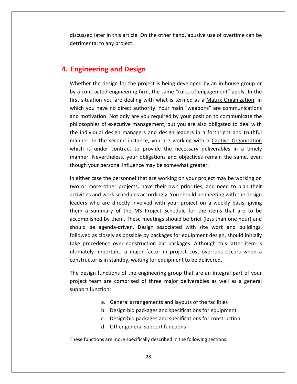later in this article. On the other hand, abusive use of overtime can be and any project.<br>
ter in this article. O<br>
to any project. **Engineerism of the State of State 1 and State in this article. On the other has<br>detrimental to any project.<br><b>Engineering and Design** discussed later in this article. On the other hand, abusive use of overtime can be the design for the project is being developed by an in-house group or<br>the design for the project is being developed by an in-house group or detrimental to any project.

# 4. Engineering and Design

**4.**

in the carry project.<br> **a contracted engineering firm**, the same "rules of engagement" apply. In the<br>
a contracted engineering firm, the same "rules of engagement" apply. In the **Example 2018 of Signah Since Time Signah Since ring and Design**<br>ther the design for the project is being developed by an in-house group or<br>contracted engineering firm, the same "rules of engagement" apply. In the<br>situatio **neering and Design**<br>er the design for the project is being developed by an in-house group or<br>pontracted engineering firm, the same "rules of engagement" apply. In the<br>tuation you are dealing with what is termed as a <u>Matr</u> **Example 2018 of the project** is being developed by an in-house group or contracted engineering firm, the same "rules of engagement" apply. In the situation you are dealing with what is termed as a <u>Matrix Organization</u>, i Whether the design for the project is being developed by an in-house group or design for the project is being developed by an in-house group or<br>ed engineering firm, the same "rules of engagement" apply. In the<br>you are dealing with what is termed as a <u>Matrix Organization</u>, in<br>we no direct authority. the individual design managers and design leaders in a forthright and truthful<br>the inst situation you are dealing with what is termed as a <u>Matrix Organization</u>, in<br>which you have no direct authority. Your main "weapons" a  $\frac{1}{2}$ menner. In the second instance, you are working with what is termed as a <u>Matrix Organization</u>, in<br>In that is termed as a <u>Matrix Organization</u>, in<br>In the second instance, you required by your position to communicate the<br>indual de first situation you are dealing with what is termed as a **Matrix Organization**, in which you have no direct authority. Your main "weapons" are communications is under the detailed to detail the term of the necessary are communications<br>tivation. Not only are you required by your position to communicate the<br>phies of executive management, but you are also obligated to deal with<br>iv and motivation. Not only are you required by your position to communicate the vation. Not only are you required by your position to communicate the<br>hies of executive management, but you are also obligated to deal with<br>idual design managers and design leaders in a forthright and truthful<br>In the secon philosophies of executive management, but you are also obligated to deal with whiles of executive management, but you are also oblig<br>ividual design managers and design leaders in a forth<br>. In the second instance, you are working with a Cap<br>is under contract to provide the necessary deliveral.<br>. Neve the individual design managers and design leaders in a forthright and truthful e individual design managers and design leaders in a forthright and truthful<br>anner. In the second instance, you are working with a <u>Captive Organization</u><br>nich is under contract to provide the necessary deliverables in a ti manner. In the second instance, you are working with a Captive Organization ner. In the second instance, you are working with a <u>Captive Organization</u><br>h is under contract to provide the necessary deliverables in a timely<br>ner. Nevertheless, your obligations and objectives remain the same, even<br>gh y which is under contract to provide the necessary deliverables in a timely under contract to provide the necessary deliverables in a timely<br>Nevertheless, your obligations and objectives remain the same, even<br>bur personal influence may be somewhat greater.<br>case the personnel that are working on yo mannei though your personal influence may be somewhat greater.

Nevertheless, your obligations and objectives remain the same, even<br>your personal influence may be somewhat greater.<br>case the personnel that are working on your project may be working on<br>more other projects, have their own i your personal influence may be somewhat greater.<br>
er case the personnel that are working on your project may be working on<br>
r more other projects, have their own priorities, and need to plan their<br>
ies and work schedules In either case the personnel that are working on your project may be working on the personnel that are working on your project may be working on<br>other projects, have their own priorities, and need to plan their<br>work schedules accordingly. You should be meeting with the design<br>are directly involved wit two or more other projects, have their own priorities, and need to plan their activities and work schedules accordingly. You should be meeting with the design and work schedules accordingly. You should be meeting with the design<br>and work schedules accordingly. You should be meeting with the design<br>summary of the MS Project Schedule for the items that are to be<br>shed by them. Thes leaders who are directly involved with your project on a weekly basis, giving precedence over construction bid packages. Although this latter item is<br>precedence over construction bid packages for equipment design, wed as closely as possible by packages for equipment design, should initially<br>preceden them a summary of the MS Project Schedule for the items that are to be o are ancely involved with your project on a weekly basis, giving<br>mmary of the MS Project Schedule for the items that are to be<br>ed by them. These meetings should be brief (less than one hour) and<br>agenda-driven. Design asso accomplished by them. These meetings should be brief (less than one hour) and should be agenda-driven. Design associated with site work and buildings, followed as closely as possible by packages for equipment design, should initially take precedence over construction bid packages. Although this latt Ild be agenda-driven. Design associated with site work and buildings,<br>wed as closely as possible by packages for equipment design, should initially<br>precedence over construction bid packages. Although this latter item is<br>na followed as closely as possible by packages for equipment design, should initially It as closely as possible by packages for equipment design, should initially<br>ecedence over construction bid packages. Although this latter item is<br>ly important, a major factor in project cost overruns occurs when a<br>ttor is take precedence over construction bid packages. Although this latter item is ecedence over<br>Iy important,<br>tor is in stand<br>gn functions<br>team are con<br>function: constructor is in standby, waiting for equipment to be delivered.

Standby, waiting for equipment to be delivered.<br>
Standby, waiting for equipment to be delivered.<br>
Standard arrangements and layouts of the facilities<br>
General arrangements and layouts of the facilities ions of the engineering group that are an integral part of<br>
interpretical packages as well as a gention<br>
deneral arrangements and layouts of the facilities<br>
Design bid packages and specifications for equipment The design functions of the engineering group that are an integral part of your ions of the engineering group that are an integral part of your<br>
E comprised of three major deliverables as well as a general<br>
:<br>
General arrangements and layouts of the facilities<br>
Design bid packages and specifications f d.support function:<br>
a. General arrangements and layouts of the facilities<br>
b. Design bid packages and specifications for equipment<br>
c. Design bid packages and specifications for construction<br>
d. Other general support functi

- 
- 
- c. Design bid packages and specifications for construction a. General arrangements and layouts of the facilities<br>b. Design bid packages and specifications for equipm<br>c. Design bid packages and specifications for constru<br>d. Other general support functions<br>functions are more specifi
	-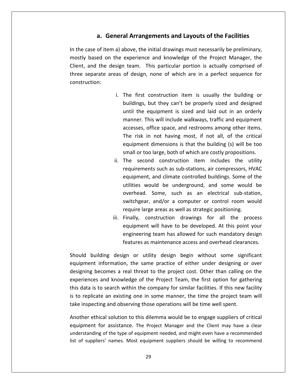# **General Arrangements and Layouts of the Facilities** the case of item a) above, the initial drawings must necessarily be preliminary,<br>in the case of item a) above, the initial drawings must necessarily be preliminary, a. General Arrangements and Layouts of the Facilities

**a. General Arrangements and Layouts of the Facilities**<br>ase of item a) above, the initial drawings must necessarily be preliminary,<br>based on the experience and knowledge of the Proiect Manager, the **a. General Arrangements and Layouts of the Facilities**<br>ase of item a) above, the initial drawings must necessarily be preliminary,<br>based on the experience and knowledge of the Project Manager, the<br>and the design team. Thi **a. General Arrangements and Layouts of the Facilities**<br>case of item a) above, the initial drawings must necessarily be preliminary,<br>based on the experience and knowledge of the Project Manager, the<br>and the design team. Th In the case of item a) above, the initial drawings must necessarily be preliminary, above, the initial drawings must necessarily be preliminary, experience and knowledge of the Project Manager, the ideam. This particular portion is actually comprised of of design, none of which are in a perfect sequence f mostly based on the experience and knowledge of the Project Manager, the e and knowledge of the Project Manager, the<br>
his particular portion is actually comprised of<br>
none of which are in a perfect sequence for<br>
construction item is usually the building or<br>
but they can't be properly sized and Client, and the design team. This particular portion is actually comprised of three separate areas of design, none of which are in a perfect sequence for construction:

- m. This particular portion is actually comprised of<br>sign, none of which are in a perfect sequence for<br>first construction item is usually the building or<br>ngs, but they can't be properly sized and designed<br>the equipment is s I, none of which are in a perfect sequence for<br>
construction item is usually the building or<br>
but they can't be properly sized and designed<br>
equipment is sized and laid out in an orderly<br>
This will include walkways, traffi The first construction item is usually the building or<br>buildings, but they can't be properly sized and designed<br>until the equipment is sized and laid out in an orderly<br>manner. This will include walkways, traffic and equipm first construction item is usually the building or<br>ings, but they can't be properly sized and designed<br>the equipment is sized and laid out in an orderly<br>ner. This will include walkways, traffic and equipment<br>sses, office s i. The first construction item is usually the building or<br>buildings, but they can't be properly sized and designed ondetable it that is dealing the saltent, or<br>at they can't be properly sized and designed<br>quipment is sized and laid out in an orderly<br>is will include walkways, traffic and equipment<br>fice space, and restrooms among other i until the equipment is sized and laid out in an orderly This will include walkways, traffic and easigned<br>the equipment is sized and laid out in an orderly<br>er. This will include walkways, traffic and equipment<br>ses, office space, and restrooms among other items.<br>isk in not having manner. This will include walkways, traffic and equipment<br>accesses, office space, and restrooms among other items.<br>The risk in not having most, if not all, of the critical<br>equipment dimensions is that the building (s) will accesses, office space, and restrooms among other items. of the space, and restrooms among other items.<br>
ot having most, if not all, of the critical<br>
mensions is that the building (s) will be too<br>
rge, both of which are costly propositions.<br>
construction item includes the utilit The risk in not having most, if not all, of the critical not having most, if not all, of the critical<br>dimensions is that the building (s) will be too<br>large, both of which are costly propositions.<br>d construction item includes the utility<br>is such as sub-stations, air compressors, equipment dimensions is that the building (s) will be too small or too large, both of which are costly propositions.
- m not having most, in not an, or the chited<br>int dimensions is that the building (s) will be too<br>too large, both of which are costly propositions.<br>cond construction item includes the utility<br>ents such as sub-stations, air c Equipment amensions is that the sanaling (5) will be toom<br>small or too large, both of which are costly propositions.<br>The second construction item includes the utility<br>requirements such as sub-stations, air compressors, HVA I construction item includes the utility<br>s such as sub-stations, air compressors, HVAC<br>and climate controlled buildings. Some of the<br>ald be underground, and some would be<br>Some, such as an electrical sub-station,<br>and/or a c requirements such as sub-stations, air compressors, H'<br>equipment, and climate controlled buildings. Some of<br>utilities would be underground, and some would<br>overhead. Some, such as an electrical sub-stat<br>switchgear, and/or a Finally, and climate controlled buildings. Some of the<br>utilities would be underground, and some would be<br>overhead. Some, such as an electrical sub-station,<br>switchgear, and/or a computer or control room would<br>require large equipment, and climate controlled buildings. Some of the utilities would be underground, and some would be and embate controlled salianings. Some of the<br>uld be underground, and some would be<br>Some, such as an electrical sub-station,<br>and/or a computer or control room would<br>e areas as well as strategic positioning.<br>nstruction draw overhead. Some, such as an electrical sub-station, Some, such as an electrical sub-station,<br>and/or a computer or control room would<br>areas as well as strategic positioning.<br>struction drawings for all the process<br>will have to be developed. At this point your<br>team has allowed switchgear, and/or a computer or control room would
- switchgear, and/or a computer or control room would<br>require large areas as well as strategic positioning.<br>iii. Finally, construction drawings for all the process<br>equipment will have to be developed. At this point your<br>engi require large areas as well as strategic positioning.<br>
iii. Finally, construction drawings for all the process<br>
equipment will have to be developed. At this point your<br>
engineering team has allowed for such mandatory desig iii. Finally, construction drawings for all the process<br>equipment will have to be developed. At this point your<br>engineering team has allowed for such mandatory design<br>features as maintenance access and overhead clearances.

equipment will have to be developed. At this point your<br>engineering team has allowed for such mandatory design<br>features as maintenance access and overhead clearances.<br>uilding design or utility design begin without some sig engineering team has allowed for such mandatory design<br>features as maintenance access and overhead clearances.<br>ding design or utility design begin without some significant<br>information, the same practice of either under des features as maintenance access and overhead clearances.<br>
uld building design or utility design begin without some significant<br>
pment information, the same practice of either under designing or over<br>
gning becomes a real th Should building design or utility design begin without some significant ould building design or utility design begin without some significant<br>uipment information, the same practice of either under designing or over<br>signing becomes a real threat to the project cost. Other than calling on the<br>pe equipment information, the same practice of either under designing or over insular sahaling acsign of animy acsign segm while some signi-<br>equipment information, the same practice of either under designing or<br>designing becomes a real threat to the project cost. Other than calling o<br>experiences and g becomes a real threat to the project cost. Other than calling on the<br>ces and knowledge of the Project Team, the first option for gathering<br>is to search within the company for similar facilities. If this new facility<br>lica experience and knowledge of the Project Team, the first option for gathering<br>to search within the company for similar facilities. If this new facility<br>te an existing one in some manner, the time the project team will<br>ing and observin is<br>T

ان<br>ا is to replicate an existing one in some manner, the time the project team will<br>take inspecting and observing those operations will be time well spent.<br>Another ethical solution to this dilemma would be to engage suppliers o E inspecting and observing those operations will be time the project team wind inspecting and observing those operations will be time well spent.<br>
Suppliers of critical solution to this dilemma would be to engage suppliers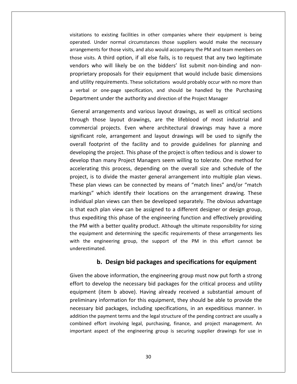to existing facilities in other companies where their equipment is being Visitations to existing facilities in other companies where their equipment is being<br>Normal circumstances those suppliers would make the necessary existing facilities in other companies where their equipment is being<br>der normal circumstances those suppliers would make the necessary<br>for those visits, and also would accompany the PM and team members on ons to existing facilities in other companies where their equipment is being<br>visits. A third option, if all else fails, is to request that any two legitimate<br>visits. A third option, if all else fails, is to request that an visitations to existing facilities in other companies where their equipment is being<br>operated. Under normal circumstances those suppliers would make the necessary<br>arrangements for those visits, and also would accompany the existing facilities in other companies where their equipment is being<br>nder normal circumstances those suppliers would make the necessary<br>s for those visits, and also would accompany the PM and team members on<br>A third optio It is to existing Tachities in other companies where their equipment is being<br>ated. Under normal circumstances those suppliers would make the necessary<br>gements for those visits, and also would accompany the PM and team mem arrangements for those visits, and also would accompany the PM and team members on related. Onder homial chedulistances those suppliers would make the hecessary<br>angements for those visits, and also would accompany the PM and team members on<br>bse visits. A third option, if all else fails, is to request tha those visits. A third option, if all else fails, is to request that any two levendors who will likely be on the bidders' list submit non-binding a proprietary proposals for their equipment that would include basic din and vendors who will likely be on the bidders' list submit non-binding and nonwho will likely be on the bidders' list submit non-binding and non-<br>ry proposals for their equipment that would include basic dimensions<br>y requirements. These solicitations would probably occur with no more than<br>or one-pag proprietary proposals for their equipment that would include basic dimensions ry proposals for their equipment that would include basic dimensions<br>
intequirements. These solicitations would probably occur with no more than<br>
or one-page specification, and should be handled by the Purchasing<br>
ent unde and utility requirements. These solicitations would probably occur with no more than quirements. These solicitations would probably occur with no more than<br>one-page specification, and should be handled by the Purchasing<br>under the authority and direction of the Project Manager<br>ingements and various layout d a verbal or one-page specification, and should be handled by the Purchasing Department under the authority and direction of the Project Manager

r one-page specification, and should be handled by the Purchasing<br>t under the authority and direction of the Project Manager<br>rangements and various layout drawings, as well as critical sections<br>nose layout drawings, are th The footprint of the facility and direction of the Project Manager<br>
I arrangements and various layout drawings, as well as critical sections<br>
those layout drawings, are the lifeblood of most industrial and<br>
cial projects. General arrangements and various layout drawings, as well as critical sections rangements and various layout drawings, as well as critical sections<br>ose layout drawings, are the lifeblood of most industrial and<br>projects. Even where architectural drawings may have a more<br>role, arrangement and layout dr develop than many Project Managers seem willing to tolerate. One method for the many projects. Even where architectural drawings may have a more significant role, arrangement and layout drawings will be used to signify the commercial projects. Even where architectural drawings may have a more projects. Even where architectural drawings may have a more<br>le, arrangement and layout drawings will be used to signify the<br>print of the facility and to provide guidelines for planning and<br>ne project. This phase of the pro besommeredar projects. Even where dremeetded drawings may have a more<br>significant role, arrangement and layout drawings will be used to signify the<br>overall footprint of the facility and to provide guidelines for planning a plant views can be facility and to provide guidelines for planning and<br>ping the project. This phase of the project is often tedious and is slower to<br>p than many Project Managers seem willing to tolerate. One method for<br>rat overall footprint of the facility and to provide guidelines for planning and<br>developing the project. This phase of the project is often tedious and is slower to the project. This phase of the project is often tedious and is slower to<br>an many Project Managers seem willing to tolerate. One method for<br>g this process, depending on the overall size and schedule of the<br>to divide the mas develop than many Project Managers seem willing to tolerate. One method for plane is the project. This phase of the project is often teateds and is stower to<br>aan many Project Managers seem willing to tolerate. One method for<br>ng this process, depending on the overall size and schedule of the<br>to div accelerating this process, depending on the overall size and schedule of the accelerating this process, depending on the overall size and schedule of the<br>project, is to divide the master general arrangement into multiple plan views.<br>These plan views can be connected by means of "match lines" and/or experience of the engineering of the evertal size and selectate of the<br>ct, is to divide the master general arrangement into multiple plan views.<br>e plan views can be connected by means of "match lines" and/or "match<br>ings" w project, is to divide the master general arrangement into multiple plan views.<br>These plan views can be connected by means of "match lines" and/or "match See, is to annote the master general arrangement into matteple plan views.<br>See plan views can be connected by means of "match lines" and/or "match<br>kings" which identify their locations on the arrangement drawing. These<br>vid markings" which identify their locations on the arrangement drawing. These kings" which identify their locations on the arrangement drawing. These<br>vidual plan views can then be developed separately. The obvious advantage<br>nat each plan view can be assigned to a different designer or design group,<br> individual plan views can then be developed separately. The obvious advantage dual plan views can then be developed separately. The obvious advantage<br>t each plan view can be assigned to a different designer or design group,<br>expediting this phase of the engineering function and effectively providing<br> ic that aach nl: **plan vi**<br>**iting this**<br>**h a** bettent and a<br>**ngineerir**<br>ted. Beta be assigned to a different designer or design group, a this phase of the engineering function and effectively providing better quality product. Although the ultimate responsibility for sizing and determining the speci the PM with a better quality product. Although the ultimate responsibility for sizing the equipment and determining the specific requirements of these arrangements lies the above information, the support of the PM in this effort cannot be<br>tends above information, the engineering group must now put forth a strong<br>the above information, the engineering group must now put forth a strong with the engineering group, the support of the PM in this effort cannot be<br>underestimated.<br> **b. Design bid packages and specifications for equipment**<br>
Given the above information, the engineering group must now put forth a underestimated.

addition the payment terms and the legal structure of the pending contract are usually a (ited).<br> **(i)**<br> **(i)**<br> **(i)** Design bid packages and specifications for equipment<br>
velop the necessary bid packages for the critical process and utility<br>
(item b above). Having already received a substantial amount of **information** information, the engineering group must now put forth a strong velop the necessary bid packages for the critical process and utility (item b above). Having already received a substantial amount of information **b. Design bid packages and specifications for equipment**<br>above information, the engineering group must now put forth a strong<br>evelop the necessary bid packages for the critical process and utility<br>(item b above). Having a Given the above information, the engineering group must now put forth a strong<br>effort to develop the necessary bid packages for the critical process and utility<br>equipment (item b above). Having already received a substanti effort to develop the necessary bid packages for the critical process and utility levelop the necessary bid packages for the critical process and utility<br>t (item b above). Having already received a substantial amount of<br>y information for this equipment, they should be able to provide the<br>bid packages, i equipment (item b above). Having already received a substantial amount of<br>preliminary information for this equipment, they should be able to provide the<br>necessary bid packages, including specifications, in an expeditious m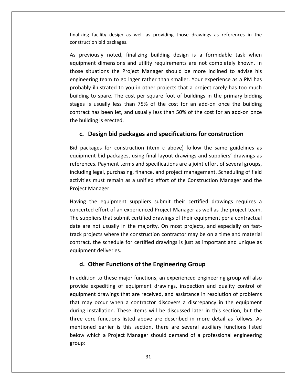facility design as well as providing those drawings as references in the **bidad controlled to the package of the packages.** As we construction bid packages. izing facility design as well as providing those drawings as references in the<br>truction bid packages.<br>previously noted, finalizing building design is a formidable task when ility design as well as providing those drawings as references in the<br>bid packages.<br>sly noted, finalizing building design is a formidable task when<br>dimensions and utility requirements are not completely known. In finalizing fac construction bid packages.

ig facility design as well as providing those drawings as references in the<br>ction bid packages.<br>eviously noted, finalizing building design is a formidable task when<br>nent dimensions and utility requirements are not complete Iity design as well as providing those drawings as references in the<br>
bid packages.<br>
Iy noted, finalizing building design is a formidable task when<br>
Iimensions and utility requirements are not completely known. In<br>
ions th on bid packages.<br>
busly noted, finalizing building design is a formidable task when<br>
it dimensions and utility requirements are not completely known. In<br>
uations the Project Manager should be more inclined to advise his<br>
i buildingously noted, finalizing building design is a formidable task when<br>nt dimensions and utility requirements are not completely known. In<br>tuations the Project Manager should be more inclined to advise his<br>ing team to go lager stages<br>. is a formalise task when<br>intent dimensions and utility requirements are not completely known. In<br>istuations the Project Manager should be more inclined to advise his<br>pring team to go lager rather than smaller. Your experie equipment dimensions and utility requirements are not completely known. In those situations the Project Manager should be more inclined to advise his has been let, and usually less than 50% of the cost for an add-on once<br>has been let, and usually less than 75% of the cost for an add-on once the building<br>has been let, and usually less than 50% of the cost for an add-on o engineering team to go lager rather than smaller. Your experience as a PM has probably illustrated to you in other projects that a project rarely has too much<br>building to spare. The cost per square foot of buildings in the primary bidding ring team to go lager rather than smaller. Your experience as a PM has<br>y illustrated to you in other projects that a project rarely has too much<br>t to spare. The cost per square foot of buildings in the primary bidding<br>is u Stages is usually less than 75% of the cost for an add-on once the building<br>
contract has been let, and usually less than 50% of the cost for an add-on once<br>
the building is erected.<br> **c. Design bid packages and specificat** contract has been let, and usually less than 50% of the cost for an add-on once<br>the building is erected.<br>**c.** Design bid packages and specifications for construction<br>Bid packages for construction (item c above) follow the the building is erected.

## c. Design bid packages and specifications for construction

ign bid packages and specifications for construction<br>Payment terms and specifications for construction<br>Payment terms and specifications are a joint effort of several groups. **esign bid packages and specifications for construction**<br>ages for construction (item c above) follow the same guidelines as<br>at bid packages, using final layout drawings and suppliers' drawings as<br>s. Payment terms and speci **esign bid packages and specifications for construction**<br>ages for construction (item c above) follow the same guidelines as<br>at bid packages, using final layout drawings and suppliers' drawings as<br>s. Payment terms and speci Bid packages for com<br>
equipment bid packa<br>
references. Payment<br>
including legal, purch<br>
activities must remai<br>
Proiect Manager. ent bid packages, using final layout drawings and suppliers' drawings as<br>tes. Payment terms and specifications are a joint effort of several groups,<br>g legal, purchasing, finance, and project management. Scheduling of field references. Payment terms and specifications are a joint effort of several groups, references. Payment terms and specifications are a joint effort of several groups,<br>including legal, purchasing, finance, and project management. Scheduling of field<br>activities must remain as a unified effort of the Constru iding legal, purchasing, finance, and project management. Scheduling of field<br>vities must remain as a unified effort of the Construction Manager and the<br>ect Manager.<br>ng the equipment suppliers submit their certified drawin activities must remain as a unified effort of the Construction Manager and the

activities must remain as a unified effort of the Construction Manager and the<br>Project Manager.<br>Having the equipment suppliers submit their certified drawings requires a<br>concerted effort of an experienced Project Manager a ct Manager.<br>
g the equipment suppliers submit their certified drawings requires a<br>
prote effort of an experienced Project Manager as well as the project team.<br>
uppliers that submit certified drawings of their equipment per contract,the equipment suppliers submit their certified drawings requires at leffort of an experienced Project Manager as well as the project team.<br>
iers that submit certified drawings of their equipment per a contractual<br>
not usua example. deligion of an expanding the equipment state stated effort of an expanding the area not usually in the k projects where the correct of the schedule for inment deliveries. ed effort of an experienced Project Manager as well as the p<br>pliers that submit certified drawings of their equipment per a<br>e not usually in the majority. On most projects, and especi<br>ojects where the construction contract track projects where the construction contractor may be on a time and material ick projects where the construction contractor may be on a time and material<br>intract, the schedule for certified drawings is just as important and unique as<br>uipment deliveries.<br>**d. Other Functions of the Engineering Group** ontract, the schedule for certified drawings is just as important and unique as<br>equipment deliveries.<br> **d. Other Functions of the Engineering Group**<br>
In addition to these major functions, an experienced engineering group w equipment deliveries.

## d. Other Functions of the Engineering Group

deliveries.<br>**The Functions of the Engineering Group**<br>to these major functions, an experienced engineering group will also<br>bediting of equipment drawings, inspection and quality control of<br>drawings that are received, and as **1. Other Functions of the Engineering Group**<br>dition to these major functions, an experienced engineering group will also<br>de expediting of equipment drawings, inspection and quality control of<br>pment drawings that are recei Other Functions of the Engineering Group<br>ion to these major functions, an experienced engineering group will also<br>expediting of equipment drawings, inspection and quality control of<br>ent drawings that are received, and assi ition to these major functions, an experienced engineering group will also<br>e expediting of equipment drawings, inspection and quality control of<br>nent drawings that are received, and assistance in resolution of problems<br>nay In addition to these major functions, an experienced engineering group will also editing of equipment drawings, inspection and quality control of<br>drawings that are received, and assistance in resolution of problems<br>ccur when a contractor discovers a discrepancy in the equipment<br>llation. These items wil provide expediting of equipment drawings, inspection and quality control of expearing of equipment drawings, inspection and quality conter of<br>hent drawings that are received, and assistance in resolution of problems<br>ay occur when a contractor discovers a discrepancy in the equipment<br>installation. equipment drawings that are received, and assistance in resolution of problems that may occur when a contractor discovers a discrepancy in the equipment three core functions listed above are described in more detail as follows. As group: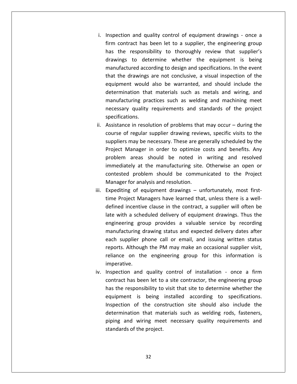Inspection and quality control of equipment drawings - once <sup>a</sup> contract has been let to a supplier, the engineering group<br>contract has been let to a supplier, the engineering group tion and quality control of equipment drawings - once a<br>contract has been let to a supplier, the engineering group<br>the responsibility to thoroughly review that supplier's and quality control of equipment drawings - once a<br>
act has been let to a supplier, the engineering group<br>
esponsibility to thoroughly review that supplier's<br>
to determine whether the equipment is being I quality control of equipment drawings - once a<br>has been let to a supplier, the engineering group<br>onsibility to thoroughly review that supplier's<br>determine whether the equipment is being<br>according to design and specificat i. Inspection and quality control of equipment drawings - once a ection and quality control of equipment drawings - once a<br>
contract has been let to a supplier, the engineering group<br>
the responsibility to thoroughly review that supplier's<br>
ings to determine whether the equipment is bei firm contract has been let to a supplier, the engineering group Also been let to a supplier, the engineering group<br>sponsibility to thoroughly review that supplier's<br>o determine whether the equipment is being<br>ed according to design and specifications. In the event<br>wings are not conclusi has the responsibility to thoroughly review that supplier's Insibility to thoroughly review that supplier's<br>determine whether the equipment is being<br>according to design and specifications. In the event<br>ngs are not conclusive, a visual inspection of the<br>uld also be warranted, and sh drawings to determine whether the equipment is being presently to enologing review that suppliers<br>determine whether the equipment is being<br>coording to design and specifications. In the event<br>gs are not conclusive, a visual inspection of the<br>uld also be warranted, and should manufactured according to design and specifications. In the event equipment would also be warranted, and should include the determination that materials such as metals and wiring, and manufacturing practices such as welding and machining meet necessary quality requirements and standards that the drawings are not conclusive, a visual inspection of the equipment would also be warranted, and should include the<br>determination that materials such as metals and wiring, and<br>manufacturing practices such as welding and machining meet<br>necessary quality requirements and standards determination that materials such as metals and wiring, and ination that materials such as metals and wiring, and<br>cturing practices such as welding and machining meet<br>iny quality requirements and standards of the project<br>ations.<br>nce in resolution of problems that may occur – during  $\frac{1}{2}$ uring practices such as welding and machining meet<br>
quality requirements and standards of the project<br>
ions.<br>
e in resolution of problems that may occur – during the<br>
regular supplier drawing reviews, specific visits to th manar specifications.

drawings

- requirements and standards of the project<br>tions.<br>ce in resolution of problems that may occur during the<br>of regular supplier drawing reviews, specific visits to the<br>s may be necessary. These are generally scheduled by the areas should be noted in writing and resolutions.<br>
in resolution of problems that may occur – during the<br>
regular supplier drawing reviews, specific visits to the<br>
may be necessary. These are generally scheduled by the<br>
an Assistance in resolution of problems that may occur – during the<br>course of regular supplier drawing reviews, specific visits to the<br>suppliers may be necessary. These are generally scheduled by the<br>Project Manager in order rosistance course of regular supplier drawing reviews, specific visits to the suppliers may be necessary. These are generally scheduled by the Project Manager in order to optimize costs and benefits. Any problem areas should be noted suppliers may be necessary. These are ge<br>Project Manager in order to optimize<br>problem areas should be noted in<br>immediately at the manufacturing site.<br>contested problem should be commu<br>Manager for analysis and resolution. Project Manager in order to optimize costs and benefits. Any Project Manager in order to optimize costs and senems. They<br>problem areas should be noted in writing and resolved<br>immediately at the manufacturing site. Otherwise an open or<br>contested problem should be communicated to the Incentively at the manufacturing site. Otherwise an open or<br>incentive communicated to the Project<br>or for analysis and resolution.<br>In got equipment drawings – unfortunately, most first-<br>incentive clause in the contract, a s contested problem should be communicated to the Project Manager for analysis and resolution.
- ested problem should be communicated to the Project<br>ager for analysis and resolution.<br>diting of equipment drawings unfortunately, most first-<br>Project Managers have learned that, unless there is a well-<br>ned incentive clau group analysis and resolution.<br>
Ensulphent drawings – unfortunately, most first-<br>
Managers have learned that, unless there is a well-<br>
tive clause in the contract, a supplier will often be<br>
cheduled delivery of equipment d iii. Expediting of equipment drawings - unfortunately, most firstequipment drawings – unfortunately, most first-<br>anagers have learned that, unless there is a well-<br>ve clause in the contract, a supplier will often be<br>eduled delivery of equipment drawings. Thus the<br>oup provides a valuable time Project Managers have learned that, unless there is a well-Project Managers have learned that, unless there is a well-<br>d incentive clause in the contract, a supplier will often be<br>vith a scheduled delivery of equipment drawings. Thus the<br>eering group provides a valuable service by defined incentive clause in the contract, a supplier will often be Although the PM may make an occasional supplier with a scheduled delivery of equipment drawings. Thus the engineering group provides a valuable service by recording manufacturing drawing status and expected delivery dates a scheduled delivery of equipment drawings. Thus the<br>ng group provides a valuable service by recording<br>uring drawing status and expected delivery dates after<br>plier phone call or email, and issuing written status<br>lthough th late with a scheduled delivery of equipment drawings. Thus the<br>engineering group provides a valuable service by recording Engineering group provides a valuable service by recording<br>manufacturing drawing status and expected delivery dates after<br>each supplier phone call or email, and issuing written status<br>reports. Although the PM may make an o manufacturing drawing status and expected delivery dates after<br>each supplier phone call or email, and issuing written status has been letto a site contractor. He engineering a site and its although the PM may make an occasional supplier visit,<br>and the engineering group for this information is<br>ve.<br>in and quality control of installation - once a f reports. Although the PM may make an occasional supplier visit, The responsibility to visit that site to determine whether the<br>traction and quality control of installation - once a firm<br>tract has been let to a site contractor, the engineering group<br>the responsibility to visit that site Indiance (1)
- determination that materials such as welding rods, fasteners, reliance on the engineering group for this information is<br>imperative.<br>Inspection and quality control of installation - once a firm<br>contract has been let to a site contractor, the engineering group<br>has the responsibility to and quality control of installation - once a firm<br>site shown is been let to a site contractor, the engineering group<br>ponsibility to visit that site to determine whether the<br>is being installed according to specifications.<br>o imperative.<br>iv. Inspection and quality control of installation - once a firm Inspection and quality control of installation - once a firm<br>contract has been let to a site contractor, the engineering group<br>has the responsibility to visit that site to determine whether the<br>equipment is being installed and spanner of instantation once a mini-<br>t has been let to a site contractor, the engineering group<br>responsibility to visit that site to determine whether the<br>ent is being installed according to specifications.<br>on of the c contract has been let to a site contractor, the engineering group<br>has the responsibility to visit that site to determine whether the sponsibility to<br>t is being i<br>of the cons<br>tion that mate<br>d wiring mee<br>of the project.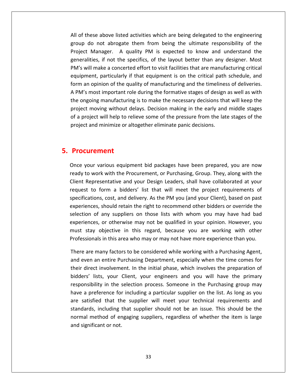of these above listed activities which are being delegated to the engineering do not abrogate them from being delegated to the engineering<br>do not abrogate them from being the ultimate responsibility of the ese above listed activities which are being delegated to the engineering<br>o not abrogate them from being the ultimate responsibility of the<br>Manager. A quality PM is expected to know and understand the bove listed activities which are being delegated to the engineering<br>it abrogate them from being the ultimate responsibility of the<br>ager. A quality PM is expected to know and understand the<br>if not the specifics, of the layo these above listed activities which are being delegated to the engineering<br>o do not abrogate them from being the ultimate responsibility of the<br>ct Manager. A quality PM is expected to know and understand the<br>alities, if n All of these above listed activities which are being delegated to the engineering above listed activities which are being delegated to the engineering<br>ot abrogate them from being the ultimate responsibility of the<br>nager. A quality PM is expected to know and understand the<br>if not the specifics, of the la group do not abrogate them from being the ultimate responsibility of the First criese above issea activities which are being detegated to the engineering<br>group do not abrogate them from being the ultimate responsibility of the<br>Project Manager. A quality PM is expected to know and understand the being the formation of the specifics, of the layout better than any designer. Most<br>meralities, if not the specifics, of the layout better than any designer. Most<br>M's will make a concerted effort to visit facilities that ar Project Manager. A quality PM is expected to know and understand the generalities, if not the specifics, of the layout better than any designer. Most ongoing manufacturing is to make the necessary decisions that and the single eralities, if not the specifics, of the layout better than any designer. Most s will make a concerted effort to visit facilities that are manufac PM's will make a concerted effort to visit facilities that are manufacturing critical Il make a concerted effort to visit facilities that are manufacturing critical<br>ent, particularly if that equipment is on the critical path schedule, and<br>opinion of the quality of manufacturing and the timeliness of deliver equipment, particularly if that equipment is on the critical path schedule, and Form make a concerted enort to visit radinates that are mantatactaring ortical<br>uipment, particularly if that equipment is on the critical path schedule, and<br>m an opinion of the quality of manufacturing and the timeliness o provided and minimize or altesthere in the entity of the timeline.<br>A PM's most important role during the formative stages of design<br>the ongoing manufacturing is to make the necessary decisions the<br>project moving without de A PM's most important rol<br>the ongoing manufacturing<br>project moving without de<br>of a project will help to rel<br>project and minimize or alt<br>**Procurement** of a project will help to relieve some of the pressure from the late stages of the your various equipment bid packages have been prepared, you are now<br>vour various equipment bid packages have been prepared, you are now project and minimize or altogether eliminate panic decisions.

## 5. Procurement

generalities,

t and minimize or anogether eliminate paint decisions.<br> **Curement**<br>
your various equipment bid packages have been prepared, you are now<br>
to work with the Procurement, or Purchasing, Group. They, along with the **Exament<br>Kark Standard Standard Standard Standard Standard Standard Standard Standard Standard Standard Standard Standar<br>Representative and your Design Leaders, shall have collaborated at your rement**<br>and various equipment bid packages have been prepared, you are now<br>work with the Procurement, or Purchasing, Group. They, along with the<br>presentative and your Design Leaders, shall have collaborated at your<br>to for ious equipment bid packages have been prepared, you are now<br>with the Procurement, or Purchasing, Group. They, along with the<br>ntative and your Design Leaders, shall have collaborated at your<br>rm a bidders' list that will mee  $\epsilon$ arious equipment bid packages have been prepared, you are now<br>k with the Procurement, or Purchasing, Group. They, along with the<br>sentative and your Design Leaders, shall have collaborated at your<br>orm a bidders' list that w ready to work with the Procurement, or Purchasing, Group. They, along with the vork with the Procurement, or Purchasing, Group. They, along with the<br>presentative and your Design Leaders, shall have collaborated at your<br>o form a bidders' list that will meet the project requirements of<br>ons, cost, and d Client Representative and your Design Leaders, shall have collaborated at your or otherwise may not be qualified in your pointing. However, when the entative and your Design Leaders, shall have collaborated at your orm a bidders' list that will meet the project requirements of , cost, and delivery. A request to form a bidders' list that will meet the project requirements of stay of the form a bidders' list that will meet the project requirements of cations, cost, and delivery. As the PM you (and your Client), based on past ences, should retain the right to recommend other bidders or override specifications, cost, and delivery. As the PM you (and your Client), based on past is pecifications, cost, and delivery. As the PM you (and your Client), based on past<br>experiences, should retain the right to recommend other bidders or override the<br>selection of any suppliers on those lists with whom you m experiences, should retain the right to recommend other bidders or override the<br>selection of any suppliers on those lists with whom you may have had bad<br>experiences, or otherwise may not be qualified in your opinion. Howev tion of any suppliers on those lists with whom you may have had bad<br>riences, or otherwise may not be qualified in your opinion. However, you<br>: stay objective in this regard, because you are working with other<br>essionals in experiences, or otherwise may not be qualified in your opinion. However, you iences, or otherwise may not be qualified in your opinion. However, you<br>stay objective in this regard, because you are working with other<br>ssionals in this area who may or may not have more experience than you.<br>eare many fa must stay objective in this regard, because you are working with other Professionals in this area who may or may not have more experience than you.

normal method of engaging suppliers, regardless of whether the item is large y objective in this regard, because you are working with other<br>hals in this area who may or may not have more experience than you.<br>many factors to be considered while working with a Purchasing Agent,<br>an entire Purchasing D In this area who may or may not have more experience than you.<br>In the selection process in the considered while working with a Purchasing Agent,<br>In tire Purchasing Department, especially when the time comes for<br>volvement. There are many factors to be considered while working with a Purchasing Agent, are many factors to be considered while working with a Purchasing Agent,<br>ven an entire Purchasing Department, especially when the time comes for<br>direct involvement. In the initial phase, which involves the preparation of<br>r and even an entire Purchasing Department, especially when the time comes for e are many raccors to be considered while working with a Farchdomg Agent,<br>even an entire Purchasing Department, especially when the time comes for<br>direct involvement. In the initial phase, which involves the preparation of standards,involvement. In the initial phase, which involves the preparation of<br>involvement. In the initial phase, which involves the preparation of<br>its, your Client, your engineers and you will have the primary<br>ty in the selection p normallists, your Client, your engineers and you will have the primary<br>ibility in the selection process. Someone in the Purchasing group may<br>oreference for including a particular supplier on the list. As long as you<br>sfied that t bidders' lists, your Client, your engineers and you will have the primary responsibility in the selection process. Someone in the Purchasing group may have a preference for including a particular supplier on the list. As long as you are satisfied that the supplier will meet your technical requirements and standards, including that supplier should not be an issue. This sh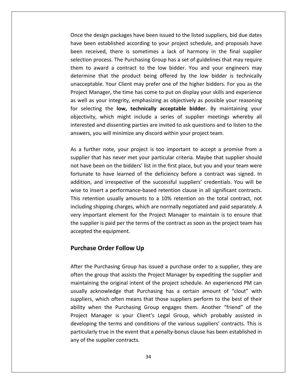the design packages have been issued to the listed suppliers, bid due dates been established according to your project schedule, and proposals have been established according to your project schedule, and proposals have received, the design packages have been issued to the listed suppliers, bid due dates<br>The design packages have been issued to the listed suppliers, bid due dates<br>The stablished according to your project schedule, and propo design packages have been issued to the listed suppliers, bid due dates<br>n established according to your project schedule, and proposals have<br>eived, there is sometimes a lack of harmony in the final supplier<br>process. The Pu the design packages have been issued to the listed suppliers, bid due dates<br>been established according to your project schedule, and proposals have<br>received, there is sometimes a lack of harmony in the final supplier<br>on pr Once the design packages have been issued to the listed suppliers, bid due dates Exign packages have been issued to the listed suppliers, bid due dates<br>established according to your project schedule, and proposals have<br>ved, there is sometimes a lack of harmony in the final supplier<br>ocess. The Purchasin have been established according to your project schedule, and proposals have The packages have seen issued to the listed suppliers, sid due dates<br>ablished according to your project schedule, and proposals have<br>there is sometimes a lack of harmony in the final supplier<br>ss. The Purchasing Group has a been received, there is sometimes a lack of harmony in the final supplier eceived, there is sometimes a lack of harmony in the final supplier<br>n process. The Purchasing Group has a set of guidelines that may require<br>o award a contract to the low bidder. You and your engineers may<br>ine that the pro selection process. The Purchasing Group has a set of guidelines that may require ection process. The Purchasing Group has a set of guidelines that may require<br>em to award a contract to the low bidder. You and your engineers may<br>termine that the product being offered by the low bidder is technically<br>acc them to award a contract to the low bidder. You and your engineers may In to award a contract to the low bidder. You and your engineers may<br>rrmine that the product being offered by the low bidder is technically<br>cceptable. Your Client may prefer one of the higher bidders. For you as the<br>ect Ma determine that the product being offered by the low bidder is technically<br>unacceptable. Your Client may prefer one of the higher bidders. For you as the<br>Project Manager, the time has come to put on display your skills and  $\sum_{i=1}^{n}$ and the product sem<sub>is</sub> onered by the fow blade. Is technomy<br>ble. Your Client may prefer one of the higher bidders. For you as the<br>nager, the time has come to put on display your skills and experience<br>your integrity, empha unacceptable. Your Client may prefer one of the higher bidders. For you as the Project Manager, the time has come to put on display your skills and experience as well as your integrity, emphasizing as objectively as possible your reasoning<br>for selecting the **low, technically acceptable bidder.** By maintaining your selecting the **low, technically acceptable bidder.** By maintaining your<br>ectivity, which might include a series of supplier meetings whereby all<br>erested and dissenting parties are invited to ask questions and to listen to t objectivity, which might include a series of supplier meetings whereby all that has never met your project is too important to accept a promise from a<br>that has never met your project is too important to accept a promise from a<br>that has never met your particular criteria. Maybe that supplier shoul interested and dissenting parties are invited to ask questions and to listen to the  $f(x)$ andweid,

have been on the bidders' list in the first place, but you and your team were<br>havens, you will minimize any discord within your project team.<br>A further note, your project is too important to accept a promise from a<br>plier t ou will minimize any discord within your project team.<br>
er note, your project is too important to accept a promise from a<br>
lat has never met your particular criteria. Maybe that supplier should<br>
deen on the bidders' list i and interactive of the successful suppliers' credentials. You will be and irrespective of the successful suppliers' credentials. You will be and irrespective of the successful suppliers' credentials. You will be As a further note, your project is too important to accept a promise from a As a further note, your project is too important to accept a promise from a<br>supplier that has never met your particular criteria. Maybe that supplier should<br>not have been on the bidders' list in the first place, but you an rattice riste, your project is too important to accept a promise from a<br>lier that has never met your particular criteria. Maybe that supplier should<br>ave been on the bidders' list in the first place, but you and your team w supplier that has never met your particular criteria. Maybe that supplier should not have been on the bidders' list in the first place, but you and your team were shows that has never thet your partituation entertationally been on the bidders' list in the first place, but you and your team were<br>to have learned of the deficiency before a contract was signed. In<br>and irrespective of th fortunate to have learned of the deficiency before a contract was signed. In and to have learned of the deficiency before a contract was signed. In<br>ion, and irrespective of the successful suppliers' credentials. You will be<br>to insert a performance-based retention clause in all significant contracts addition, and irrespective of the successful suppliers' credentials. You will be sition, and irrespective of the successful suppliers' credentials. You will be<br>to insert a performance-based retention clause in all significant contracts.<br>retention usually amounts to a 10% retention on the total contract wise to insert a performance<br>This retention usually amour<br>including shipping charges, whery important element for the<br>the supplier is paid per the tel<br>accepted the equipment. **IFFORE THE CONSTRESS SERVISON**<br> **Order Example Server State Server Server State Suppliers**<br> **Complement** for the Project M<br> **Order Follow Up** the supplier is paid per the terms of the contract as soon as the project team has pplier is paid per the terms of the contract as soon as the project team has<br>ted the equipment.<br>**hase Order Follow Up**<br>the Purchasing Group has issued a purchase order to a supplier, they are accepted the equipment.

#### **Purchase Order Follow Up**

selection

Project Manager is your Client's Legal Group, which probably assisted in ted the equipment.<br> **hase Order Follow Up**<br>
the Purchasing Group has issued a purchase order to a supplier, they are<br>
the group that assists the Project Manager by expediting the supplier and **Order Follow Up<br>
Fridaing** Group has issued a purchase order to a supplier, they are<br>
bup that assists the Project Manager by expediting the supplier and<br>
the original intent of the project schedule. An experienced PM can **se Order Follow Up**<br>e Purchasing Group has issued a purchase order to a supplier, they are<br>e group that assists the Project Manager by expediting the supplier and<br>ing the original intent of the project schedule. An experi Purchasing Group has issued a purchase order to a supplier, they are<br>group that assists the Project Manager by expediting the supplier and<br>g the original intent of the project schedule. An experienced PM can<br>knowledge that  $\mathbf{r}$ ne Purchasing Group has issued a purchase order to a supplier, they are<br>ne group that assists the Project Manager by expediting the supplier and<br>ining the original intent of the project schedule. An experienced PM can<br>ackn often the group that assists the Project Manager by expediting the supplier and e group that assists the Project Manager by expediting the supplier and<br>ing the original intent of the project schedule. An experienced PM can<br>acknowledge that Purchasing has a certain amount of "clout" with<br>is, which ofte maintaining the original intent of the project schedule. An experienced PM can the original intent of the project schedule. An experienced PM can<br>mowledge that Purchasing has a certain amount of "clout" with<br>which often means that those suppliers perform to the best of their<br>in the Purchasing Group e usually acknowledge that Purchasing has a certain amount of "clout" with the original meant of the project schedule: An experienced FM can<br>nowledge that Purchasing has a certain amount of "clout" with<br>thich often means that those suppliers perform to the best of their<br>n the Purchasing Group eng suppliers, which often means that those suppliers perform to the best of their ability when the Purchasing Group engages them. Another "friend" of the Project Manager is your Client's Legal Group, which probably assisted in developing the terms and conditions of the various suppliers' contracts. This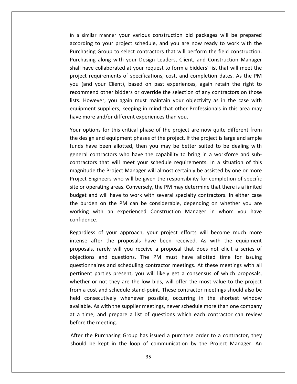<sup>a</sup> similar manner your various construction bid packages will be prepared to your manner your various construction bid packages will be prepared<br>The vour project schedule, and you are now ready to work with the In a similar manner your various construction bid packages will be prepared<br>according to your project schedule, and you are now ready to work with the<br>Purchasing Group to select contractors that will perform the field cons manner your various construction bid packages will be prepared<br>a your project schedule, and you are now ready to work with the<br>Group to select contractors that will perform the field construction.<br>along with your Design Le similar manner your various construction bid packages will be prepared<br>ding to your project schedule, and you are now ready to work with the<br>nasing Group to select contractors that will perform the field construction.<br>nasi In a similar manner your various construction bid packages will be prepared requirements of specifications, cost, and completion dates. As the PM<br>requirements of specifications, and you are now ready to work with the<br>ing Group to select contractors that will perform the field construction.<br>ing alo according to your project schedule, and you are now ready to work with the Similar manner your various construction the puertages will be prepared<br>rding to your project schedule, and you are now ready to work with the<br>nasing Group to select contractors that will perform the field construction.<br>na Purchasing Group to select contractors that will perform the field construction. From the field construction.<br>
Iong with your Design Leaders, Client, and Construction Manager<br>
Illaborated at your request to form a bidders' list that will meet the<br>
Illaborated at your request to form a bidders' list tha Purchasing along with your Design Leaders, Client, and Construction Manager However, you again must maintain your objectivity as in the case with marger<br>Have collaborated at your request to form a bidders' list that will meet the<br>ct requirements of specifications, cost, and completion dates. As th shall have collaborated at your request to form a bidders' list that will meet the suppliers, the construction manageries of specifications, cost, and completion dates. As the PM our Client), based on past experiences, again retain the right to dother bidders or override the selection of any contractors project requirements of specifications, cost, and com<br>you (and your Client), based on past experiences,<br>recommend other bidders or override the selection of<br>lists. However, you again must maintain your objec<br>equipment supp and your Client), based on past experiences, again retain the right to<br>nmend other bidders or override the selection of any contractors on those<br>However, you again must maintain your objectivity as in the case with<br>ment su recommend other bidders or override the selection of any contractors on those ommend other bidders or override the selection of any contractors on those<br>
I However, you again must maintain your objectivity as in the case with<br>
ipment suppliers, keeping in mind that other Professionals in this area m lists. However, you again must maintain your objectivity as in the case with However, you again must maintain your objectivity as in the case with<br>hent suppliers, keeping in mind that other Professionals in this area may<br>hore and/or different experiences than you.<br>ptions for this critical phase of equipment suppliers, keeping in mind that other Professionals in this area may

equipment suppliers, keeping in mind that other Professionals in this area may<br>have more and/or different experiences than you.<br>Your options for this critical phase of the project are now quite different from<br>the design an nd/or different experiences than you.<br>
In for this critical phase of the project are now quite different from<br>
Ind equipment phases of the project. If the project is large and ample<br>
been allotted, then you may be better s Your options for this critical phase of the project are now quite different from In this critical phase of the project are now quite different from<br>and equipment phases of the project. If the project is large and ample<br>been allotted, then you may be better suited to be dealing with<br>tractors who have th the design and equipment phases of the project. If the project is large and ample gn and equipment phase of the project are now quite anterent nom<br>gn and equipment phases of the project. If the project is large and ample<br>ave been allotted, then you may be better suited to be dealing with<br>contractors who funds have been allotted, then you may be better suited to be dealing with It is have been allotted, then you may be better suited to be dealing with<br>It heral contractors who have the capability to bring in a workforce and sub-<br>ractors that will meet your schedule requirements. In a situation of general contractors who have the capability to bring in a workforce and subcontractors who have the capability to bring in a workforce and sub-<br>tors that will meet your schedule requirements. In a situation of this<br>ide the Project Manager will almost certainly be assisted by one or more<br>Engineers contractors that will meet your schedule requirements. In a situation of this Fractors that will meet your schedule requirements. In a situation of this<br>nitude the Project Manager will almost certainly be assisted by one or more<br>ect Engineers who will be given the responsibility for completion of sp  $\frac{1}{100}$ For the Project Manager will almost certainly be assisted by one or more<br>gineers who will be given the responsibility for completion of specific<br>erating areas. Conversely, the PM may determine that there is a limited<br>nd wi Project Engineers who will be given the responsibility for completion of specific site or operating<br>budget and will<br>the burden on<br>working with<br>confidence. ating areas. Conversely, the PM may determine that there is a limited<br>will have to work with several specialty contractors. In either case<br>on the PM can be considerable, depending on whether you are<br>th an experienced Const budget and will have to work with several specialty contractors. In either case md will have to work with several specialty contractors. In either case<br>len on the PM can be considerable, depending on whether you are<br>with an experienced Construction Manager in whom you have<br>ce.<br>ss of your approach, you the burden on the PM can be considerable, depending on whether you are on the PM can be considerable, depending on whether you are<br>ith an experienced Construction Manager in whom you have<br>of your approach, your project efforts will become much more<br>er the proposals have been received. As with working v confidence.

at a time, and prepare a list of questions which each contractor can review th an experienced Construction Manager in whom you have<br>of your approach, your project efforts will become much more<br>er the proposals have been received. As with the equipment<br>arely will you receive a proposal that does no Nour approach, your project efforts will become much more<br>the proposals have been received. As with the equipment<br>Iy will you receive a proposal that does not elicit a series of<br>questions. The PM must have allotted time fo Regardless of your approach, your project efforts will become much more Regardless of your approach, your project efforts will become much more<br>intense after the proposals have been received. As with the equipment<br>proposals, rarely will you receive a proposal that does not elicit a series of<br>o after the proposals have been received. As with the equipment<br>i, rarely will you receive a proposal that does not elicit a series of<br>s and questions. The PM must have allotted time for issuing<br>naires and scheduling contrac intense after the proposals have been received. As with the equipment proposals, rarely will you receive a proposal that does not elicit a series of boards, rarely will you receive a proposal that does not elicit a series of<br>tions and questions. The PM must have allotted time for issuing<br>ionnaires and scheduling contractor meetings. At these meetings with all<br>nent part objections and questions. The PM must have allotted time for issuing Sala), ratery will you receive a proposar that access not ellect a series of<br>ions and questions. The PM must have allotted time for issuing<br>onnaires and scheduling contractor meetings. At these meetings with all<br>ent partie questionnaires and scheduling contractor meetings. At these meetings with all Figures and scheduling contractor meetings. At these meetings with all<br>parties present, you will likely get a consensus of which proposals,<br>pr not they are the low bids, will offer the most value to the project<br>st and sche pertinent parties present, you will likely get a consensus of which proposals, External as and scheduling contractor incetings. The these incetings whit and<br>tinent parties present, you will likely get a consensus of which proposals,<br>ether or not they are the low bids, will offer the most value to the whether or not they are<br>from a cost and schedule<br>held consecutively wh<br>available. As with the sup<br>at a time, and prepare<br>before the meeting. I cost and schedule stand-point. These contractor meetings should also be<br>consecutively whenever possible, occurring in the shortest window<br>ple. As with the supplier meetings, never schedule more than one company<br>ime, and held consecutively whenever possible, occurring in the shortest window available. As with the supplier meetings, never schedule more than one company<br>at a time, and prepare a list of questions which each contractor can review<br>before the meeting.<br>After the Purchasing Group has issued a purchas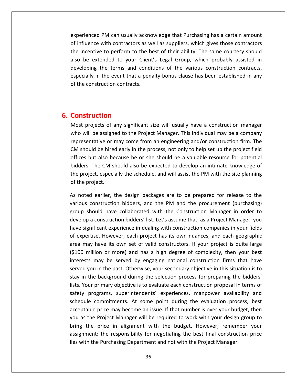PM can usually acknowledge that Purchasing has <sup>a</sup> certain amount influence details are usually acknowledge that Purchasing has a certain amount<br>influence with contractors as well as suppliers, which gives those contractors incentiantly acknowledge that Purchasing has a certain amount<br>incentive to perform to the best of their ability. The same courtesy should<br>incentive to perform to the best of their ability. The same courtesy should rienced PM can usually acknowledge that Purchasing has a certain amount<br>iluence with contractors as well as suppliers, which gives those contractors<br>neentive to perform to the best of their ability. The same courtesy shoul experienced PM can usually acknowledge that Purchasing has a certain amount<br>of influence with contractors as well as suppliers, which gives those contractors<br>the incentive to perform to the best of their ability. The same ed PM can usually acknowledge that Purchasing has a certain amount<br>is with contractors as well as suppliers, which gives those contractors<br>ive to perform to the best of their ability. The same courtesy should<br>xtended to yo experienced PM can usually acknowledge that Purchasing has a certain amount<br>of influence with contractors as well as suppliers, which gives those contractors the incentive to perform to the best of their ability. The same courtesy should<br>also be extended to your Client's Legal Group, which probably assisted in<br>developing the terms and conditions of the various construction cont also be extended to your C<br>developing the terms and construction<br>especially in the event that a<br>of the construction contracts.<br>**Construction** of the construction contracts. provide that a penalty sonds classe has seen established in any construction contracts.<br>
Struction<br>
projects of any significant size will usually have a construction manager  $\ddot{\phantom{0}}$ 

## **6. Construction**

also

**struction**<br>
Struction<br>
The projects of any significant size will usually have a construction manager.<br>
Will be assigned to the Proiect Manager. This individual may be a company **n**<br>of any significant size will usually have a construction manager<br>igned to the Project Manager. This individual may be a company<br>or may come from an engineering and/or construction firm. The **nstruction**<br>is projects of any significant size will usually have a construction manager<br>in will be assigned to the Project Manager. This individual may be a company<br>resentative or may come from an engineering and/or cons **Publiciant Soluty and Soluty Search Convertigation**<br>Frojects of any significant size will usually have a construction manager<br>Il be assigned to the Project Manager. This individual may be a company<br>Intative or may come fr Most projects of any significant size will usually have a construction manager bjects of any significant size will usually have a construction manager<br>be assigned to the Project Manager. This individual may be a company<br>tative or may come from an engineering and/or construction firm. The<br>ld be hired  $\ddot{\ }$ projects of any signmeant size will assainy have a construction manager<br>is will be assigned to the Project Manager. This individual may be a company<br>resentative or may come from an engineering and/or construction firm. The representative or may come from an engineering and/or construction firm. The CM should be hired early in the process, not only to help set up the project field I should be hired early in the process, not only to help set up the project field<br>ices but also because he or she should be a valuable resource for potential<br>ders. The CM should also be expected to develop an intimate know offices but also because he or she should be a valuable resource for potential but also because he or she should be a valuable resource for potential<br>The CM should also be expected to develop an intimate knowledge of<br>ect, especially the schedule, and will assist the PM with the site planning<br>roject.<br> bidders. The CM should also be expected to develop an intimate knowledge of s. The CM should also be expected to develop an intimate knowledge of<br>pject, especially the schedule, and will assist the PM with the site planning<br>project.<br>ed earlier, the design packages are to be prepared for release to the project, especially the schedule, and will assist the PM with the site planning of the project.

you as the Project Manager will be required to work with your design group to ect, especially the schedule, and will assist the PM with the site planning<br>roject.<br>d earlier, the design packages are to be prepared for release to the<br>construction bidders, and the PM and the procurement (purchasing)<br>nou Exproject.<br>
Sted earlier, the design packages are to be prepared for release to the<br>
us construction bidders, and the PM and the procurement (purchasing)<br>
should have collaborated with the Construction Manager in order to<br> As noted earlier, the design packages are to be prepared for release to the noted earlier, the design packages are to be prepared for release to the<br>ious construction bidders, and the PM and the procurement (purchasing)<br>oup should have collaborated with the Construction Manager in order to<br>velop a various construction bidders, and the PM and the procurement (purchasing) may construction bidders, and the PM and the procurement (purchasing)<br>o should have collaborated with the Construction Manager in order to<br>op a construction bidders' list. Let's assume that, as a Project Manager, you<br>signi group should have collaborated with the Construction Manager in order to million or more) and has a high degree of complexity, then your best million or more to p a construction bidders' list. Let's assume that, as a Project Manager, your gnificant experience in dealing with construction compan develop a construction bidders' list. Let's assume that, as a Project Manager, you construction bidders' list. Let's assume that, as a Project Manager, you<br>ficant experience in dealing with construction companies in your fields<br>se. However, each project has its own nuances, and each geographic<br>have its o have significant experience in dealing with construction companies in your fields gnificant experience in dealing with construction companies in your fields<br>ertise. However, each project has its own nuances, and each geographic<br>ay have its own set of valid constructors. If your project is quite large<br>mi of expertise. However, each project has its own nuances, and each geographic in the background during with construction companies in your netastiparties. However, each project has its own nuances, and each geographic may have its own set of valid constructors. If your project is quite large the bil area may have its own set of valid constructors. If your project is quite large France However, each project has its own haances, and each geographic<br>may have its own set of valid constructors. If your project is quite large<br>D million or more) and has a high degree of complexity, then your best<br>ests m (\$100 million or more) and has a high degree of complexity, then your best project is during the constractors. In your project is quite large<br>inillion or more) and has a high degree of complexity, then your best<br>s may be served by engaging national construction firms that have<br>you in the past. Ot interests may be served by engaging national construction firms that have may be served by engaging national construction firms that have<br>u in the past. Otherwise, your secondary objective in this situation is to<br>e background during the selection process for preparing the bidders'<br>primary object served you in the past. Otherwise, your secondary objective in this situation is to price may be served by engaging national constraction mins that have<br>in the past. Otherwise, your secondary objective in this situation is to<br>background during the selection process for preparing the bidders'<br>rimary object stay in the background during the selection process for preparing the bidders' as you in the past: Stherwise, your Secondary objective in this situation is to<br>in the background during the selection process for preparing the bidders'<br>Your primary objective is to evaluate each construction proposal in bring the background during the betechem process for preparing the biaders<br>lists. Your primary objective is to evaluate each construction proposal in terms of<br>safety programs, superintendents' experiences, manpower availab safety programs, superintendents' experiences, manpower availability and The responsive is to evaluate each constraction proposar in terms of<br>ams, superintendents' experiences, manpower availability and<br>minitments. At some point during the evaluation process, best<br>rice may become an issue. If t schedule commitments. At some point during the evaluation procacceptable price may become an issue. If that number is over your buoyou as the Project Manager will be required to work with your design bring the price in ali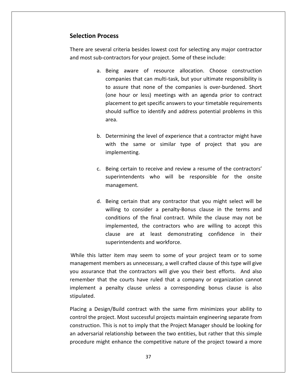# **Process Selection Process**

and

 are several criteria besides lowest cost for selecting any major contractor **Example 2018**<br>The are several criteria besides lowest cost for selecting any major<br>Find the several criteria besides lowest cost for selecting any major<br>These include: **Sincess**<br>Being aware of resource allocation. Choose construction<br>Being aware of resource allocation. Choose construction besides lowest cost for selecting any major contractor<br>for your project. Some of these include:<br>intellierand responsibility is<br>that can multi-task, but your ultimate responsibility is There are several criteria besides lowest cost for selecting any major contractor and most sub-contractors for your project. Some of these include:

- criteria besides lowest cost for selecting any major contractor<br>tractors for your project. Some of these include:<br>ng aware of resource allocation. Choose construction<br>npanies that can multi-task, but your ultimate responsi teria besides lowest cost for selecting any major contractor<br>ctors for your project. Some of these include:<br>aware of resource allocation. Choose construction<br>anies that can multi-task, but your ultimate responsibility is<br>s for your project. Some of these include:<br>are of resource allocation. Choose construction<br>that can multi-task, but your ultimate responsibility is<br>that none of the companies is over-burdened. Short<br>or less) meetings with an a. Being aware of resource allocation. Choose construction aware of resource allocation. Choose construction<br>nies that can multi-task, but your ultimate responsibility is<br>re that none of the companies is over-burdened. Short<br>bur or less) meetings with an agenda prior to contract<br>e companies that can multi-task, but your ultimate responsibility is (one hou<br>placemen<br>should su<br>area. (one hour or less) meetings with an agenda prior to contract<br>placement to get specific answers to your timetable requirements<br>should suffice to identify and address potential problems in this<br>area.<br>Determining the level of (one hour or less) meetings with an agenda prior to contract<br>placement to get specific answers to your timetable requirements the same or similar type of projections and to get specific answers to your timetable requirements<br>I suffice to identify and address potential problems in this<br>mining the level of experience that a contractor might have<br>th placement to g
- Betermining the level of experience that a contractor might have<br>with the same or similar type of project that you are<br>implementing.<br>Being certain to receive and review a resume of the contractors' wel of experience that a contractor might have<br>or similar type of project that you are<br>exponsible for the contractors'<br>who will be responsible for the onsite  $\frac{1}{2}$
- mapementals.<br>
c. Being certain to re<br>
superintendents<br>
management. Being certain to receive and review a resume of the contractors'<br>superintendents who will be responsible for the onsite<br>management.<br>Being certain that any contractor that you might select will be  $\ddot{\phantom{a}}$ ertain to receive and review a resume of the contractors'<br>tendents who will be responsible for the onsite<br>ment.<br>ertain that any contractor that you might select will be<br>to consider a penalty-Bonus clause in the terms and superintendents who will be responsible for the onsite implemented,mana<br>e
- of the final contract and text the final contracted behinds who will be responsible for the onsite<br>in that any contractor that you might select will be<br>consider a penalty-Bonus clause in the terms and<br>of the final contract the contractor that you might select will be<br>sider a penalty-Bonus clause in the terms and<br>the final contract. While the clause may not be<br>the contractors who are willing to accept this rtain that any contractor that you might select will be<br>o consider a penalty-Bonus clause in the terms and<br>ns of the final contract. While the clause may not be<br>nted, the contractors who are willing to accept this<br>are at l d. Being certain that any contractor that you might select will be d. Being certain that any contractor t<br>willing to consider a penalty-Bonu<br>conditions of the final contract. W<br>implemented, the contractors who<br>clause are at least demonstrations willing to consider a penalty-Bonus clause in the terms and<br>conditions of the final contract. While the clause may not be<br>implemented, the contractors who are willing to accept this<br>clause are at least demonstrating confid conditions of the final contract. While the clause may not be<br>implemented, the contractors who are willing to accept this<br>clause are at least demonstrating confidence in their<br>superintendents and workforce.<br>tter item may s

implemented, the contractors who are willing to accept this<br>clause are at least demonstrating confidence in their<br>superintendents and workforce.<br>le this latter item may seem to some of your project team or to some<br>agement clause are at least demonstrating confidence in their<br>superintendents and workforce.<br>latter item may seem to some of your project team or to some<br>nt members as unnecessary, a well crafted clause of this type will give<br>nce superintendents and workforce.<br>
atter item may seem to some of your project team or to some<br>
t members as unnecessary, a well crafted clause of this type will give<br>
ce that the contractors will give you their best efforts. While this latter item may seem to some of your project team or to some management m<br>you assurance<br>remember thai<br>implement a<br>stipulated. ment members as unnecessary, a well crafted clause of this type will give<br>urance that the contractors will give you their best efforts. And also<br>ber that the courts have ruled that a company or organization cannot<br>ent a pe you as: urance that the contractors will give you their best efforts. And also<br>ber that the courts have ruled that a company or organization cannot<br>ent a penalty clause unless a corresponding bonus clause is also<br>ed.<br>a Design/Buil remember that the courts have ruled that a company or organization cannot at the courts have ruled that a company or organization cannot<br>penalty clause unless a corresponding bonus clause is also<br>ign/Build contract with the same firm minimizes your ability to<br>oject. Most successful projects main im stipulated.

control the project. Most successful projects maintain engineering separate from blement a penalty clause unless a corresponding bonus clause is also<br>bulated.<br>cing a Design/Build contract with the same firm minimizes your ability to<br>trol the project. Most successful projects maintain engineering separa Placing a Design/Build contract with the same firm minimizes your ability to control the project. Most successful projects maintain engineering separate from construction. This is not to imply that the Project Manager shou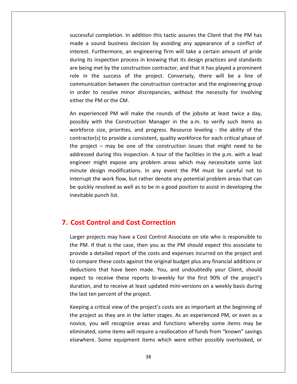completion. In addition this tactic assures the Client that the PM has a sound business decision business the Client that the PM has<br>a sound business decision by avoiding any appearance of a conflict of Furthermore, an engineering firm will completion. In addition this tactic assures the Client that the PM has<br>Furthermore, an engineering firm will take a certain amount of pride If the completion. In addition this tactic assures the Client that the PM has<br>In sound business decision by avoiding any appearance of a conflict of<br>Interaction process in knowing that its design practices and standards<br>In ressful completion. In addition this tactic assures the Client that the PM has<br>de a sound business decision by avoiding any appearance of a conflict of<br>rest. Furthermore, an engineering firm will take a certain amount of p successful completion. In addition this tactic assures the Client that the PM has ssful completion. In addition this tactic assures the Client that the PM has<br>a sound business decision by avoiding any appearance of a conflict of<br>est. Furthermore, an engineering firm will take a certain amount of pride<br>g made a sound business decision by avoiding any appearance of a conflict of business decision by avoiding any appearance of a conflict of<br>trimore, an engineering firm will take a certain amount of pride<br>tion process in knowing that its design practices and standards<br>y the construction contractor, interest. Furthermore, an engineering firm will take a certain amount of pride order to resolve minor and the necessity of the necessity of the resolution and the ring its inspection process in knowing that its design practices and standards being met by the construction contractor, and that it has p during its inspection process in knowing that its design practices and standards are being met by the construction contractor, and that it has played a prominent role in the success of the project. Conversely, there will be a line of are being met by the construction contractor, and that it has played a prominent<br>role in the success of the project. Conversely, there will be a line of<br>communication between the construction contractor and the engineering the success of the project. Conversely, there will be a line of<br>ication between the construction contractor and the engineering group<br>to resolve minor discrepancies, without the necessity for involving<br>PM or the CM.<br>ienced communication between the construction contractor and the engineering group ition between the construction contractor and the engineering group<br>o resolve minor discrepancies, without the necessity for involving<br>PM or the CM.<br>nced PM will make the rounds of the jobsite at least twice a day,<br>ith the in order to resolve minor discrepancies, without the necessity for involving either the PM or the CM.

resolve minor discrepancies, without the necessity for involving<br>
l or the CM.<br>
ed PM will make the rounds of the jobsite at least twice a day,<br>
the Construction Manager in the a.m. to verify such items as<br>
e, priorities, er the PM or the CM.<br>
Experienced PM will make the rounds of the jobsite at least twice a day,<br>
ibly with the Construction Manager in the a.m. to verify such items as<br>
sforce size, priorities, and progress. Resource leveli An experienced PM will make the rounds of the jobsite at least twice a day, nced PM will make the rounds of the jobsite at least twice a day,<br>ith the Construction Manager in the a.m. to verify such items as<br>size, priorities, and progress. Resource leveling - the ability of the<br>s) to provide a cons possibly with the Construction Manager in the a.m. to verify such items as with the Construction Manager in the a.m. to verify such items as<br>size, priorities, and progress. Resource leveling - the ability of the<br>r(s) to provide a consistent, quality workforce for each critical phase of<br>ct – may mundi<br>Dinutesia design priorities, and progress. Resource leveling - the ability of the or(s) to provide a consistent, quality workforce for each critical phase of ect – may be one of the construction issues that might need to be ed durin  $\sum_{i=1}^{n}$ the work flow, but rather denote any potential phase of  $ct -$  may be one of the construction issues that might need to be d during this inspection. A tour of the facilities in the p.m. with a lead might expose any problem contractor(s) to provide a consistent, quality workforce for each critical phase of the project  $-$  may be one of the construction issues that might need to be project – may be one of the construction issues that might need to be dressed during this inspection. A tour of the facilities in the p.m. with a lead gineer might expose any problem areas which may necessitate some last addressed during this inspection. A tour of the facilities in the p.m. with a lead engineer might expose any problem areas which may necessitate some last<br>minute design modifications. In any event the PM must be careful not to<br>interrupt the work flow, but rather denote any potential problem areas that ca engineer might expose any problem areas which may<br>minute design modifications. In any event the PM m<br>interrupt the work flow, but rather denote any potential<br>be quickly resolved as well as to be in a good position to<br>inevi inevitable punch list. provided punch list.<br> **Control and Cost Correction**<br>
projects may have a Cost Control Associate on site who is responsible to

# 7. Cost Control and Cost Correction

during

**St Control and Cost Correction<br>PM. If that is the case, then you as the PM should expect this associate to<br>PM. If that is the case, then you as the PM should expect this associate to Control and Cost Correction**<br>
rojects may have a Cost Control Associate on site who is responsible to<br>
If that is the case, then you as the PM should expect this associate to<br>
a detailed report of the costs and expenses i **Control and Cost Correction**<br>
Separe projects may have a Cost Control Associate on site who is responsible to<br>
The PM. If that is the case, then you as the PM should expect this associate to<br>
Sovide a detailed report of t **trol and Cost Correction**<br>cts may have a Cost Control Associate on site who is responsible to<br>hat is the case, then you as the PM should expect this associate to<br>tailed report of the costs and expenses incurred on the pro expectprojects may have a Cost Control Associate on site who is responsible to<br>If that is the case, then you as the PM should expect this associate to<br>a detailed report of the costs and expenses incurred on the project and<br>pare duration,Figures may have a cost contromassence on site who is responsible to<br>f that is the case, then you as the PM should expect this associate to<br>detailed report of the costs and expenses incurred on the project and<br>receive thes the PM. If that is the case, then you as the PM should expect this associate to provide a detailed report of the costs and expenses incurred on the project and last ten tends of the case, then you allow the costs approvide a detailed report of the costs as<br>to compare these costs against the orig<br>deductions that have been made. Yo<br>expect to receive these reports bi-w<br>duration, and are these costs against the original budget plus any financial additions or<br>ns that have been made. You, and undoubtedly your Client, should<br>o receive these reports bi-weekly for the first 90% of the project's<br>, and to rec dec uctions that have been made. You, and undoubtedly your Client, should<br>ect to receive these reports bi-weekly for the first 90% of the project's<br>ation, and to receive at least updated mini-versions on a weekly basis during<br> expect to receive these reports bi-weekly for the first 90% of the project's to receive these reports bi-weekly for the first 90% of the project's<br>i, and to receive at least updated mini-versions on a weekly basis during<br>ten percent of the project.<br>a critical view of the project's costs are as impo duration, and to receive at least updated mini-versions on a weekly basis during the last ten percent of the project.

۱tt id to receive at least updated mini-versions on a weekly basis during<br>percent of the project.<br>itical view of the project's costs are as important at the beginning of<br>as they are in the latter stages. As an experienced PM, percent of the project.<br>
itical view of the project's costs are as important at the beginning of<br>
as they are in the latter stages. As an experienced PM, or even as a<br>
will recognize areas and functions whereby some items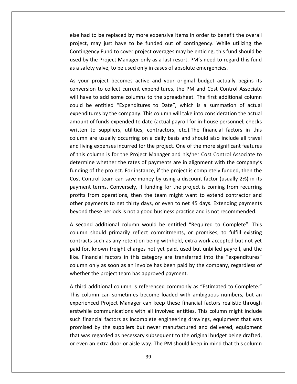had to be replaced by more expensive items in order to benefit the overall may just have to be replaced by more expensive items in order to benefit the overall<br>may just have to be funded out of contingency. While utilizing the Fund to cover a replaced by more expensive items in order to benefit the overall<br>Fund to cover project overages may be enticing, this fund should be<br>Fund to cover project overages may be enticing, this fund should be by the Project Manager only and to be replaced by more expensive items in order to benefit the overall<br>et, may just have to be funded out of contingency. While utilizing the<br>ngency Fund to cover project overages may be ent else had to be replaced by more expensive items in order to benefit t<br>project, may just have to be funded out of contingency. While uti<br>Contingency Fund to cover project overages may be enticing, this fund<br>used by the Proj I had to be replaced by more expensive items in order to benefit the overall<br>ject, may just have to be funded out of contingency. While utilizing the<br>tingency Fund to cover project overages may be enticing, this fund shoul project, may just have to be funded out of contingency. While utilizing the is just have to be funded out of contingency. While utilizing the <br>
ightary Fund to cover project overages may be enticing, this fund should be<br>
Project Manager only as a last resort. PM's need to regard this fund<br>
valve, Contingency Fund to cover project overages may be enticing, this fund should be tingency Fund to cover project overages may be enticing, this fund should be<br>I by the Project Manager only as a last resort. PM's need to regard this fund<br>safety valve, to be used only in cases of absolute emergencies.<br>vou used by the Project Manager only as a last resort. PM's need to regard this fund as a safety valve, to be used only in cases of absolute emergencies.

used and the control of the control of the control of the control of the control of the control of the control of the control of the control of the control of the control of the control of the control of the control of the

y the Project Manager only as a last resort. PM's need to regard this fund<br>fety valve, to be used only in cases of absolute emergencies.<br>Ir project becomes active and your original budget actually begins its<br>sion to collec by the company in cases of absolute emergencies.<br>
act becomes active and your original budget actually begins its<br>  $\alpha$  collect current expenditures, the PM and Cost Control Associate<br>
dd some columns to the spreadsheet. As your project becomes active and your original budget actually begins its project becomes active and your original budget actually begins its<br>on to collect current expenditures, the PM and Cost Control Associate<br>e to add some columns to the spreadsheet. The first additional column<br>e entitled "Ex conversion to collect current expenditures, the PM and Cost Control Associate on to collect current expenditures, the PM and Cost Control Associate<br>to add some columns to the spreadsheet. The first additional column<br>e entitled "Expenditures to Date", which is a summation of actual<br>ures by the compan will have to add some columns to the spreadsheet. The first additional column are to add some columns to the spreadsheet. The first additional column<br>are entitled "Expenditures to Date", which is a summation of actual<br>tures by the company. This column will take into consideration the actual<br>of funds and the entitled "Expenditures to Date", which is a summation of actual<br>expenditures by the company. This column will take into consideration the actual<br>amount of funds expended to date (actual payroll for in-house personn expenditures by the company. This column will take into consideration the actual The Project Manager and his/her Cost Control Associate to the Project Manager and his/her Cost Control associate to suppliers, utilities, contractors, etc.). The financial factors in this umn are usually occurring on a dai amount of funds expended to date (actual payroll for in-house personnel, checks Funds expended to date (actual payroll for in-house personnel, checks<br>suppliers, utilities, contractors, etc.). The financial factors in this<br>when with the contractors are in alignment with the company's<br>whether the rates  $\frac{1}{100}$ of tands expended to date (detaal payformer in instance personner, energy to suppliers, utilities, contractors, etc.). The financial factors in this are usually occurring on a daily basis and should also include all travel no.<br>. En to suppliers, admites, contractors, etc., the imministrated recens in this<br>in are usually occurring on a daily basis and should also include all travel<br>iving expenses incurred for the project. One of the more significan column are usually occurring on a daily basis and should also include all travel<br>and living expenses incurred for the project. One of the more significant features expenses incurred for the project. One of the more significant features<br>lumn is for the Project Manager and his/her Cost Control Associate to<br>experience in alignment with the company's<br>f the project. For instance, if the p of this column is for the Project Manager and his/her Cost Control Associate to from operations, then the project: one of the more significant reatarcs<br>column is for the Project Manager and his/her Cost Control Associate to<br>ine whether the rates of payments are in alignment with the company's<br>of the p determine whether the rates of payments are in alignment with the company's mine whether the rispect manager and misjiter edst control is socialized to<br>mine whether the rates of payments are in alignment with the company's<br>g of the project. For instance, if the project is completely funded, then t betaining of the project. For instance, if the project is completely funded, then the<br>Cost Control team can save money by using a discount factor (usually 2%) in its<br>payment terms. Conversely, if funding for the project is st Control team can save money by using a discount factor (usually 2%) in its<br>yment terms. Conversely, if funding for the project is coming from recurring<br>ofits from operations, then the team might want to extend contracto payment terms. Conversely, if funding for the project is coming from recurring should primarily reflect comming for the project is coming from recurring<br>trom operations, then the team might want to extend contractor and<br>yments to net thirty days, or even to net 45 days. Extending payments<br>these perio profits from operations, then the team might want to extend contractor and om operations, then the team might want to extend contractor and<br>ments to net thirty days, or even to net 45 days. Extending payments<br>ese periods is not a good business practice and is not recommended.<br>additional column wo other payments to net thirty days, or even to net 45 days. Extending payments beyond these periods is not a good business practice and is not recommended.

For payments to net thirty days, or even to net 45 days. Extending payments<br>and these periods is not a good business practice and is not recommended.<br>cond additional column would be entitled "Required to Complete". This<br>an beyond these periods is not a good business practice and is not recommended.<br>A second additional column would be entitled "Required to Complete". This<br>column should primarily reflect commitments, or promises, to fulfill ex d additional column would be entitled "Required to Complete". This<br>should primarily reflect commitments, or promises, to fulfill existing<br>is such as any retention being withheld, extra work accepted but not yet<br>, known fre wheteled we<br>column should primarily reflect commitments, or p<br>contracts such as any retention being withheld, extra<br>paid for, known freight charges not yet paid, used bu<br>like. Financial factors in this category are transfe contracts such as any retention being withheld, extra work accepted but not yet<br>paid for, known freight charges not yet paid, used but unbilled payroll, and the<br>like. Financial factors in this category are transferred into for, known freight charges not yet paid, used but unbilled payroll, and the<br>Financial factors in this category are transferred into the "expenditures"<br>nn only as soon as an invoice has been paid by the company, regardless like. Financial factors in this category are transferred into the "expenditures" I factors in this category are transferred into the "expenditures"<br>as soon as an invoice has been paid by the company, regardless of<br>project team has approved payment.<br>ional column is referenced commonly as "Estimated to C column only as soon as an invoice has been paid by the company, regardless of whether the project team has approved payment.

erstwhile communications with all involved entities. This column might include such financial factors as incomplete engineering drawings, equipment that was nly as soon as an invoice has been paid by the company, regardless of<br>he project team has approved payment.<br>ditional column is referenced commonly as "Estimated to Complete."<br>nn can sometimes become loaded with ambiguous n her the project team has approved payment.<br>The additional column is referenced commonly as "Estimated to Complete."<br>Column can sometimes become loaded with ambiguous numbers, but an<br>ienced Project Manager can keep these fi A third additional column is referenced commonly as "Estimated to Complete." ditional column is referenced commonly as "Estimated to Complete."<br>
in can sometimes become loaded with ambiguous numbers, but an<br>
ed Project Manager can keep these financial factors realistic through<br>
communications with This column can sometimes become loaded with ambiguous numbers, but an We this column can sometimes become loaded with ambiguous numbers, but an experienced Project Manager can keep these financial factors realistic through erstwhile communications with all involved entities. This column migh experienced Project Manager can keep these financial factors realistic through<br>erstwhile communications with all involved entities. This column might include<br>such financial factors as incomplete engineering drawings, equip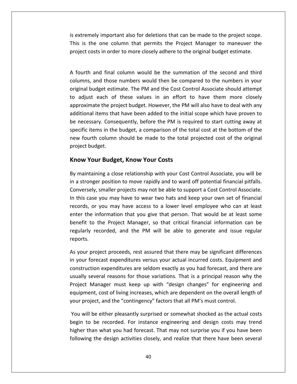is extremely important also for deletions that can be made to the project scope. is the one column that permits the Project Manager to maneuver the<br>is the one column that permits the Project Manager to maneuver the mely important also for deletions that can be made to the project scope.<br>
the one column that permits the Project Manager to maneuver the<br>
costs in order to more closely adhere to the original budget estimate. extremely important also for deletions that can be made to the project scope.<br>is is the one column that permits the Project Manager to maneuver the<br>oject costs in order to more closely adhere to the original budget estimat is extremely important also for deletions that can be made to the project scope. ely important also for deletions that can be made to the project scope.<br>
e one column that permits the Project Manager to maneuver the<br>
sts in order to more closely adhere to the original budget estimate.<br>
and final column This is the one column that permits the Project Manager to maneuver the project costs in order to more closely adhere to the original budget estimate.

the one column that permits the Project Manager to maneuver the<br>costs in order to more closely adhere to the original budget estimate.<br>1 and final column would be the summation of the second and third<br>1, and those numbers iect costs in order to more closely adhere to the original budget estimate.<br>
burth and final column would be the summation of the second and third<br>
umns, and those numbers would then be compared to the numbers in your<br>
sin I final column would be the summation of the second and third<br>I those numbers would then be compared to the numbers in your<br>et estimate. The PM and the Cost Control Associate should attempt<br>ich of these values in an effort A fourth and final column would be the summation of the second and third ind final column would be the summation of the second and third<br>and those numbers would then be compared to the numbers in your<br>dget estimate. The PM and the Cost Control Associate should attempt<br>each of these values in an columns, and those numbers would then be compared to the numbers in your necessary. Consequently, before the PM is required to the numbers in your sinal budget estimate. The PM and the Cost Control Associate should attempt adjust each of these values in an effort to have them more closely proxi original budget estimate. The PM and the Cost Control Associate should attempt is the budget estimate. The PM and the Cost Control Associate should attempt<br>st each of these values in an effort to have them more closely<br>mate the project budget. However, the PM will also have to deal with any<br>al items to adjust each of these values in an effort to have them more closely four badget estimate. The two and the eost control issociate should attempt<br>djust each of these values in an effort to have them more closely<br>pximate the project budget. However, the PM will also have to deal with any<br>iona approximate the project budget. However, the PM will also have to deal with any approximate the proventive the proventive the proventive the proventive metaster. Consequently, the metaster of the metaster of the metaster of the metaster of the metaster of the metaster of the metaster of the metaster o mate the project budget. However, the PM v<br>hal items that have been added to the initial<br>essary. Consequently, before the PM is requ<br>items in the budget, a comparison of the to<br>urth column should be made to the total p<br>bud  $\overline{\text{SD}}$ ecific items in the budget, a comparison of the total cost at the bottom of the<br>interpret with column should be made to the total projected cost of the original<br>interpret budget.<br>**OW Your Budget, Know Your Costs**<br>maintaini new fourth column should be made to the total projected cost of the original new fourth column should be made to the total projected cost of the original<br>project budget.<br>**Know Your Budget, Know Your Costs**<br>By maintaining a close relationship with your Cost Control Associate, you will be<br>in a strong

#### Know Your Budget, Know Your Costs

et.<br>**r Budget, Know Your Costs**<br>ing a close relationship with your Cost Control Associate, you will be<br>r position to move rapidly and to ward off potential financial pitfalls.<br>smaller proiects may not be able to support a **Now Your Budget, Know Your Costs**<br>maintaining a close relationship with your Cost Control Associate, you will be<br>a stronger position to move rapidly and to ward off potential financial pitfalls.<br>nversely, smaller projects **OUT Budget, Know Your Costs**<br>aining a close relationship with your Cost Control Associate, you will be<br>nger position to move rapidly and to ward off potential financial pitfalls.<br>Iy, smaller projects may not be able to su enterintaining a close relationship with your Cost Control Associate, you will be<br>ronger position to move rapidly and to ward off potential financial pitfalls.<br>rsely, smaller projects may not be able to support a Cost Control A  $\frac{1}{2}$  man<br>. the Projects may not be able to support a Cost Control Associate, the Projects may not be able to support a Cost Control Associate.<br>The Projects May not be able to support a Cost Control Associate.<br>The Province Manager are in a stronger position to move rapidly and to ward off potential financial pitfalls.<br>Conversely, smaller projects may not be able to support a Cost Control Associate. recorded, and the PM will be able to support a Cost Control Associate.<br>The you may have to wear two hats and keep your own set of financial<br>or you may have access to a lower level employee who can at least<br>information that In this case you may have to wear two hats and keep your own set of financial records, or<br>enter the in<br>benefit to t<br>regularly rem<br>reports. ords, or you may have access to a lower level employee who can at least<br>ter the information that you give that person. That would be at least some<br>nefit to the Project Manager, so that critical financial information can be enter the information that you give that person. That would be at least some ter the information that you give that person. That would be at least some<br>nefit to the Project Manager, so that critical financial information can be<br>gularly recorded, and the PM will be able to generate and issue regular benefit to tl ie Project Manager, so that critical financial information can be<br>orded, and the PM will be able to generate and issue regular<br>ext proceeds, rest assured that there may be significant differences<br>ast expenditures versus yo regularly recorded, and the PM will be able to generate and issue regular reports.

y recorded, and the PM will be able to generate and issue regular<br>project proceeds, rest assured that there may be significant differences<br>forecast expenditures versus your actual incurred costs. Equipment and<br>ction expend project proceeds, rest assured that there may be significant differences<br>forecast expenditures versus your actual incurred costs. Equipment and<br>tion expenditures are seldom exactly as you had forecast, and there are<br>severa As your project proceeds, rest assured that there may be significant differences iect proceeds, rest assured that there may be significant differences<br>cast expenditures versus your actual incurred costs. Equipment and<br>i expenditures are seldom exactly as you had forecast, and there are<br>ral reasons for your project proceeds, rest assared that there may be significant direction in your forecast expenditures versus your actual incurred costs. Equipmer construction expenditures are seldom exactly as you had forecast, and th ruction expenditures are seldom exactly as you had forecast, and there are<br>lly several reasons for those variations. That is a principal reason why the<br>ct Manager must keep up with "design changes" for engineering and<br>pmen usually several reasons for those variations. That is a principal reason why the r several reasons for those variations. That is a principal reason why the<br>
L Manager must keep up with "design changes" for engineering and<br>
nent, cost of living increases, which are dependent on the overall length of<br>
ro Project Manager must keep up with "design changes" for engineering and Manager must keep up with "design changes" for engineering and<br>nent, cost of living increases, which are dependent on the overall length of<br>oject, and the "contingency" factors that all PM's must control.<br>ill be either ple equipment, cost of living increases, which are dependent on the overall length of

rp t, cost of living increases, which are dependent on the overall length of<br>ict, and the "contingency" factors that all PM's must control.<br>we either pleasantly surprised or somewhat shocked as the actual costs<br>be recorded. F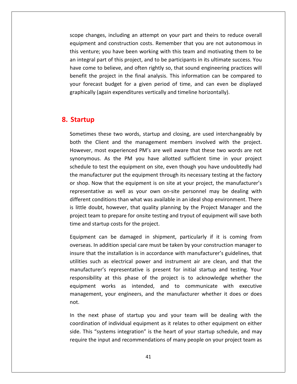changes, including an attempt on your part and theirs to reduce overall and construction costs. Remember that you are not autonomous in<br>and construction costs. Remember that you are not autonomous in venture; changes, including an attempt on your part and theirs to reduce overall<br>pment and construction costs. Remember that you are not autonomous in<br>venture: vou have been working with this team and motivating them to be pe changes, including an attempt on your part and theirs to reduce overall<br>uipment and construction costs. Remember that you are not autonomous in<br>s venture; you have been working with this team and motivating them to be<br>i come to changes, including an attempt on your part and theirs to reduce overall<br>ment and construction costs. Remember that you are not autonomous in<br>enture; you have been working with this team and motivating them to be<br>re scope changes, including an attempt on your part and theirs to reduce overall hanges, including an attempt on your part and theirs to reduce overall<br>ent and construction costs. Remember that you are not autonomous in<br>ture; you have been working with this team and motivating them to be<br>ral part of th equipment and construction costs. Remember that you are not autonomous in forecastly, meading an attempt on your part and then's to redate overant<br>ment and construction costs. Remember that you are not autonomous in<br>enture; you have been working with this team and motivating them to be<br>legral pa this venture; you have been working with this team and motivating them to be an integral part of this project, and to be participants in its ultimate success. You have come to believe, and often rightly so, that sound engineering practices will benefit the project in the final analysis. This inform an integral part of this<br>have come to believe, a<br>benefit the project in<br>your forecast budget<br>graphically (again exper<br>**Startup** graphically (again expenditures vertically and timeline horizontally). again expenditures vertically and timeline horizontally).<br>these two words, startup and closing, are used interchangeably by  $\overline{\phantom{a}}$ 

## 8. Startup

an

the Client and the management members involved with the project.<br>
Sometimes these two words, startup and closing, are used interchangeably by<br>
both the Client and the management members involved with the project. s these two words, startup and closing, are used interchangeably by<br>Client and the management members involved with the project.<br>most experienced PM's are well aware that these two words are not ese two words, startup and closing, are used interchangeably by<br>
t and the management members involved with the project.<br>
t experienced PM's are well aware that these two words are not<br>
As the PM you have allotted sufficie These two words, startup and closing, are used interchangeably by<br>Client and the management members involved with the project.<br>most experienced PM's are well aware that these two words are not<br>bus. As the PM you have allot Sometimes these two words, startup and closing, are used interchangeably by netimes these two words, startup and closing, are used interchangeably by<br>
in the Client and the management members involved with the project.<br>
vever, most experienced PM's are well aware that these two words are not<br>
phym both the Client and the management members involved with the project. shop. Now that the equipment is on site at your project.<br>
Wever, most experienced PM's are well aware that these two words are not<br>
nonymous. As the PM you have allotted sufficient time in your project<br>
redule to test the However, most experienced PM's are well aware that these two words are not experienced PM's are well aware that these two words are not<br>s the PM you have allotted sufficient time in your project<br>: the equipment on site, even though you have undoubtedly had<br>er put the equipment through its necessa synonymous. As the PM you have allotted sufficient time in your project ous. As the PM you have allotted sufficient time in your project<br>to test the equipment on site, even though you have undoubtedly had<br>ifacturer put the equipment through its necessary testing at the factory<br>Now that the equ schedule to test the equipment on site, even though you have undoubtedly had Intertional to test the equipment on site, even though you have undoubtedly had<br>a manufacturer put the equipment through its necessary testing at the factory<br>shop. Now that the equipment is on site at your project, the man the manufacturer put the equipment through its necessary testing at the factory the equipment of site, even though you have and distanced prior in the equipment through its necessary testing at the factory.<br>
Now that the equipment is on site at your project, the manufacturer's<br>
ntative as well as your or shop. Now that the equipment is on si<br>representative as well as your own on-<br>different conditions than what was availab<br>is little doubt, however, that quality plan<br>project team to prepare for onsite testing a<br>time and s ve as well as your own on-site personnel may be dealing with<br>nditions than what was available in an ideal shop environment. There<br>ot, however, that quality planning by the Project Manager and the<br>i to prepare for onsite te different conditions than what was available in an ideal shop environment. There In additions than what was available in an ideal shop environment. There<br>
in addition species that quality planning by the Project Manager and the<br>
dam to prepare for onsite testing and tryout of equipment will save both<br> is little doubt, however, that quality planning by the Project Manager and the doubt, however, that quality planning by the Project Manager and the<br>tieam to prepare for onsite testing and tryout of equipment will save both<br>nd startup costs for the project.<br>nent can be damaged in shipment, particularl project time and startup costs for the project.

eam to prepare for onsite testing and tryout of equipment will save both<br>I startup costs for the project.<br>Int can be damaged in shipment, particularly if it is coming from<br>I. In addition special care must be taken by your represent of the project.<br>
be damaged in shipment, particularly if it is coming from<br>
ition special care must be taken by your construction manager to<br>
installation is in accordance with manufacturer's guidelines, that<br>
el responsibilityIn the damaged in shipment, particularly if it is coming from<br>dition special care must be taken by your construction manager to<br>einstallation is in accordance with manufacturer's guidelines, that<br>as electrical power and in overseas. In addition special care must be taken by your construction manager to and the camaged in supplient, particularly in it is coming from<br>ddition special care must be taken by your construction manager to<br>ne installation is in accordance with manufacturer's guidelines, that<br>as electrical power a management and mathematic metalliers of the manufacturer's guidelines, that utilities such as electrical power and instrument air are clean, and that the manufacturer's representative is present for initial startup and tes utilities such as electrical power and instrument air are clean, and that the manufacturer's representative is present for initial startup and testing. Your nufacturer's representative is present for initial startup and testing. Your<br>ponsibility at this phase of the project is to acknowledge whether the<br>uipment works as intended, and to communicate with executive<br>nagement, you responsibility at this phase of the project is to acknowledge whether the at this phase of the project is to acknowledge whether the<br>works as intended, and to communicate with executive<br>, your engineers, and the manufacturer whether it does or does<br>phase of startup you and your team will be deal equipment works as intended, and to communicate with executive ment works as intended, and to communicate with executive<br>gement, your engineers, and the manufacturer whether it does or does<br>e next phase of startup you and your team will be dealing with the<br>lination of individual equip management, your engineers, and the manufacturer whether it does or does

y ment, your engineers, and the manufacturer whether it does or does<br>next phase of startup you and your team will be dealing with the<br>ation of individual equipment as it relates to other equipment on either<br>is "systems integ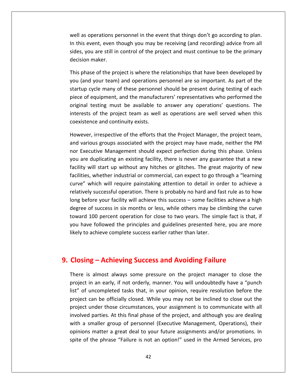as operations personnel in the event that things don't go according to plan. this event, even though you may be receiving (and recording to planting).<br>This event, even though you may be receiving (and recording) advice from all s operations personnel in the event that things don't go according to plan.<br>
event, even though you may be receiving (and recording) advice from all<br>
you are still in control of the project and must continue to be the prim well as operations p<br>In this event, even t<br>sides, you are still in<br>decision maker. as operations personnel in the event that things don't go according to plan.<br>is event, even though you may be receiving (and recording) advice from all<br>is, you are still in control of the project and must continue to be th wel as operations personnel in the event that things don't go according to plan.<br>is event, even though you may be receiving (and recording) advice from all<br>s, you are still in control of the project and must continue to be the In this event, even though you may be receiving (and recording) advice from all vent, even though you may be receiving (and recording) advice from all<br>bu are still in control of the project and must continue to be the primary<br>imaker.<br>se of the project is where the relationships that have been develope sides, you are still in control of the project and must continue to be the primary decision maker.

decision

you are still in control of the project and must continue to be the primary<br>on maker.<br>hase of the project is where the relationships that have been developed by<br>ind your team) and operations personnel are so important. As maker.<br>Se of the project is where the relationships that have been developed by<br>I your team) and operations personnel are so important. As part of the<br>sycle many of these personnel should be present during testing of each<br> This phase of the project is where the relationships that have been developed by e of the project is where the relationships that have been developed by<br>your team) and operations personnel are so important. As part of the<br>vcle many of these personnel should be present during testing of each<br>quipment, a you (and your team) and operations personnel are so important. As part of the startup cycle many of these personnel should be present during testing of each<br>piece of equipment, and the manufacturers' representatives who performed the startup cycle many of these personnel should be present during testing of each<br>piece of equipment, and the manufacturers' representatives who performed the<br>original testing must be available to answer any operations' quest e of equipment, and the manufacturers' representatives who performed the<br>nal testing must be available to answer any operations' questions. The<br>rests of the project team as well as operations are well served when this<br>iste original testing must be available to answer any operations' questions. The nal testing must be available to answer any operations' questions. The<br>rests of the project team as well as operations are well served when this<br>istence and continuity exists.<br>rever, irrespective of the efforts that the Pr interests of the project team as well as operations are well served when this coexistence and continuity exists.

rests of the project team as well as operations are well served when this<br>istence and continuity exists.<br>ever, irrespective of the efforts that the Project Manager, the project team,<br>various groups associated with the proj ence and continuity exists.<br>
Pr, irrespective of the efforts that the Project Manager, the project team,<br>
ious groups associated with the project may have made, neither the PM<br>
cutive Management should expect perfection du However, irrespective of the efforts that the Project Manager, the project team, irrespective of the efforts that the Project Manager, the project team,<br>us groups associated with the project may have made, neither the PM<br>utive Management should expect perfection during this phase. Unless<br>luplicating an and various groups associated with the project may have made, neither the PM mespective of the enotes that the Froject Manager, the project team,<br>ious groups associated with the project may have made, neither the PM<br>cutive Management should expect perfection during this phase. Unless<br>i duplicating nor Executive Management should expect perfection during this phase. Unless sus groups associated with the project may have made, netther the FM<br>tive Management should expect perfection during this phase. Unless<br>uplicating an existing facility, there is never any guarantee that a new<br>Il start up w longare duplicating an existing facility, there is never any guarantee that a new<br>ty will start up without any hitches or glitches. The great majority of new<br>ties, whether industrial or commercial, can expect to go through a "  $\frac{1}{2}$ ad the success in six months or glitches. The great majority of new<br>s, whether industrial or commercial, can expect to go through a "learning<br>which will require painstaking attention to detail in order to achieve a<br>ly succ tacilities, whether industrial or commercial, can expect to go through a "learning<br>curve" which will require painstaking attention to detail in order to achieve a<br>relatively successful operation. There is probably no hard curve" which will require painstaking attention to detail in order to achieve a have followed the principles and guidelines presented here, you are more followed the principles and guidelines presented here, you are more followed the principles and guidelines presented here, you are more followed the relatively successful operation. There is probably no hard and fast rule as to how long before your facility will achieve this success – some facilities achieve a high degree of success in six months or less, while others may be climbing the curve toward 100 percent operation for close to two years. The Composity before your facility will achieve this success – some facilities achieve a heagree of success in six months or less, while others may be climbing the cutoward 100 percent operation for close to two years. The sim likely to achieve complete success earlier rather than later. is achieve complete success earlier rather than later.<br> **is almost always some pressure on the project manager to close the** project

## 9. Closing – Achieving Success and Avoiding Failure

las in an early, in an early, in an early, if not orderly, manner. You will undoubtedly have a "punch"<br>in an early, if not orderly, manner. You will undoubtedly have a "punch" **Sing – Achieving Success and Avoiding Failure**<br>e is almost always some pressure on the project manager to close the<br>ect in an early, if not orderly, manner. You will undoubtedly have a "punch<br>of uncompleted tasks that, in **g – Achieving Success and Avoiding Failure**<br>a almost always some pressure on the project manager to close the<br>in an early, if not orderly, manner. You will undoubtedly have a "punch<br>uncompleted tasks that, in your opinion **under those circums Success and Avolumy Fallure**<br>s almost always some pressure on the project manager to close the<br>in an early, if not orderly, manner. You will undoubtedly have a "punch<br>uncompleted tasks that, in your op  $\overline{a}$ involved in the set of  $\overline{a}$ almost always some pressure on the project manager to close the<br>
i an early, if not orderly, manner. You will undoubtedly have a "punch<br>
ncompleted tasks that, in your opinion, require resolution before the<br>
an be official project in an early, if not orderly, manner. You will undoubtedly have a "punch a smaller group of persoare on the project manager to elsee the extract in an early, if not orderly, manner. You will undoubtedly have a "punch of uncompleted tasks that, in your opinion, require resolution before the ext list" of uncompleted tasks that, in your opinion, require resolution before the matter a great deal to your future assignments and/or promotions. In<br>matter those circumstances, your assignment is to communicate with all<br>parties. At this final phase of the project, and although you are dealing<br>maller g project can be officially closed. While you may not be inclined to close out the of the phrase included in the phrase included to close out the ext can be officially closed. While you may not be inclined to close out the to tunder those circumstances, your assignment is to communicate with all red part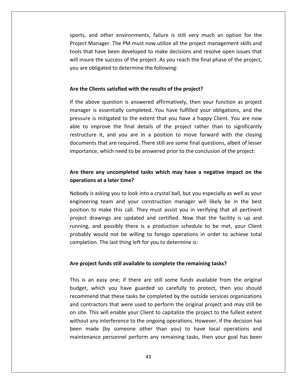and other environments, failure is still very much an option for the and other environments, failure is still very much an option for the<br>Manager. The PM must now utilize all the project management skills and that have been developed to make users that have been developed to make decisions and resolve open issues that<br>that have been developed to make decisions and resolve open issues that sports, and other environments, failure is still very much an option for the<br>Project Manager. The PM must now utilize all the project management skills and<br>tools that have been developed to make decisions and resolve open sports, and other environments, failure is still very much an option for the Project Manager. The PM must now utilize all the project management skills and **tools that have been developed to make decisions and resolve open issues that** will insure the success of the project. As you reach the final phase of the project, Il insure the success of the project. As you reach the final phase of the project,<br>
u are obligated to determine the following:<br> **e the Clients satisfied with the results of the project?**<br>
the above question is answered af you are obligated to determine the following: pressure

#### Are the Clients satisfied with the results of the project?

will

incompligated to determine the following:<br>
ients satisfied with the results of the project?<br>
is essentially completed. You have fulfilled your obligations, and the lients satisfied with the results of the project?<br>
is mitigated to the extent that you have a happy Client. You are now<br>
is mitigated to the extent that you have a happy Client. You are now The Clients satisfied with the results of the project?<br>
above question is answered affirmatively, then your function as project<br>
ger is essentially completed. You have fulfilled your obligations, and the<br>
ure is mitigated its satisfied with the results of the project?<br>
equestion is answered affirmatively, then your function as project<br>
essentially completed. You have fulfilled your obligations, and the<br>
mitigated to the extent that you have If the above question is answered affirmatively, then your function as project the question is answered affirmatively, then your function as project<br>essentially completed. You have fulfilled your obligations, and the<br>mitigated to the extent that you have a happy Client. You are now<br>prove the final de manager is essentially completed. You have fulfilled your obligations, and the essentially completed. You have fulfilled your obligations, and the mitigated to the extent that you have a happy Client. You are now rove the final details of the project rather than to significantly it, and you are in a able to improve the final details of the project rather than to significantly to improve the final details of the project rather than to significantly<br>
ucture it, and you are in a position to move forward with the closing<br>
uments that are required. There still are some final questions, albeit of les restructure it, and you are in a<br>that are required. There<br>, which need to be answ<br>**any uncompleted tasks**<br>at a later time? importance, which need to be answered prior to the conclusion of the project:

# is asking you to look into a crystal ball, but you especially as well as your into a chook into a crystal ball, but you especially as well as your indeproper and a megative impact on the to later time?<br>The later time?<br>The section manager will likely be in the best<br>team and your construction manager will likely be in the best Are there any uncompleted tasks which may have a negative impact on the operations at a later time?

in any uncompleted tasks which may have a negative impact on the<br>ns at a later time?<br>s asking you to look into a crystal ball, but you especially as well as your<br>ing team and your construction manager will likely be in the re any uncompleted tasks which may have a negative impact on the<br>
ons at a later time?<br>
is asking you to look into a crystal ball, but you especially as well as your<br>
ring team and your construction manager will likely be is at a later time?<br>
s asking you to look into a crystal ball, but you especially as well as your<br>
ng team and your construction manager will likely be in the best<br>
to make this call. They must assist you in verifying that Nobody is asking you to look into a crystal ball, but you especially as well as your asking you to look into a crystal ball, but you especially as well as your<br>ng team and your construction manager will likely be in the best<br>o make this call. They must assist you in verifying that all pertinent<br>rawings are engineering team and your construction manager will likely be in the best The last thing left for you to determine a crystal ball, but you espected and your construction manager will lift make this call. They must assist you in verifying vings are updated and certified. Now that the possibly the project drawings are updated and certified. Now that the facility is up and **provengths** are updated and certified. Now that the facility is usually and possibly there is a production schedule to be met, your bably would not be willing to forego operations in order to achieve pletion. The last thi probably would not be willing to forego operations in order to achieve total ably would not be willing to forego operations in order to achieve total<br>bletion. The last thing left for you to determine is:<br>**project funds still available to complete the remaining tasks?**<br>is an easy one: if there are s completion. The last thing left for you to determine is:

## andon

on site. This will enable your Client to capitalize the project to the fullest extent<br>without any interference to the ongoing operations. However, if the decision has on. The last thing left for you to determine is:<br>ect funds still available to complete the remaining tasks?<br>n easy one; if there are still some funds available from the original<br>which you have guarded so carefully to prote unds still available to complete the remaining tasks?<br>asy one; if there are still some funds available from the original<br>ch you have guarded so carefully to protect, then you should<br>that these tasks be completed by the out project funds still available to complete the remaining tasks?<br>is an easy one; if there are still some funds available from the original<br>get, which you have guarded so carefully to protect, then you should<br>mmend that these site. This will enable your Client to complete the remaining casts.<br>This is an easy one; if there are still some funds available from the original<br>dget, which you have guarded so carefully to protect, then you should<br>ommen This is an easy one; if there are still some funds available from the original<br>budget, which you have guarded so carefully to protect, then you should<br>recommend that these tasks be completed by the outside services organiz ......<br>. t, which you have guarded so carefully to protect, then you should<br>mend that these tasks be completed by the outside services organizations<br>intractors that were used to perform the original project and may still be<br>i. This maintenance personnel perform and remaining tasks, then you should recommend that these tasks be completed by the outside services organizations and contractors that were used to perform the original project and may still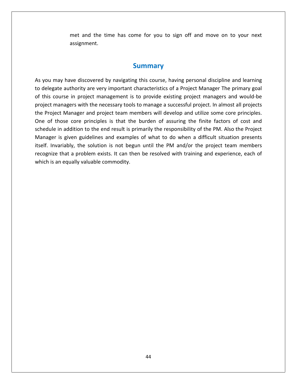and the time has come for you to sign off and move on to your next met and the time has come for you to sign off and move on to your next<br>assignment.<br>**Summary<br>Summary**<br>vou may have discovered by navigating this course, having personal discipline and learning

assignment.<br> **Summary**<br>
you may have discovered by navigating this course, having personal discipline and learning<br>
delegate authority are very important characteristics of a Project Manager The primary goal **Summary<br>Summary**<br>delegate authority are very important characteristics of a Project Manager The primary goal<br>this course in project management is to provide existing project managers and would-be **Summary<br>Summary**<br>The necessary may have discovered by navigating this course, having personal discipline and learning<br>gate authority are very important characteristics of a Project Manager The primary goal<br>course in proje **SUMMAry**<br>As you may have discovered by navigating this course, having personal discipline and learning<br>to delegate authority are very important characteristics of a Project Manager The primary goal<br>of this course in proje of those core principles is that the burden of assuring the finite factors of a profect weak lis course in project management is to provide existing project managers and would-be conserved is course in project management i As you may have discovered by navigating this course, having personal discipline and learning<br>to delegate authority are very important characteristics of a Project Manager The primary goal in a distinct the end result is primarily the responsibility of the PM. Also the Project<br>in addition to the end result is provide existing project managers and would-be<br>anagers with the necessary tools to manage a successf of this course in project management is to provide existing project managers and would-be<br>project managers with the necessary tools to manage a successful project. In almost all projects<br>the Project Manager and project tea project managers with the necessary tools to manage a successful project. In almost all projects In anagers with the necessary tools to manage a successful project. In almost all projects<br>Diect Manager and project team members will develop and utilize some core principles.<br>In those core principles is that the burden o the Project Manager and project team members will develop and utilize some core principles. t Manager and project team members will develop and utilize some core principles.<br>
ose core principles is that the burden of assuring the finite factors of cost and<br>
in addition to the end result is primarily the responsib One of those core principles is that the burden of assuring the finite factors of cost and is an equally commoding the set of those core principles is that the in addition to the end result is ger is given guidelines and exampled invariably, the solution is not be size that a problem exists. It can this an equal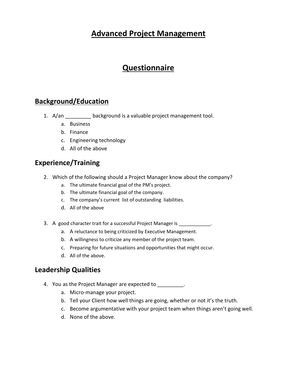# **Project Management**

# **d/Education<br>Allection**<br>Business **d/Education<br>
Allection**<br>
Business<br>Finance <u>Background/Educati</u>

- Questionnaire<br>| internation="<br>| hackground is a valuable project management tool. a./an **d/Education**<br>
<u>Lackground is a valual</u><br>
Business<br>Finance<br>Engineering technology **a/Education**<br>
<u>\_\_\_\_\_\_\_\_</u> background is a<br>Business<br>Finance<br>Engineering technology<br>All of the above
	-
	-
	- c. Engineering technology<br>d. All of the above
	-

- b. Finance<br>
c. Engineering technology<br>
d. All of the above<br> **ience/Training**<br>
Which of the following should a Project Manager know about the company? C. Lingineering definitions<br> **ICE/Training**<br>
C. The ultimate financial goal of the PM's project.<br>
The ultimate financial goal of the PM's project. **CE/Training**<br> **CE/Training**<br>
ich of the following should a Project Manager kr<br>
a. The ultimate financial goal of the PM's project.<br>
b. The ultimate financial goal of the company. **nce/Training**<br>ich of the following should a Project Manager know about<br>a. The ultimate financial goal of the PM's project.<br>b. The ultimate financial goal of the company.<br>c. The company's current list of outstanding liabil of the following should<br>The ultimate financial go<br>The ultimate financial go<br>The company's current I<br>All of the above 2. Which of the following should a Project Manager know about the comparent at The ultimate financial goal of the PM's project.<br>
b. The ultimate financial goal of the company.<br>
c. The company's current list of outstanding lia
	-
	-
	- a. The ultimate financial goal of the PM's project.<br>
	b. The ultimate financial goal of the company.<br>
	c. The company's current list of outstanding liabilities.<br>
	d. All of the above<br>
	ood character trait for a successful Proj
	-
- d. All of the above<br>3. A good character trait for a s<br>a. A reluctance to being<br>b. A willingness to critic<br>c. Preparing for future s<br>d. All of the above.
- <sup>A</sup> willingness to criticize any member of the project team. c.
- d. All of the above<br>
pood character trait for a successful Project Manager is<br>
a. A reluctance to being criticized by Executive Management.<br>
b. A willingness to criticize any member of the project team.<br>
c. Preparing for f **All of the above<br>
character trait for a succ<br>
<b>A reluctance to being cri**<br> **A willingness to criticize<br>
Preparing for future situall of the above.<br>
<b>Qualities** 
	- b. A willingness to criticize any member of the project team.<br>
	c. Preparing for future situations and opportunities that migl<br>
	d. All of the above.<br> **Prship Qualities**<br>
	You as the Project Manager are expected to
		-

- C. Preparing for future situations and or All of the above.<br> **hip Qualities**<br>
as the Project Manager are expecte<br>
a. Micro-manage your project.
	-
	- d. All of the above.<br> **hip Qualities**<br>
	as the Project Manager are expected to \_\_\_\_\_\_\_\_\_\_\_.<br>
	a. Micro-manage your project.<br>
	b. Tell vour Client how well things are going, whether or not it's the truth. Become argumentative with your project team when things arenít going well. d.
- None of the above.
	-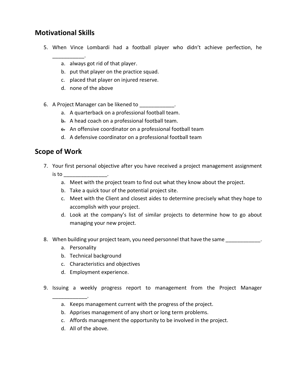# **Skills Motivational Skills**

- Ational Skills<br>When Vince Lombardi had a football player who didn't achieve perfection, he **ional Skills**<br>en Vince Lombardi had a footba<br>A. always got rid of that player. **ional Skills**<br>en Vince Lombardi had a football player<br>a. always got rid of that player.<br>b. put that player on the practice squad. **IONAI SKIIIS**<br>en Vince Lombardi had a football player<br>a. always got rid of that player.<br>b. put that player on the practice squad.<br>c. placed that player on iniured reserve.
	-
	- a. always got rid of that player.<br>b. put that player on the practice squad.<br>c. placed that player on injured reserve. a. always got rid of that player.<br>
	b. put that player on the practice squad.<br>
	c. placed that player on injured reserve.<br>
	d. none of the above<br>
	A Project Manager can be likened to
		-
		- d. none of the above
- a consider the profession of the practice squad.<br>
A placed that player on injured reserve.<br>
A mone of the above<br>
A quarterback on a professional football team. d. Hone of the above<br>Project Manager can b<br>a. A quarterback or<br><del>b.</del> A head coach on<br><del>c.</del> An offensive coor<br>d. A defensive coor<br>**of Work** 
	- b. Pat that player on the practice squad.<br>
	C. placed that player on injured reserve.<br>
	d. none of the above<br>
	roject Manager can be likened to \_\_\_\_\_\_\_\_\_\_\_\_\_.<br>
	a. A quarterback on a professional football team.<br>
	b. A head coac placed that player on myared reserve.<br>
	none of the above<br>
	ct Manager can be likened to \_\_\_\_\_\_\_\_\_\_\_\_\_\_\_\_\_.<br>
	A quarterback on a professional football team.<br>
	A head coach on a professional football team.<br>
	An offensive coordin
	-
	- <sup>A</sup> defensive coordinator on <sup>a</sup> professional football team
	-

- <del>b.</del> A head coach on a professional football team.<br> **e.** An offensive coordinator on a professional football team<br> **d.** A defensive coordinator on a professional football team<br> **9 Of Work**<br>
Your first personal objective af E. An offensive coordinand. A defensive coordinand of **Work**<br>**Summan Summan Summan Summan Summan Summan Summan Summan Summan Summan Summan Summan Summan Summan Summan Summan Summan Summan Summan Summan Summan Summan Summan** d. A defensive coordinator on a professional football team<br> **F Work**<br>
r first personal objective after you have received a project management assignme<br>
a. Meet with the project team to find out what they know about the pro F **Work**<br>
r first personal objective after you have received a pr<br>
p<br>
a. Meet with the project team to find out what they l<br>
b. Take a quick tour of the potential project site. Meet with the projective after you have received a project management assignment<br>
Meet with the project team to find out what they know about the project.<br>
Take a quick tour of the potential project site.<br>
Meet with the Cl accomplishr first personal objective after you happoonent in the project team to find<br>a. Meet with the project team to find<br>b. Take a quick tour of the potential position.<br>C. Meet with the Client and closest accomplish with your pro
	- —————<br>... . . ...
	-
- Look at the company's list of similar projects to determine how to go about<br>Look at the company's list of similar projects to determine precisely what they hope to<br>Look at the company's list of similar projects to determin a. Meet with the project team to fil<br>b. Take a quick tour of the potentia<br>c. Meet with the Client and closest<br>accomplish with your project.<br>d. Look at the company's list of s<br>managing your new project.
	- E. Take a quick team of the potential project site.<br>
	c. Meet with the Client and closest aides to determine precisely what they hope to<br>
	accomplish with your project.<br>
	d. Look at the company's list of similar projects to d Accomplish with yo<br>Look at the compa<br>managing your new<br>wuilding your project<br>Personality d. Look at the company's list of<br>the managing your new project.<br>en building your project team, your<br>a. Personality<br>b. Technical background c.Essaid and the company's list of similar<br>managing your new project.<br>Juilding your project team, you need p<br>Personality<br>Technical background<br>Characteristics and objectives
- managing your new project:<br>
8. When building your project team, you<br>
a. Personality<br>
b. Technical background<br>
c. Characteristics and objectives<br>
d. Employment experience.
	-
	-
	- b. Technical background<br>c. Characteristics and objectives<br>d. Employment experience.
	-
- Issuing a weekly project team, you need personner that have the same  $\frac{1}{2}$ <br>
a. Personality<br>
b. Technical background<br>
c. Characteristics and objectives<br>
d. Employment experience.<br>
Issuing a weekly progress report to man B. Technical background<br>
C. Characteristics and objectives<br>
d. Employment experience.<br>
ing a weekly progress report to management from the Project.<br>
a. Keeps management current with the progress of the project. Apprises management of any short or long term problems. c.Affords management experience.<br>
ing a weekly progress report to management from the Project<br>
Affords management of any short or long term problems.<br>
C. Affords management the opportunity to be involved in the project.
	-
	-
	- All of the above.
	-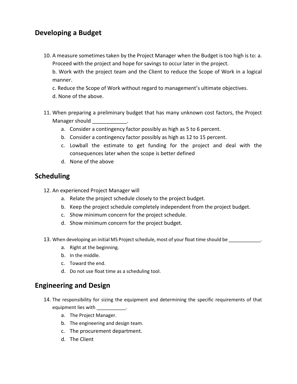# **a Budget** Developing a Budget

**Oping a Budget**<br>A measure sometimes taken by the Project Manager when the Budget is too high is to: a. **oping a Budget**<br>A measure sometimes taken by the Project Manager when the Budget is too hig<br>Proceed with the project and hope for savings to occur later in the project. **ping a Budget**<br>measure sometimes taken by the Project Manager when the Budget is too high is to: a.<br>oceed with the project and hope for savings to occur later in the project.<br>Work with the project team and the Client to r A measure sometimes taken by the Project Manager when the Budget is too high is to: a<br>Proceed with the project and hope for savings to occur later in the project.<br>b. Work with the project team and the Client to reduce the 10. A measure sometimes take<br>Proceed with the project a<br>b. Work with the project<br>manner.<br>c. Reduce the Scope of Wo<br>d. None of the above.

When preparing a preliminary budget that has many unknown cost factors, the Project CN Work with the project team and the Client to reduce the Scope of Work in a logical manner.<br>C. Reduce the Scope of Work without regard t  $\mathbf{v}$ .  $\mathbf{w}$ 

- Front with the project team and<br>nner.<br>educe the Scope of Work without<br>lone of the above.<br>en preparing a preliminary budge<br>nager should educe the Scope of Work without regard to management's ultimate obje<br>lone of the above.<br>en preparing a preliminary budget that has many unknown cost factors<br>nager should \_\_\_\_\_\_\_\_\_\_\_\_\_\_. Figure a contingency factor possibly as high as 12 to 15 percent.<br>
Sample of the above.<br>
The preparing a preliminary budget that has many unknown cost factors, the<br>
The preparing a contingency factor possibly as high as 5 Preparing a preliminary budget that has many unknown cost factors, the Project<br>
er should<br>
Consider a contingency factor possibly as high as 5 to 6 percent.<br>
Consider a contingency factor possibly as high as 12 to 15 perce consequences later when the scope is better defined Manager should state that the control of the control of the control of the control of the control of the control of the control of the control of the control of the control of the control of the control of the control of t **Schedule**<br>Adesse
	-
	-
	- Expansing a preminitity bad<br>
	er should \_\_\_\_\_\_\_\_\_\_\_\_.<br>
	Consider a contingency fact<br>
	Consider a contingency fact<br>
	Lowball the estimate to<br>
	consequences later when the<br>
	None of the above c. Lowball the estimate to get to consequences later when the scome d. None of the above<br>d. None of the above<br>duling<br>An experienced Project Manager will consequences later when the scope is better defined<br>d. None of the above<br> **ing**<br>
	experienced Project Manager will<br>
	a. Relate the project schedule closely to the project budget.
		-

- 
- **Scheduling**<br>12. An experienced Project Manager will<br>a. Relate the project schedule closely to the project budget. **12.** An experienced Project Manager will<br>
a. Relate the project schedule closely to the project bu<br>
b. Keep the project schedule completely independent for<br>
c. Show minimum concern for the project schedule.<br>
d. Show minim
- Keep the project schedule completely independent from the project budget. c.a. Relate the project schedule closely to the project budget.<br>
b. Keep the project schedule completely independent from the project budget.<br>
c. Show minimum concern for the project schedule.<br>
d. Show minimum concern for th
	- b. Keep the project schedul<br>c. Show minimum concern<br>d. Show minimum concern<br>en developing an initial MS Proje<br>a. Right at the beginning.
	- d. Show minimum concern for the project budget.
- c. Show minimum concern for the project schedule.<br>
d. Show minimum concern for the project budget.<br>
13. When developing an initial MS Project schedule, most of your float time should be<br>
a. Right at the beginning.<br>
b. In t d. Show minimum concern for the project bu-<br>13. When developing an initial MS Project schedule, most compared as a schedule of the middle.<br>2. Toward the end.<br>2. Do not use float time as a scheduling tool. **a** and **propertify**<br>**a** and **a** initial MS Project scheduary<br>ght at the beginning.<br>the middle.<br>ward the end.<br>**and Design** 
	-
	-
	- c. Toward the end.
- d. Do not use float time as a scheduling tool.<br> **Engineering and Design**

- The responsibility for sizing the equipment and determining the specific requirements of that<br>The responsibility for sizing the equipment and determining the specific requirements of that onot use hoat time as a<br> **ring and Design**<br>
responsibility for sizing the e<br>
ipment lies with<br>
a. The Project Manager. 14. The responsibility for sizing the equipment and determining the specific requirements of that equipment lies with \_\_\_\_\_\_\_\_\_\_\_.<br>a. The Project Manager.<br>b. The engineering and design team. The procurement department. d.consibility for<br>ent lies with<br>The Project M<br>The engineeri<br>The procurer<br>The Client
	-
	-
	-
	-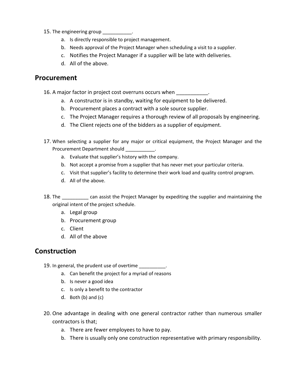- The engineering group  $\blacksquare$ 15. The engineering group<br>
a. Is directly responsible t<br>
b. Needs approval of the<br>
c. Notifies the Project N<br>
d. All of the above.
	- Is directly responsible to project management.
	- engineering group \_\_\_\_\_\_\_\_\_\_\_\_\_\_.<br>
	a. Is directly responsible to project management.<br>
	b. Needs approval of the Proiect Manager when scheduling a visit to a supplier. engineering group \_\_\_\_\_\_\_\_\_\_\_\_\_\_.<br>
	a. Is directly responsible to project management.<br>
	b. Needs approval of the Project Manager when scheduling a visit to a supplier.<br>
	c. Notifies the Project Manager if a supplier will be l
	- b. Needs approval of the Project Manager when scheduling a visit to a so<br>
	c. Notifies the Project Manager if a supplier will be late with delive<br>
	d. All of the above.<br> **IFEMENT** c. Notifies the Project Manager if a supplier will be late with deliveries.<br>
	d. All of the above.<br> **ment**<br>
	ajor factor in project cost overruns occurs when \_\_\_\_\_\_\_\_\_\_\_\_\_.<br>
	a. A constructor is in standby, waiting for equipm
		-

- d. All of the above.<br> **ment**<br>
ajor factor in project cost overruns occurs when \_\_\_\_\_\_\_\_\_\_\_\_\_.<br>
a. A constructor is in standby, waiting for equipment to be deliver<br>
b. Procurement places a contract with a sole source suppli ment<br>
ajor factor in project cost overruns occurs when<br>
a. A constructor is in standby, waiting for equipment to be delivered.<br>
b. Procurement places a contract with a sole source supplier.<br>
c. The Project Manager requires
- b. Procurement places a contract with a sole source supplier.
- **Curement**<br>
16. A major factor in project cost overruns occurs when<br>
2. A constructor is in standby, waiting for equipment to be delivered.<br>
19. Procurement places a contract with a sole source supplier.<br>
19. The Project M a. A constructor is in standby, waiting for equipment to be delivered.<br>
b. Procurement places a contract with a sole source supplier.<br>
c. The Project Manager requires a thorough review of all proposals by engineering.<br>
d.
	-
- b. Procurement places a contract with a sol<br>c. The Project Manager requires a thorought<br>d. The Client rejects one of the bidders as a<br>en selecting a supplier for any major or critica<br>curement Department should c. The Project Manager requires a thorough review c<br>d. The Client rejects one of the bidders as a supplier<br>en selecting a supplier for any major or critical equipme<br>curement Department should \_\_\_\_\_\_\_\_\_\_\_\_\_\_\_.<br>a. Evaluate t Not accept <sup>a</sup> promise from <sup>a</sup> supplier that has never met your particular criteria. c.The selecting a supplier for any major or critical equipment, the Project Manager and the<br>
interment Department should<br>
The company.<br>
A. Not accept a promise from a supplier that has never met your particular criteria.<br>
C. 17. When selecting a supplier for<br>Procurement Department shot<br>a. Evaluate that supplie<br>b. Not accept a promise<br>c. Visit that supplier's fa<br>d. All of the above.
	-
	- b. Not accept a promise from a supplier that has never met your particular criteria.
	- a. Evaluate that supplier's history with the company.<br>
	b. Not accept a promise from a supplier that has never met your particular criteria.<br>
	c. Visit that supplier's facility to determine their work load and quality contro c. Visit that supplier's facility to determine their work load and quality control program.
		- d. All of the above.
- b. Not accept a promise from a suppli<br>
c. Visit that supplier's facility to deter<br>
d. All of the above.<br>
<u>Can assist the Project Mainal intent of the project schedule</u>. Not accept a promise in<br>Visit that supplier's faci<br>All of the above.<br><u>\_\_\_\_\_\_\_\_</u>\_\_ can assist the<br>intent of the project scl<br>Legal group Procurement group All of the abd<br>
<u>Intent of the</u><br>
Legal group<br>
Procuremer<br>Client 18. The <u>cannon cannot as consist</u> the Proposition original intent of the project schedular all expansion procurement group<br>
d. Client d. All of the above
	-
	-
	-
	- d. All of the above

# Construction

- In Fredericht group<br>
In G. All of the above<br> **In general, the prudent use of overtime** All of the above<br> **Dn**<br>
al, the prudent use of overtime<br>
Can benefit the project for a myriad of reasons **SAT OF the above**<br> **SINE 1998**<br>
The prudent use of overtincan benefit the project for a<br>
Is never a good idea **Is a** benefit the project for a myriad of r<br>Is never a good idea<br>Is only a benefit to the contractor The prudent use of<br>
Can benefit the projed<br>
Is never a good idea<br>
Is only a benefit to the<br>
Both (b) and (c) 19.
	- a. Can benefit the project for a myriad of reasons
	-
	- b. Is never a good idea<br>c. Is only a benefit to the contractor
	-
- one advantage in dealing with one general contractor rather than numerous smaller<br>
One advantage in dealing with one general contractor rather than numerous smaller ver a good id<br>
y a benefit to<br>
(b) and (c)<br>
age in deal<br>
is that: B. Is never a good idea<br>
C. Is only a benefit to the contractor<br>
d. Both (b) and (c)<br>
e advantage in dealing with one general contractor<br>
tractors is that;<br>
a. There are fewer employees to have to pay. There is usually only a benefit to the contractor<br>
Both (b) and (c)<br>
vantage in dealing with one general contractor rather than numerous smaller<br>
tors is that;<br>
There are fewer employees to have to pay.<br>
There is usually o
	-
	-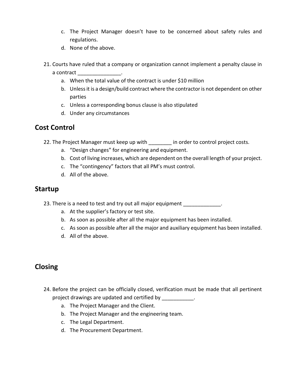- The Project Manager doesnít have to be concerned about safety rules and c. The Project Ma<br>regulations. C. The Project Manager<br>regulations.<br>d. None of the above. c. The Project Manager doesn't have to be concerned about safety rules and<br>regulations.<br>d. None of the above.<br>Courts have ruled that a company or organization cannot implement a penalty clause in c. The Project Manager doe<br>regulations.<br>d. None of the above.<br>purts have ruled that a company<br>contract
	- b.parties to
- When the transfer about that the total value of the above.<br>
None of the above.<br>
have ruled that a company or organization cannot implement a peact<br>
At the contract is under \$10 million None of the above.<br>have ruled that a company or organization cannot implement a penalty clause in<br>act \_\_\_\_\_\_\_\_\_\_\_\_\_\_\_\_\_\_\_\_.<br>When the total value of the contract is under \$10 million<br>Unless it is a design/build contract whe a contract the contract the contract of the contract of the contract of the contract of the contract of the contract of the contract of the contract of the contract of the contract of the contract of the contract of the co **Cost**courts have run<br>a contract \_\_\_\_\_\_<br>a. When the b. Unless if<br>parties<br>c. Unless a<br>d. Under a<br>**Control** 
	-
	- rts have ruled that a company or organization cannot implement a<br>
	intract<br>
	a. When the total value of the contract is under \$10 million<br>
	b. Unless it is a design/build contract where the contractor is not de<br>
	parties<br>
	c. U a. When the total value of the contract is under \$10 million<br>b. Unless it is a design/build contract where the contractor is not dependent on other<br>parties<br>c. Unless a corresponding bonus clause is also stipulated<br>d. Under parties<br>
	c. Unless a corresponding bonus clause is also stipulated<br>
	d. Under any circumstances<br> **Control**<br>
	The Project Manager must keep up with and project to control project costs.
		-
		-

- C. Unless a corresponding bonus clause is also stipulated<br>
d. Under any circumstances<br> **itrol**<br>
Project Manager must keep up with \_\_\_\_\_\_\_\_ in order to<br>
a. "Design changes" for engineering and equipment. Cost of living increases, which are dependent on the overall length of your project. c.**Cost Control**<br>
22. The Project Manager must k<br>
a. "Design changes" for<br>
b. Cost of living increase<br>
c. The "contingency" fa<br>
d. All of the above.
	-
	- **1trol**<br>
	Project Manager must keep up with \_\_\_\_\_\_\_\_\_ in order to contain "Design changes" for engineering and equipment.<br>
	S. Cost of living increases, which are dependent on the overand c. The "contingency" factors that al b. Cost of living increases, which are dependent on the overall length of y<br>
	c. The "contingency" factors that all PM's must control.<br>
	d. All of the above.<br> **AP**<br>
	There is a need to test and try out all major equipment
		-
		-

- c. The "contingency" factors that all PM's r<br>d. All of the above.<br>re is a need to test and try out all major equ<br>a. At the supplier's factory or test site. d. All of the above.<br>The is a need to test and try out all major equipment<br>a. At the supplier's factory or test site.<br>b. As soon as possible after all the major equipment has been installed. Solution and the supplier's facture<br>At the supplier's facture<br>As soon as possible a<br>All of the above. **Los 11** 
	-
	- re is a need to test and try out all major equipment \_\_\_\_\_\_\_\_\_\_\_\_\_\_\_\_\_\_\_\_\_\_\_\_\_\_\_\_<br>a. At the supplier's factory or test site.<br>b. As soon as possible after all the major equipment has been installed.<br>c. As soon as possible a
	-
	-

- or the project can be officially closed, verification must be made that all pertinent<br>Before the project can be officially closed, verification must be made that all pertinent 24. Before the project can be officially closed, verification must be made that all pertinent ore the project can be officially closed, verifiect drawings are updated and certified by  $\overline{\phantom{a}}$ <br>a. The Project Manager and the Client. The Project can be officially closed, verification must<br>
Sect drawings are updated and certified by<br>
The Project Manager and the Client.<br>
A. The Project Manager and the engineering team. The project can be officially<br>
Legal Arawings are updated and<br>
Legal Department of the Project Manager and the Droject Manager and the C.<br>
The Legal Department. the project can be officially clouse drawings are updated and cert<br>The Project Manager and the C<br>The Project Manager and the e<br>The Legal Department.<br>The Procurement Department.
	-
	-
	-
	-